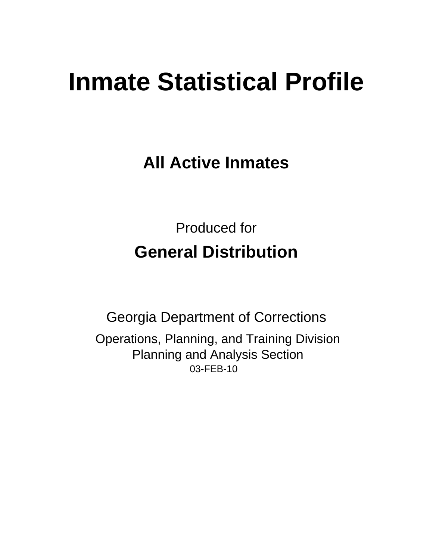# **Inmate Statistical Profile**

**All Active Inmates** 

**Produced for General Distribution** 

**Georgia Department of Corrections** Operations, Planning, and Training Division **Planning and Analysis Section** 03-FEB-10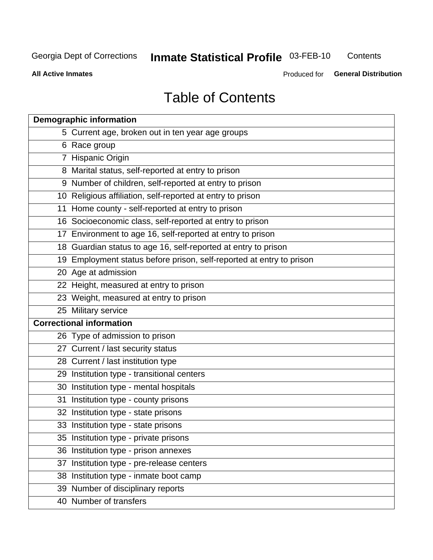**Inmate Statistical Profile 03-FEB-10** 

Contents

**All Active Inmates** 

Produced for General Distribution

## **Table of Contents**

| <b>Demographic information</b>                                       |
|----------------------------------------------------------------------|
| 5 Current age, broken out in ten year age groups                     |
| 6 Race group                                                         |
| 7 Hispanic Origin                                                    |
| 8 Marital status, self-reported at entry to prison                   |
| 9 Number of children, self-reported at entry to prison               |
| 10 Religious affiliation, self-reported at entry to prison           |
| 11 Home county - self-reported at entry to prison                    |
| 16 Socioeconomic class, self-reported at entry to prison             |
| 17 Environment to age 16, self-reported at entry to prison           |
| 18 Guardian status to age 16, self-reported at entry to prison       |
| 19 Employment status before prison, self-reported at entry to prison |
| 20 Age at admission                                                  |
| 22 Height, measured at entry to prison                               |
| 23 Weight, measured at entry to prison                               |
| 25 Military service                                                  |
| <b>Correctional information</b>                                      |
| 26 Type of admission to prison                                       |
| 27 Current / last security status                                    |
| 28 Current / last institution type                                   |
| 29 Institution type - transitional centers                           |
| 30 Institution type - mental hospitals                               |
| 31 Institution type - county prisons                                 |
| 32 Institution type - state prisons                                  |
| 33 Institution type - state prisons                                  |
| 35 Institution type - private prisons                                |
| 36 Institution type - prison annexes                                 |
| 37 Institution type - pre-release centers                            |
| 38 Institution type - inmate boot camp                               |
| 39 Number of disciplinary reports                                    |
| 40 Number of transfers                                               |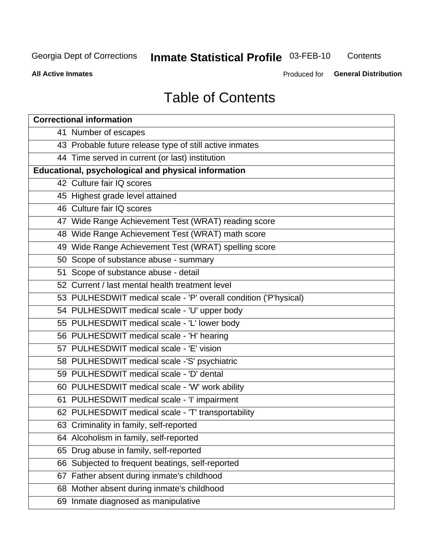## **Inmate Statistical Profile 03-FEB-10**

Contents

**All Active Inmates** 

Produced for General Distribution

## **Table of Contents**

| <b>Correctional information</b>                                  |
|------------------------------------------------------------------|
| 41 Number of escapes                                             |
| 43 Probable future release type of still active inmates          |
| 44 Time served in current (or last) institution                  |
| <b>Educational, psychological and physical information</b>       |
| 42 Culture fair IQ scores                                        |
| 45 Highest grade level attained                                  |
| 46 Culture fair IQ scores                                        |
| 47 Wide Range Achievement Test (WRAT) reading score              |
| 48 Wide Range Achievement Test (WRAT) math score                 |
| 49 Wide Range Achievement Test (WRAT) spelling score             |
| 50 Scope of substance abuse - summary                            |
| 51 Scope of substance abuse - detail                             |
| 52 Current / last mental health treatment level                  |
| 53 PULHESDWIT medical scale - 'P' overall condition ('P'hysical) |
| 54 PULHESDWIT medical scale - 'U' upper body                     |
| 55 PULHESDWIT medical scale - 'L' lower body                     |
| 56 PULHESDWIT medical scale - 'H' hearing                        |
| 57 PULHESDWIT medical scale - 'E' vision                         |
| 58 PULHESDWIT medical scale -'S' psychiatric                     |
| 59 PULHESDWIT medical scale - 'D' dental                         |
| 60 PULHESDWIT medical scale - 'W' work ability                   |
| 61 PULHESDWIT medical scale - 'I' impairment                     |
| 62 PULHESDWIT medical scale - 'T' transportability               |
| 63 Criminality in family, self-reported                          |
| 64 Alcoholism in family, self-reported                           |
| Drug abuse in family, self-reported<br>65                        |
| 66 Subjected to frequent beatings, self-reported                 |
| Father absent during inmate's childhood<br>67                    |
| 68 Mother absent during inmate's childhood                       |
| 69 Inmate diagnosed as manipulative                              |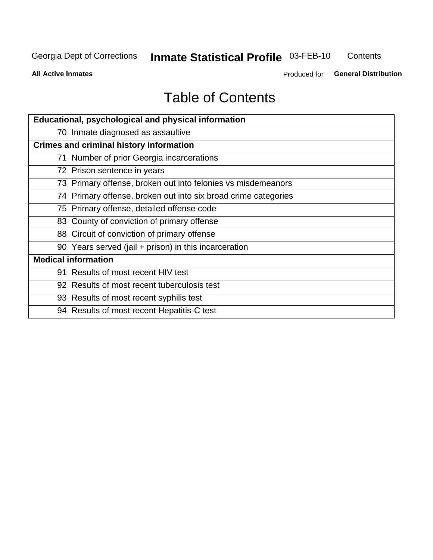## **Inmate Statistical Profile 03-FEB-10**

Contents

**All Active Inmates** 

Produced for General Distribution

## **Table of Contents**

| Educational, psychological and physical information            |
|----------------------------------------------------------------|
| 70 Inmate diagnosed as assaultive                              |
| <b>Crimes and criminal history information</b>                 |
| 71 Number of prior Georgia incarcerations                      |
| 72 Prison sentence in years                                    |
| 73 Primary offense, broken out into felonies vs misdemeanors   |
| 74 Primary offense, broken out into six broad crime categories |
| 75 Primary offense, detailed offense code                      |
| 83 County of conviction of primary offense                     |
| 88 Circuit of conviction of primary offense                    |
| 90 Years served (jail + prison) in this incarceration          |
| <b>Medical information</b>                                     |
| 91 Results of most recent HIV test                             |
| 92 Results of most recent tuberculosis test                    |
| 93 Results of most recent syphilis test                        |
| 94 Results of most recent Hepatitis-C test                     |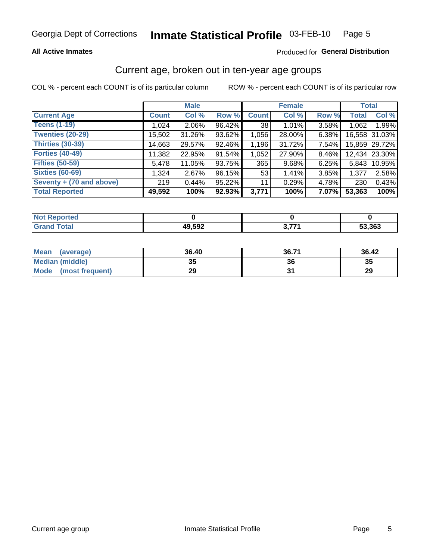#### **All Active Inmates**

#### Produced for General Distribution

### Current age, broken out in ten-year age groups

COL % - percent each COUNT is of its particular column

|                          |              | <b>Male</b> |        |              | <b>Female</b> |       | <b>Total</b> |               |
|--------------------------|--------------|-------------|--------|--------------|---------------|-------|--------------|---------------|
| <b>Current Age</b>       | <b>Count</b> | Col %       | Row %  | <b>Count</b> | Col %         | Row % | <b>Total</b> | Col %         |
| <b>Teens (1-19)</b>      | 1,024        | $2.06\%$    | 96.42% | 38           | $1.01\%$      | 3.58% | 1,062        | 1.99%         |
| <b>Twenties (20-29)</b>  | 15,502       | 31.26%      | 93.62% | 1,056        | 28.00%        | 6.38% |              | 16,558 31.03% |
| <b>Thirties (30-39)</b>  | 14,663       | 29.57%      | 92.46% | 1,196        | 31.72%        | 7.54% |              | 15,859 29.72% |
| <b>Forties (40-49)</b>   | 11,382       | 22.95%      | 91.54% | 1,052        | 27.90%        | 8.46% |              | 12,434 23.30% |
| <b>Fifties (50-59)</b>   | 5,478        | 11.05%      | 93.75% | 365          | 9.68%         | 6.25% | 5.843        | 10.95%        |
| <b>Sixties (60-69)</b>   | 1,324        | 2.67%       | 96.15% | 53           | 1.41%         | 3.85% | 1,377        | 2.58%         |
| Seventy + (70 and above) | 219          | 0.44%       | 95.22% | 11           | 0.29%         | 4.78% | 230          | 0.43%         |
| <b>Total Reported</b>    | 49,592       | 100%        | 92.93% | 3,771        | 100%          | 7.07% | 53,363       | 100%          |

| <b>Experience</b><br><b>NOT REPO</b> |        |       |        |
|--------------------------------------|--------|-------|--------|
| Total                                | 49,592 | , 774 | 53,363 |

| <b>Mean</b><br>(average)       | 36.40    | 36.71 | 36.42 |
|--------------------------------|----------|-------|-------|
| Median (middle)                | つん<br>vu | 36    | 35    |
| <b>Mode</b><br>(most frequent) | 29       |       | 29    |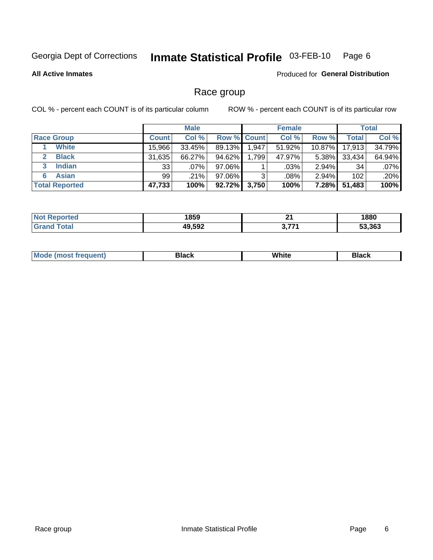#### Inmate Statistical Profile 03-FEB-10 Page 6

**All Active Inmates** 

Produced for General Distribution

### Race group

COL % - percent each COUNT is of its particular column

|                       |              | <b>Male</b> |             |       | <b>Female</b> |          |              | <b>Total</b> |
|-----------------------|--------------|-------------|-------------|-------|---------------|----------|--------------|--------------|
| <b>Race Group</b>     | <b>Count</b> | Col %       | Row % Count |       | Col %         | Row %    | <b>Total</b> | Col %        |
| <b>White</b>          | 15.966       | 33.45%      | 89.13%      | 1,947 | 51.92%        | 10.87%   | 17,913       | 34.79%       |
| <b>Black</b>          | 31,635       | 66.27%      | $94.62\%$   | 1,799 | 47.97%        | $5.38\%$ | 33,434       | 64.94%       |
| <b>Indian</b><br>3    | 33           | $.07\%$     | 97.06%      |       | $.03\%$       | 2.94%    | 34           | .07%         |
| <b>Asian</b><br>6     | 99           | $.21\%$     | 97.06%      | າ     | $.08\%$       | $2.94\%$ | 102          | .20%         |
| <b>Total Reported</b> | 47,733       | 100%        | $92.72\%$   | 3,750 | 100%          | $7.28\%$ | 51,483       | 100%         |

| 1859   | л.    | 1880   |
|--------|-------|--------|
| 49,592 | , 774 | 53.363 |

|  | <b>Mode</b><br>วนent) | <b>Black</b> | White<br>________ | Black |
|--|-----------------------|--------------|-------------------|-------|
|--|-----------------------|--------------|-------------------|-------|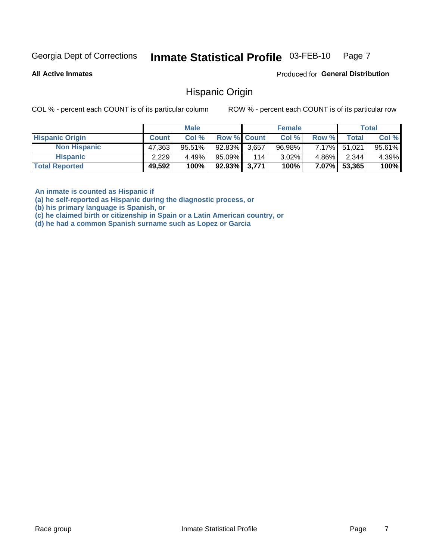#### Inmate Statistical Profile 03-FEB-10 Page 7

**All Active Inmates** 

Produced for General Distribution

#### Hispanic Origin

COL % - percent each COUNT is of its particular column

ROW % - percent each COUNT is of its particular row

|                        |              | <b>Male</b> |                    |     | <b>Female</b> |          |        | <b>Total</b> |
|------------------------|--------------|-------------|--------------------|-----|---------------|----------|--------|--------------|
| <b>Hispanic Origin</b> | <b>Count</b> | Col %       | <b>Row % Count</b> |     | Col %         | Row %    | Totall | Col %        |
| <b>Non Hispanic</b>    | 47,363       | $95.51\%$   | 92.83% 3,657       |     | 96.98%        | $7.17\%$ | 51,021 | 95.61%       |
| <b>Hispanic</b>        | 2,229        | 4.49%       | $95.09\%$          | 114 | $3.02\%$      | $4.86\%$ | 2,344  | 4.39%        |
| <b>Total Reported</b>  | 49,592       | 100%        | $92.93\%$ 3,771    |     | 100%          | $7.07\%$ | 53,365 | 100%         |

An inmate is counted as Hispanic if

(a) he self-reported as Hispanic during the diagnostic process, or

(b) his primary language is Spanish, or

(c) he claimed birth or citizenship in Spain or a Latin American country, or

(d) he had a common Spanish surname such as Lopez or Garcia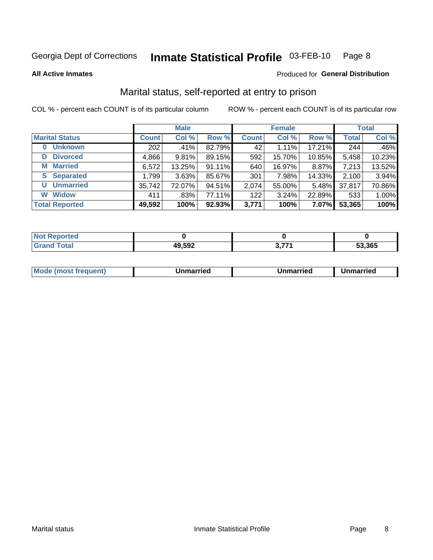#### Inmate Statistical Profile 03-FEB-10 Page 8

**All Active Inmates** 

#### Produced for General Distribution

### Marital status, self-reported at entry to prison

COL % - percent each COUNT is of its particular column

|                            |              | <b>Male</b> |        |              | <b>Female</b> |        |              | <b>Total</b> |
|----------------------------|--------------|-------------|--------|--------------|---------------|--------|--------------|--------------|
| <b>Marital Status</b>      | <b>Count</b> | Col %       | Row %  | <b>Count</b> | Col %         | Row %  | <b>Total</b> | Col %        |
| <b>Unknown</b><br>$\bf{0}$ | 202          | .41%        | 82.79% | 42           | 1.11%         | 17.21% | 244          | .46%         |
| <b>Divorced</b><br>D       | 4,866        | 9.81%       | 89.15% | 592          | 15.70%        | 10.85% | 5,458        | 10.23%       |
| <b>Married</b><br>M        | 6,572        | 13.25%      | 91.11% | 640          | 16.97%        | 8.87%  | 7,213        | 13.52%       |
| <b>S</b> Separated         | 1,799        | 3.63%       | 85.67% | 301          | 7.98%         | 14.33% | 2,100        | 3.94%        |
| <b>Unmarried</b><br>U      | 35,742       | 72.07%      | 94.51% | 2,074        | 55.00%        | 5.48%  | 37,817       | 70.86%       |
| <b>Widow</b><br>W          | 411          | .83%        | 77.11% | 122          | 3.24%         | 22.89% | 533          | 1.00%        |
| <b>Total Reported</b>      | 49,592       | 100%        | 92.93% | 3,771        | 100%          | 7.07%  | 53,365       | 100%         |

| <b>TTEO</b><br>NO |              |                       |        |
|-------------------|--------------|-----------------------|--------|
|                   | 49,592<br>ДЧ | $\sim$ 77.<br><b></b> | 53.365 |

|--|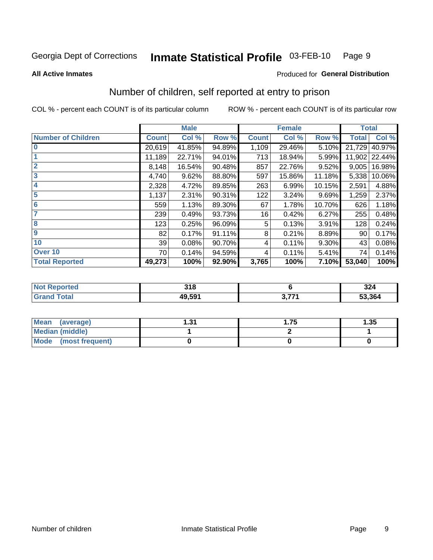#### Inmate Statistical Profile 03-FEB-10 Page 9

**All Active Inmates** 

#### Produced for General Distribution

### Number of children, self reported at entry to prison

COL % - percent each COUNT is of its particular column

|                           | <b>Male</b>  |        |        |              | <b>Female</b> |        | <b>Total</b> |        |
|---------------------------|--------------|--------|--------|--------------|---------------|--------|--------------|--------|
| <b>Number of Children</b> | <b>Count</b> | Col %  | Row %  | <b>Count</b> | Col %         | Row %  | <b>Total</b> | Col %  |
| $\bf{0}$                  | 20,619       | 41.85% | 94.89% | 1,109        | 29.46%        | 5.10%  | 21,729       | 40.97% |
|                           | 11,189       | 22.71% | 94.01% | 713          | 18.94%        | 5.99%  | 11,902       | 22.44% |
| $\overline{2}$            | 8,148        | 16.54% | 90.48% | 857          | 22.76%        | 9.52%  | 9,005        | 16.98% |
| 3                         | 4,740        | 9.62%  | 88.80% | 597          | 15.86%        | 11.18% | 5,338        | 10.06% |
| 4                         | 2,328        | 4.72%  | 89.85% | 263          | 6.99%         | 10.15% | 2,591        | 4.88%  |
| 5                         | 1,137        | 2.31%  | 90.31% | 122          | 3.24%         | 9.69%  | 1,259        | 2.37%  |
| 6                         | 559          | 1.13%  | 89.30% | 67           | 1.78%         | 10.70% | 626          | 1.18%  |
| 7                         | 239          | 0.49%  | 93.73% | 16           | 0.42%         | 6.27%  | 255          | 0.48%  |
| 8                         | 123          | 0.25%  | 96.09% | 5            | 0.13%         | 3.91%  | 128          | 0.24%  |
| $\boldsymbol{9}$          | 82           | 0.17%  | 91.11% | 8            | 0.21%         | 8.89%  | 90           | 0.17%  |
| 10                        | 39           | 0.08%  | 90.70% | 4            | 0.11%         | 9.30%  | 43           | 0.08%  |
| Over 10                   | 70           | 0.14%  | 94.59% | 4            | 0.11%         | 5.41%  | 74           | 0.14%  |
| <b>Total Reported</b>     | 49,273       | 100%   | 92.90% | 3,765        | 100%          | 7.10%  | 53,040       | 100%   |

| 24 <sup>o</sup><br>u i u |    | 224<br>JZ4 |
|--------------------------|----|------------|
| 49.59'                   | 27 | 53,364     |

| <b>Mean</b><br>(average)       | -94<br>ا پ. | . 75 | 1.35 |
|--------------------------------|-------------|------|------|
| <b>Median (middle)</b>         |             |      |      |
| <b>Mode</b><br>(most frequent) |             |      |      |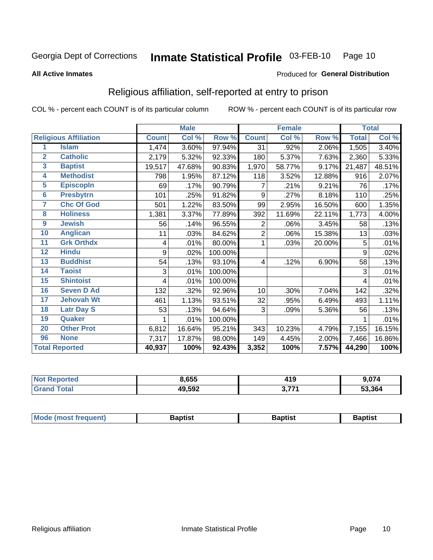#### Inmate Statistical Profile 03-FEB-10 Page 10

**All Active Inmates** 

#### Produced for General Distribution

### Religious affiliation, self-reported at entry to prison

COL % - percent each COUNT is of its particular column

|                         |                              | <b>Male</b>  |        |         |              | <b>Female</b> |        | <b>Total</b> |        |
|-------------------------|------------------------------|--------------|--------|---------|--------------|---------------|--------|--------------|--------|
|                         | <b>Religious Affiliation</b> | <b>Count</b> | Col %  | Row %   | <b>Count</b> | Col %         | Row %  | <b>Total</b> | Col %  |
| 1                       | <b>Islam</b>                 | 1,474        | 3.60%  | 97.94%  | 31           | .92%          | 2.06%  | 1,505        | 3.40%  |
| $\overline{2}$          | <b>Catholic</b>              | 2,179        | 5.32%  | 92.33%  | 180          | 5.37%         | 7.63%  | 2,360        | 5.33%  |
| $\overline{\mathbf{3}}$ | <b>Baptist</b>               | 19,517       | 47.68% | 90.83%  | 1,970        | 58.77%        | 9.17%  | 21,487       | 48.51% |
| $\overline{\mathbf{4}}$ | <b>Methodist</b>             | 798          | 1.95%  | 87.12%  | 118          | 3.52%         | 12.88% | 916          | 2.07%  |
| 5                       | <b>EpiscopIn</b>             | 69           | .17%   | 90.79%  | 7            | .21%          | 9.21%  | 76           | .17%   |
| $6\phantom{1}6$         | <b>Presbytrn</b>             | 101          | .25%   | 91.82%  | 9            | .27%          | 8.18%  | 110          | .25%   |
| 7                       | <b>Chc Of God</b>            | 501          | 1.22%  | 83.50%  | 99           | 2.95%         | 16.50% | 600          | 1.35%  |
| 8                       | <b>Holiness</b>              | 1,381        | 3.37%  | 77.89%  | 392          | 11.69%        | 22.11% | 1,773        | 4.00%  |
| 9                       | <b>Jewish</b>                | 56           | .14%   | 96.55%  | 2            | .06%          | 3.45%  | 58           | .13%   |
| 10                      | <b>Anglican</b>              | 11           | .03%   | 84.62%  | 2            | .06%          | 15.38% | 13           | .03%   |
| 11                      | <b>Grk Orthdx</b>            | 4            | .01%   | 80.00%  | 1            | .03%          | 20.00% | 5            | .01%   |
| 12                      | <b>Hindu</b>                 | 9            | .02%   | 100.00% |              |               |        | 9            | .02%   |
| 13                      | <b>Buddhist</b>              | 54           | .13%   | 93.10%  | 4            | .12%          | 6.90%  | 58           | .13%   |
| 14                      | <b>Taoist</b>                | 3            | .01%   | 100.00% |              |               |        | 3            | .01%   |
| 15                      | <b>Shintoist</b>             | 4            | .01%   | 100.00% |              |               |        | 4            | .01%   |
| 16                      | <b>Seven D Ad</b>            | 132          | .32%   | 92.96%  | 10           | .30%          | 7.04%  | 142          | .32%   |
| 17                      | <b>Jehovah Wt</b>            | 461          | 1.13%  | 93.51%  | 32           | .95%          | 6.49%  | 493          | 1.11%  |
| 18                      | <b>Latr Day S</b>            | 53           | .13%   | 94.64%  | 3            | .09%          | 5.36%  | 56           | .13%   |
| 19                      | Quaker                       |              | .01%   | 100.00% |              |               |        |              | .01%   |
| 20                      | <b>Other Prot</b>            | 6,812        | 16.64% | 95.21%  | 343          | 10.23%        | 4.79%  | 7,155        | 16.15% |
| 96                      | <b>None</b>                  | 7,317        | 17.87% | 98.00%  | 149          | 4.45%         | 2.00%  | 7,466        | 16.86% |
| <b>Total Reported</b>   |                              | 40,937       | 100%   | 92.43%  | 3,352        | 100%          | 7.57%  | 44,290       | 100%   |

| <b>orted</b><br>NO. | 8,655  | 419       | 0.07A<br><b>J.U</b> (4 |  |
|---------------------|--------|-----------|------------------------|--|
| <b>c</b> otal       | 49,592 | 2774<br>. | 53,364                 |  |

| Mode (most frequent) | 3aptist | .      | Baptist |
|----------------------|---------|--------|---------|
|                      |         | 'DIIS. |         |
|                      |         |        |         |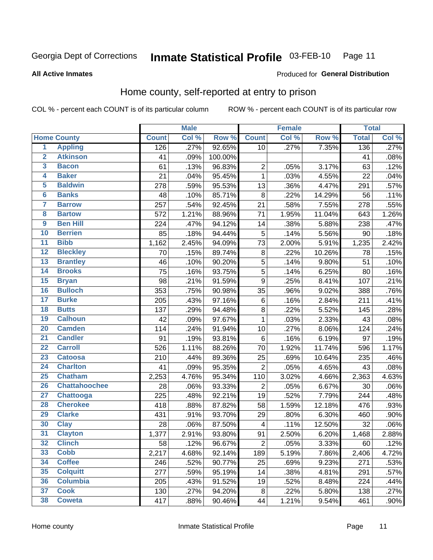#### **Inmate Statistical Profile 03-FEB-10** Page 11

**All Active Inmates** 

#### Produced for General Distribution

### Home county, self-reported at entry to prison

COL % - percent each COUNT is of its particular column

|                         |                      | <b>Male</b>  |       | <b>Female</b> |                         |       | <b>Total</b> |              |         |
|-------------------------|----------------------|--------------|-------|---------------|-------------------------|-------|--------------|--------------|---------|
|                         | <b>Home County</b>   | <b>Count</b> | Col % | Row %         | <b>Count</b>            | Col % | Row %        | <b>Total</b> | Col %   |
| $\overline{1}$          | <b>Appling</b>       | 126          | .27%  | 92.65%        | 10                      | .27%  | 7.35%        | 136          | .27%    |
| $\overline{2}$          | <b>Atkinson</b>      | 41           | .09%  | 100.00%       |                         |       |              | 41           | .08%    |
| $\overline{\mathbf{3}}$ | <b>Bacon</b>         | 61           | .13%  | 96.83%        | $\overline{2}$          | .05%  | 3.17%        | 63           | .12%    |
| 4                       | <b>Baker</b>         | 21           | .04%  | 95.45%        | $\mathbf 1$             | .03%  | 4.55%        | 22           | .04%    |
| 5                       | <b>Baldwin</b>       | 278          | .59%  | 95.53%        | 13                      | .36%  | 4.47%        | 291          | .57%    |
| $6\phantom{a}$          | <b>Banks</b>         | 48           | .10%  | 85.71%        | 8                       | .22%  | 14.29%       | 56           | .11%    |
| 7                       | <b>Barrow</b>        | 257          | .54%  | 92.45%        | 21                      | .58%  | 7.55%        | 278          | .55%    |
| 8                       | <b>Bartow</b>        | 572          | 1.21% | 88.96%        | 71                      | 1.95% | 11.04%       | 643          | 1.26%   |
| $\overline{9}$          | <b>Ben Hill</b>      | 224          | .47%  | 94.12%        | 14                      | .38%  | 5.88%        | 238          | .47%    |
| 10                      | <b>Berrien</b>       | 85           | .18%  | 94.44%        | 5                       | .14%  | 5.56%        | 90           | .18%    |
| $\overline{11}$         | <b>Bibb</b>          | 1,162        | 2.45% | 94.09%        | 73                      | 2.00% | 5.91%        | 1,235        | 2.42%   |
| $\overline{12}$         | <b>Bleckley</b>      | 70           | .15%  | 89.74%        | 8                       | .22%  | 10.26%       | 78           | .15%    |
| $\overline{13}$         | <b>Brantley</b>      | 46           | .10%  | 90.20%        | $\overline{5}$          | .14%  | 9.80%        | 51           | .10%    |
| 14                      | <b>Brooks</b>        | 75           | .16%  | 93.75%        | $\overline{5}$          | .14%  | 6.25%        | 80           | .16%    |
| 15                      | <b>Bryan</b>         | 98           | .21%  | 91.59%        | $\overline{9}$          | .25%  | 8.41%        | 107          | .21%    |
| 16                      | <b>Bulloch</b>       | 353          | .75%  | 90.98%        | 35                      | .96%  | 9.02%        | 388          | .76%    |
| $\overline{17}$         | <b>Burke</b>         | 205          | .43%  | 97.16%        | $\,6$                   | .16%  | 2.84%        | 211          | .41%    |
| 18                      | <b>Butts</b>         | 137          | .29%  | 94.48%        | 8                       | .22%  | 5.52%        | 145          | .28%    |
| 19                      | <b>Calhoun</b>       | 42           | .09%  | 97.67%        | $\mathbf 1$             | .03%  | 2.33%        | 43           | .08%    |
| 20                      | <b>Camden</b>        | 114          | .24%  | 91.94%        | 10                      | .27%  | 8.06%        | 124          | .24%    |
| $\overline{21}$         | <b>Candler</b>       | 91           | .19%  | 93.81%        | $\,6$                   | .16%  | 6.19%        | 97           | .19%    |
| $\overline{22}$         | <b>Carroll</b>       | 526          | 1.11% | 88.26%        | 70                      | 1.92% | 11.74%       | 596          | 1.17%   |
| 23                      | <b>Catoosa</b>       | 210          | .44%  | 89.36%        | 25                      | .69%  | 10.64%       | 235          | .46%    |
| $\overline{24}$         | <b>Charlton</b>      | 41           | .09%  | 95.35%        | $\overline{2}$          | .05%  | 4.65%        | 43           | .08%    |
| 25                      | <b>Chatham</b>       | 2,253        | 4.76% | 95.34%        | 110                     | 3.02% | 4.66%        | 2,363        | 4.63%   |
| 26                      | <b>Chattahoochee</b> | 28           | .06%  | 93.33%        | $\overline{2}$          | .05%  | 6.67%        | 30           | .06%    |
| $\overline{27}$         | Chattooga            | 225          | .48%  | 92.21%        | 19                      | .52%  | 7.79%        | 244          | .48%    |
| 28                      | <b>Cherokee</b>      | 418          | .88%  | 87.82%        | 58                      | 1.59% | 12.18%       | 476          | .93%    |
| 29                      | <b>Clarke</b>        | 431          | .91%  | 93.70%        | 29                      | .80%  | 6.30%        | 460          | .90%    |
| 30                      | <b>Clay</b>          | 28           | .06%  | 87.50%        | $\overline{\mathbf{4}}$ | .11%  | 12.50%       | 32           | .06%    |
| 31                      | <b>Clayton</b>       | 1,377        | 2.91% | 93.80%        | 91                      | 2.50% | 6.20%        | 1,468        | 2.88%   |
| 32                      | <b>Clinch</b>        | 58           | .12%  | 96.67%        | $\overline{2}$          | .05%  | 3.33%        | 60           | .12%    |
| 33                      | <b>Cobb</b>          | 2,217        | 4.68% | 92.14%        | 189                     | 5.19% | 7.86%        | 2,406        | 4.72%   |
| 34                      | <b>Coffee</b>        | 246          | .52%  | 90.77%        | 25                      | .69%  | 9.23%        | 271          | .53%    |
| 35                      | <b>Colquitt</b>      | 277          | .59%  | 95.19%        | 14                      | .38%  | 4.81%        | 291          | .57%    |
| 36                      | <b>Columbia</b>      | 205          | .43%  | 91.52%        | 19                      | .52%  | 8.48%        | 224          | .44%    |
| 37                      | <b>Cook</b>          | 130          | .27%  | 94.20%        | 8                       | .22%  | 5.80%        | 138          | .27%    |
| 38                      | <b>Coweta</b>        | 417          | .88%  | 90.46%        | 44                      | 1.21% | 9.54%        | 461          | $.90\%$ |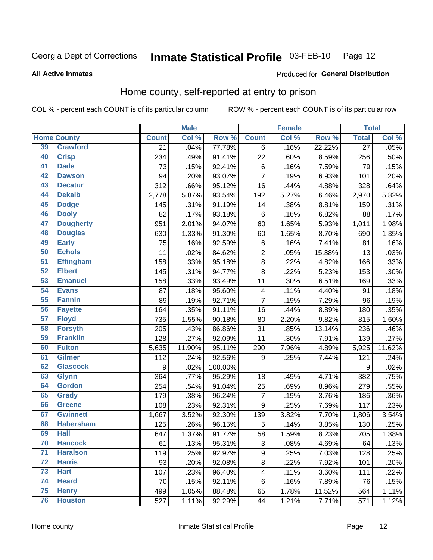#### Inmate Statistical Profile 03-FEB-10 Page 12

#### **All Active Inmates**

#### Produced for General Distribution

### Home county, self-reported at entry to prison

COL % - percent each COUNT is of its particular column

|                 |                    |              | <b>Male</b> |         |                         | <b>Female</b> |        | <b>Total</b>    |                            |
|-----------------|--------------------|--------------|-------------|---------|-------------------------|---------------|--------|-----------------|----------------------------|
|                 | <b>Home County</b> | <b>Count</b> | Col %       | Row %   | <b>Count</b>            | Col %         | Row %  | <b>Total</b>    | $\overline{\text{Col }\%}$ |
| 39              | <b>Crawford</b>    | 21           | .04%        | 77.78%  | 6                       | .16%          | 22.22% | $\overline{27}$ | .05%                       |
| 40              | <b>Crisp</b>       | 234          | .49%        | 91.41%  | 22                      | .60%          | 8.59%  | 256             | .50%                       |
| 41              | <b>Dade</b>        | 73           | .15%        | 92.41%  | 6                       | .16%          | 7.59%  | 79              | .15%                       |
| 42              | <b>Dawson</b>      | 94           | .20%        | 93.07%  | $\overline{7}$          | .19%          | 6.93%  | 101             | .20%                       |
| 43              | <b>Decatur</b>     | 312          | .66%        | 95.12%  | 16                      | .44%          | 4.88%  | 328             | .64%                       |
| 44              | <b>Dekalb</b>      | 2,778        | 5.87%       | 93.54%  | 192                     | 5.27%         | 6.46%  | 2,970           | 5.82%                      |
| 45              | <b>Dodge</b>       | 145          | .31%        | 91.19%  | 14                      | .38%          | 8.81%  | 159             | .31%                       |
| 46              | <b>Dooly</b>       | 82           | .17%        | 93.18%  | 6                       | .16%          | 6.82%  | 88              | .17%                       |
| 47              | <b>Dougherty</b>   | 951          | 2.01%       | 94.07%  | 60                      | 1.65%         | 5.93%  | 1,011           | 1.98%                      |
| 48              | <b>Douglas</b>     | 630          | 1.33%       | 91.30%  | 60                      | 1.65%         | 8.70%  | 690             | 1.35%                      |
| 49              | <b>Early</b>       | 75           | .16%        | 92.59%  | 6                       | .16%          | 7.41%  | 81              | .16%                       |
| 50              | <b>Echols</b>      | 11           | .02%        | 84.62%  | $\overline{2}$          | .05%          | 15.38% | 13              | .03%                       |
| $\overline{51}$ | <b>Effingham</b>   | 158          | .33%        | 95.18%  | $\bf 8$                 | .22%          | 4.82%  | 166             | .33%                       |
| 52              | <b>Elbert</b>      | 145          | .31%        | 94.77%  | $\overline{8}$          | .22%          | 5.23%  | 153             | .30%                       |
| 53              | <b>Emanuel</b>     | 158          | .33%        | 93.49%  | 11                      | .30%          | 6.51%  | 169             | .33%                       |
| 54              | <b>Evans</b>       | 87           | .18%        | 95.60%  | $\overline{\mathbf{4}}$ | .11%          | 4.40%  | 91              | .18%                       |
| 55              | <b>Fannin</b>      | 89           | .19%        | 92.71%  | $\overline{7}$          | .19%          | 7.29%  | 96              | .19%                       |
| 56              | <b>Fayette</b>     | 164          | .35%        | 91.11%  | 16                      | .44%          | 8.89%  | 180             | .35%                       |
| $\overline{57}$ | <b>Floyd</b>       | 735          | 1.55%       | 90.18%  | 80                      | 2.20%         | 9.82%  | 815             | 1.60%                      |
| 58              | <b>Forsyth</b>     | 205          | .43%        | 86.86%  | 31                      | .85%          | 13.14% | 236             | .46%                       |
| 59              | <b>Franklin</b>    | 128          | .27%        | 92.09%  | 11                      | .30%          | 7.91%  | 139             | .27%                       |
| 60              | <b>Fulton</b>      | 5,635        | 11.90%      | 95.11%  | 290                     | 7.96%         | 4.89%  | 5,925           | 11.62%                     |
| 61              | <b>Gilmer</b>      | 112          | .24%        | 92.56%  | 9                       | .25%          | 7.44%  | 121             | .24%                       |
| 62              | <b>Glascock</b>    | 9            | .02%        | 100.00% |                         |               |        | 9               | .02%                       |
| 63              | <b>Glynn</b>       | 364          | .77%        | 95.29%  | 18                      | .49%          | 4.71%  | 382             | .75%                       |
| 64              | <b>Gordon</b>      | 254          | .54%        | 91.04%  | 25                      | .69%          | 8.96%  | 279             | .55%                       |
| 65              | <b>Grady</b>       | 179          | .38%        | 96.24%  | $\overline{7}$          | .19%          | 3.76%  | 186             | .36%                       |
| 66              | <b>Greene</b>      | 108          | .23%        | 92.31%  | $\boldsymbol{9}$        | .25%          | 7.69%  | 117             | .23%                       |
| 67              | <b>Gwinnett</b>    | 1,667        | 3.52%       | 92.30%  | 139                     | 3.82%         | 7.70%  | 1,806           | 3.54%                      |
| 68              | <b>Habersham</b>   | 125          | .26%        | 96.15%  | $\mathbf 5$             | .14%          | 3.85%  | 130             | .25%                       |
| 69              | <b>Hall</b>        | 647          | 1.37%       | 91.77%  | 58                      | 1.59%         | 8.23%  | 705             | 1.38%                      |
| 70              | <b>Hancock</b>     | 61           | .13%        | 95.31%  | 3                       | .08%          | 4.69%  | 64              | .13%                       |
| $\overline{71}$ | <b>Haralson</b>    | 119          | .25%        | 92.97%  | $\mathsf g$             | .25%          | 7.03%  | 128             | .25%                       |
| 72              | <b>Harris</b>      | 93           | .20%        | 92.08%  | $\bf 8$                 | .22%          | 7.92%  | 101             | .20%                       |
| 73              | <b>Hart</b>        | 107          | .23%        | 96.40%  | $\overline{\mathbf{4}}$ | .11%          | 3.60%  | 111             | .22%                       |
| 74              | <b>Heard</b>       | 70           | .15%        | 92.11%  | 6                       | .16%          | 7.89%  | 76              | .15%                       |
| 75              | <b>Henry</b>       | 499          | 1.05%       | 88.48%  | 65                      | 1.78%         | 11.52% | 564             | 1.11%                      |
| 76              | <b>Houston</b>     | 527          | 1.11%       | 92.29%  | 44                      | 1.21%         | 7.71%  | 571             | 1.12%                      |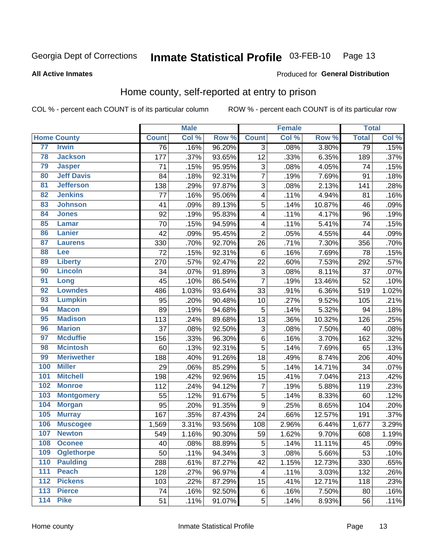#### **Inmate Statistical Profile 03-FEB-10** Page 13

#### **All Active Inmates**

#### Produced for General Distribution

### Home county, self-reported at entry to prison

COL % - percent each COUNT is of its particular column

|                  |                    |              | <b>Male</b> |        |                         | <b>Female</b> |        | <b>Total</b> |       |
|------------------|--------------------|--------------|-------------|--------|-------------------------|---------------|--------|--------------|-------|
|                  | <b>Home County</b> | <b>Count</b> | Col %       | Row %  | <b>Count</b>            | Col %         | Row %  | <b>Total</b> | Col % |
| 77               | <b>Irwin</b>       | 76           | .16%        | 96.20% | 3                       | .08%          | 3.80%  | 79           | .15%  |
| 78               | <b>Jackson</b>     | 177          | .37%        | 93.65% | 12                      | .33%          | 6.35%  | 189          | .37%  |
| 79               | <b>Jasper</b>      | 71           | .15%        | 95.95% | 3                       | .08%          | 4.05%  | 74           | .15%  |
| 80               | <b>Jeff Davis</b>  | 84           | .18%        | 92.31% | $\overline{7}$          | .19%          | 7.69%  | 91           | .18%  |
| $\overline{81}$  | <b>Jefferson</b>   | 138          | .29%        | 97.87% | $\overline{3}$          | .08%          | 2.13%  | 141          | .28%  |
| 82               | <b>Jenkins</b>     | 77           | .16%        | 95.06% | $\overline{\mathbf{4}}$ | .11%          | 4.94%  | 81           | .16%  |
| 83               | <b>Johnson</b>     | 41           | .09%        | 89.13% | 5                       | .14%          | 10.87% | 46           | .09%  |
| 84               | <b>Jones</b>       | 92           | .19%        | 95.83% | 4                       | .11%          | 4.17%  | 96           | .19%  |
| 85               | <b>Lamar</b>       | 70           | .15%        | 94.59% | 4                       | .11%          | 5.41%  | 74           | .15%  |
| 86               | <b>Lanier</b>      | 42           | .09%        | 95.45% | $\overline{2}$          | .05%          | 4.55%  | 44           | .09%  |
| 87               | <b>Laurens</b>     | 330          | .70%        | 92.70% | 26                      | .71%          | 7.30%  | 356          | .70%  |
| 88               | <b>Lee</b>         | 72           | .15%        | 92.31% | 6                       | .16%          | 7.69%  | 78           | .15%  |
| 89               | <b>Liberty</b>     | 270          | .57%        | 92.47% | 22                      | .60%          | 7.53%  | 292          | .57%  |
| 90               | <b>Lincoln</b>     | 34           | .07%        | 91.89% | 3                       | .08%          | 8.11%  | 37           | .07%  |
| 91               | Long               | 45           | .10%        | 86.54% | $\overline{7}$          | .19%          | 13.46% | 52           | .10%  |
| 92               | <b>Lowndes</b>     | 486          | 1.03%       | 93.64% | 33                      | .91%          | 6.36%  | 519          | 1.02% |
| 93               | <b>Lumpkin</b>     | 95           | .20%        | 90.48% | 10                      | .27%          | 9.52%  | 105          | .21%  |
| 94               | <b>Macon</b>       | 89           | .19%        | 94.68% | 5                       | .14%          | 5.32%  | 94           | .18%  |
| 95               | <b>Madison</b>     | 113          | .24%        | 89.68% | 13                      | .36%          | 10.32% | 126          | .25%  |
| 96               | <b>Marion</b>      | 37           | .08%        | 92.50% | 3                       | .08%          | 7.50%  | 40           | .08%  |
| 97               | <b>Mcduffie</b>    | 156          | .33%        | 96.30% | $\,6$                   | .16%          | 3.70%  | 162          | .32%  |
| 98               | <b>Mcintosh</b>    | 60           | .13%        | 92.31% | 5                       | .14%          | 7.69%  | 65           | .13%  |
| 99               | <b>Meriwether</b>  | 188          | .40%        | 91.26% | 18                      | .49%          | 8.74%  | 206          | .40%  |
| 100              | <b>Miller</b>      | 29           | .06%        | 85.29% | 5                       | .14%          | 14.71% | 34           | .07%  |
| 101              | <b>Mitchell</b>    | 198          | .42%        | 92.96% | $\overline{15}$         | .41%          | 7.04%  | 213          | .42%  |
| 102              | <b>Monroe</b>      | 112          | .24%        | 94.12% | $\overline{7}$          | .19%          | 5.88%  | 119          | .23%  |
| 103              | <b>Montgomery</b>  | 55           | .12%        | 91.67% | $\overline{5}$          | .14%          | 8.33%  | 60           | .12%  |
| 104              | <b>Morgan</b>      | 95           | .20%        | 91.35% | 9                       | .25%          | 8.65%  | 104          | .20%  |
| 105              | <b>Murray</b>      | 167          | .35%        | 87.43% | 24                      | .66%          | 12.57% | 191          | .37%  |
| 106              | <b>Muscogee</b>    | 1,569        | 3.31%       | 93.56% | 108                     | 2.96%         | 6.44%  | 1,677        | 3.29% |
| 107              | <b>Newton</b>      | 549          | 1.16%       | 90.30% | 59                      | 1.62%         | 9.70%  | 608          | 1.19% |
| 108              | <b>Oconee</b>      | 40           | .08%        | 88.89% | 5                       | .14%          | 11.11% | 45           | .09%  |
| 109              | <b>Oglethorpe</b>  | 50           | .11%        | 94.34% | 3                       | .08%          | 5.66%  | 53           | .10%  |
| 110              | <b>Paulding</b>    | 288          | .61%        | 87.27% | 42                      | 1.15%         | 12.73% | 330          | .65%  |
| 111              | <b>Peach</b>       | 128          | .27%        | 96.97% | 4                       | .11%          | 3.03%  | 132          | .26%  |
| 112              | <b>Pickens</b>     | 103          | .22%        | 87.29% | 15                      | .41%          | 12.71% | 118          | .23%  |
| $\overline{113}$ | <b>Pierce</b>      | 74           | .16%        | 92.50% | $\,6$                   | .16%          | 7.50%  | 80           | .16%  |
| $\overline{114}$ | <b>Pike</b>        | 51           | .11%        | 91.07% | 5                       | .14%          | 8.93%  | 56           | .11%  |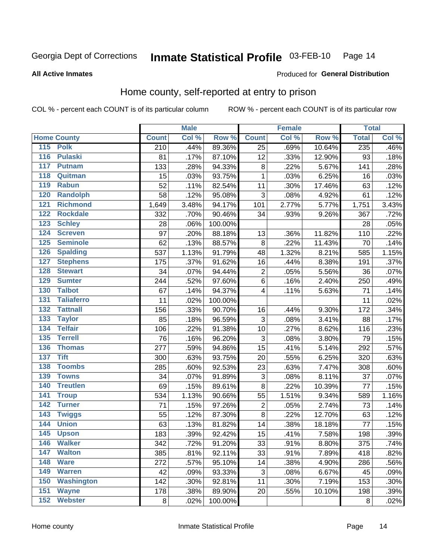#### Inmate Statistical Profile 03-FEB-10 Page 14

#### **All Active Inmates**

#### Produced for General Distribution

### Home county, self-reported at entry to prison

COL % - percent each COUNT is of its particular column

|                  |                    |                  | <b>Male</b> |         |                         | <b>Female</b> |        | <b>Total</b> |       |
|------------------|--------------------|------------------|-------------|---------|-------------------------|---------------|--------|--------------|-------|
|                  | <b>Home County</b> | <b>Count</b>     | Col %       | Row %   | <b>Count</b>            | Col %         | Row %  | <b>Total</b> | Col % |
|                  | 115 Polk           | $\overline{210}$ | .44%        | 89.36%  | $\overline{25}$         | .69%          | 10.64% | 235          | .46%  |
| $\overline{116}$ | <b>Pulaski</b>     | 81               | .17%        | 87.10%  | 12                      | .33%          | 12.90% | 93           | .18%  |
| 117              | <b>Putnam</b>      | 133              | .28%        | 94.33%  | $\bf 8$                 | .22%          | 5.67%  | 141          | .28%  |
| 118              | Quitman            | 15               | .03%        | 93.75%  | 1                       | .03%          | 6.25%  | 16           | .03%  |
| 119              | <b>Rabun</b>       | 52               | .11%        | 82.54%  | 11                      | .30%          | 17.46% | 63           | .12%  |
| 120              | <b>Randolph</b>    | 58               | .12%        | 95.08%  | 3                       | .08%          | 4.92%  | 61           | .12%  |
| 121              | <b>Richmond</b>    | 1,649            | 3.48%       | 94.17%  | 101                     | 2.77%         | 5.77%  | 1,751        | 3.43% |
| 122              | <b>Rockdale</b>    | 332              | .70%        | 90.46%  | 34                      | .93%          | 9.26%  | 367          | .72%  |
| 123              | <b>Schley</b>      | 28               | .06%        | 100.00% |                         |               |        | 28           | .05%  |
| 124              | <b>Screven</b>     | 97               | .20%        | 88.18%  | 13                      | .36%          | 11.82% | 110          | .22%  |
| 125              | <b>Seminole</b>    | 62               | .13%        | 88.57%  | 8                       | .22%          | 11.43% | 70           | .14%  |
| 126              | <b>Spalding</b>    | 537              | 1.13%       | 91.79%  | 48                      | 1.32%         | 8.21%  | 585          | 1.15% |
| 127              | <b>Stephens</b>    | 175              | .37%        | 91.62%  | 16                      | .44%          | 8.38%  | 191          | .37%  |
| 128              | <b>Stewart</b>     | 34               | .07%        | 94.44%  | $\overline{c}$          | .05%          | 5.56%  | 36           | .07%  |
| 129              | <b>Sumter</b>      | 244              | .52%        | 97.60%  | $\overline{6}$          | .16%          | 2.40%  | 250          | .49%  |
| 130              | <b>Talbot</b>      | 67               | .14%        | 94.37%  | $\overline{\mathbf{4}}$ | .11%          | 5.63%  | 71           | .14%  |
| 131              | <b>Taliaferro</b>  | 11               | .02%        | 100.00% |                         |               |        | 11           | .02%  |
| 132              | <b>Tattnall</b>    | 156              | .33%        | 90.70%  | 16                      | .44%          | 9.30%  | 172          | .34%  |
| 133              | <b>Taylor</b>      | 85               | .18%        | 96.59%  | $\mathbf{3}$            | .08%          | 3.41%  | 88           | .17%  |
| 134              | <b>Telfair</b>     | 106              | .22%        | 91.38%  | 10                      | .27%          | 8.62%  | 116          | .23%  |
| 135              | <b>Terrell</b>     | 76               | .16%        | 96.20%  | $\mathbf{3}$            | .08%          | 3.80%  | 79           | .15%  |
| 136              | <b>Thomas</b>      | 277              | .59%        | 94.86%  | 15                      | .41%          | 5.14%  | 292          | .57%  |
| 137              | <b>Tift</b>        | 300              | .63%        | 93.75%  | 20                      | .55%          | 6.25%  | 320          | .63%  |
| 138              | <b>Toombs</b>      | 285              | .60%        | 92.53%  | 23                      | .63%          | 7.47%  | 308          | .60%  |
| 139              | <b>Towns</b>       | 34               | .07%        | 91.89%  | 3                       | .08%          | 8.11%  | 37           | .07%  |
| 140              | <b>Treutlen</b>    | 69               | .15%        | 89.61%  | $\bf 8$                 | .22%          | 10.39% | 77           | .15%  |
| 141              | <b>Troup</b>       | 534              | 1.13%       | 90.66%  | 55                      | 1.51%         | 9.34%  | 589          | 1.16% |
| 142              | <b>Turner</b>      | 71               | .15%        | 97.26%  | $\overline{2}$          | .05%          | 2.74%  | 73           | .14%  |
| $\overline{143}$ | <b>Twiggs</b>      | 55               | .12%        | 87.30%  | 8                       | .22%          | 12.70% | 63           | .12%  |
| 144              | <b>Union</b>       | 63               | .13%        | 81.82%  | 14                      | .38%          | 18.18% | 77           | .15%  |
| 145              | <b>Upson</b>       | 183              | .39%        | 92.42%  | 15                      | .41%          | 7.58%  | 198          | .39%  |
| 146              | <b>Walker</b>      | 342              | .72%        | 91.20%  | 33                      | .91%          | 8.80%  | 375          | .74%  |
| 147              | <b>Walton</b>      | 385              | .81%        | 92.11%  | 33                      | .91%          | 7.89%  | 418          | .82%  |
| 148              | <b>Ware</b>        | 272              | .57%        | 95.10%  | 14                      | .38%          | 4.90%  | 286          | .56%  |
| 149              | <b>Warren</b>      | 42               | .09%        | 93.33%  | 3                       | .08%          | 6.67%  | 45           | .09%  |
| 150              | <b>Washington</b>  | 142              | .30%        | 92.81%  | 11                      | .30%          | 7.19%  | 153          | .30%  |
| 151              | <b>Wayne</b>       | 178              | .38%        | 89.90%  | 20                      | .55%          | 10.10% | 198          | .39%  |
| 152              | <b>Webster</b>     | 8                | .02%        | 100.00% |                         |               |        | 8            | .02%  |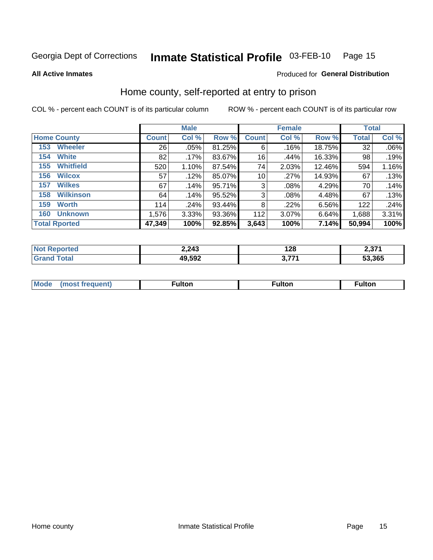#### Inmate Statistical Profile 03-FEB-10 Page 15

**All Active Inmates** 

#### Produced for General Distribution

### Home county, self-reported at entry to prison

COL % - percent each COUNT is of its particular column

|                    |                      | <b>Male</b>  |         |           |                 | <b>Female</b> |          | <b>Total</b> |       |
|--------------------|----------------------|--------------|---------|-----------|-----------------|---------------|----------|--------------|-------|
| <b>Home County</b> |                      | <b>Count</b> | Col %   | Row %     | <b>Count</b>    | Col %         | Row %    | <b>Total</b> | Col % |
| 153                | <b>Wheeler</b>       | 26           | .05%    | 81.25%    | 6               | .16%          | 18.75%   | 32           | .06%  |
| 154                | <b>White</b>         | 82           | $.17\%$ | 83.67%    | 16              | .44%          | 16.33%   | 98           | .19%  |
| 155                | <b>Whitfield</b>     | 520          | 1.10%   | 87.54%    | 74              | 2.03%         | 12.46%   | 594          | 1.16% |
| 156                | <b>Wilcox</b>        | 57           | .12%    | 85.07%    | 10 <sup>1</sup> | .27%          | 14.93%   | 67           | .13%  |
| 157                | <b>Wilkes</b>        | 67           | .14%    | 95.71%    | 3               | .08%          | 4.29%    | 70           | .14%  |
| 158                | <b>Wilkinson</b>     | 64           | .14%    | 95.52%    | 3               | .08%          | 4.48%    | 67           | .13%  |
| 159                | <b>Worth</b>         | 114          | .24%    | $93.44\%$ | 8               | .22%          | $6.56\%$ | 122          | .24%  |
| 160                | <b>Unknown</b>       | 1,576        | 3.33%   | 93.36%    | 112             | 3.07%         | 6.64%    | 1,688        | 3.31% |
|                    | <b>Total Rported</b> | 47,349       | 100%    | 92.85%    | 3,643           | 100%          | 7.14%    | 50,994       | 100%  |

| ported | 2,243  | 128         | 2 2 7 4<br>∶ اد.∠ |
|--------|--------|-------------|-------------------|
| `otal  | 49,592 | フフィ<br>V.II | 53,365            |

|  | Mode | ™ulton | ∶ulton | ™ulton |
|--|------|--------|--------|--------|
|--|------|--------|--------|--------|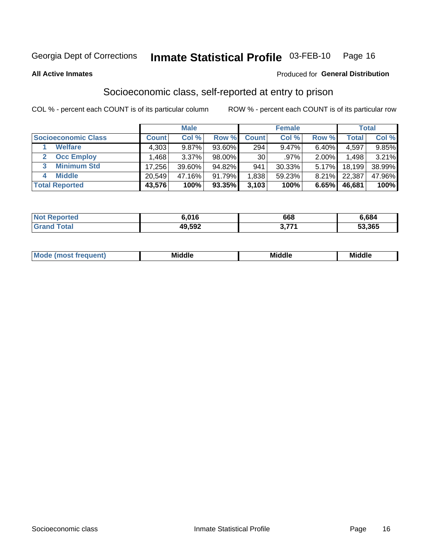## Inmate Statistical Profile 03-FEB-10 Page 16

**All Active Inmates** 

#### Produced for General Distribution

### Socioeconomic class, self-reported at entry to prison

COL % - percent each COUNT is of its particular column

|                            |        | <b>Male</b> |           |                 | <b>Female</b> |          |        | <b>Total</b> |
|----------------------------|--------|-------------|-----------|-----------------|---------------|----------|--------|--------------|
| <b>Socioeconomic Class</b> | Count⊺ | Col %       | Row %     | <b>Count</b>    | Col %         | Row %    | Total  | Col %        |
| <b>Welfare</b>             | 4,303  | 9.87%       | $93.60\%$ | 294             | $9.47\%$      | 6.40%    | 4,597  | 9.85%        |
| <b>Occ Employ</b>          | .468   | 3.37%       | $98.00\%$ | 30 <sub>1</sub> | $.97\%$       | $2.00\%$ | 1,498  | 3.21%        |
| <b>Minimum Std</b>         | 17.256 | 39.60%      | 94.82%    | 941             | $30.33\%$     | 5.17%    | 18,199 | 38.99%       |
| <b>Middle</b>              | 20,549 | 47.16%      | 91.79%    | .838            | 59.23%        | 8.21%    | 22,387 | 47.96%       |
| <b>Total Reported</b>      | 43,576 | 100%        | 93.35%    | 3,103           | 100%          | 6.65%    | 46,681 | 100%         |

| <b>Not Reno</b><br>onteo | 6.016  | 668 | 6,684  |
|--------------------------|--------|-----|--------|
|                          | 49,592 | ララス | 53,365 |

| Mo<br><b>Middle</b><br><b>Middle</b><br>uuıt<br>___<br>____<br>____ |  |
|---------------------------------------------------------------------|--|
|---------------------------------------------------------------------|--|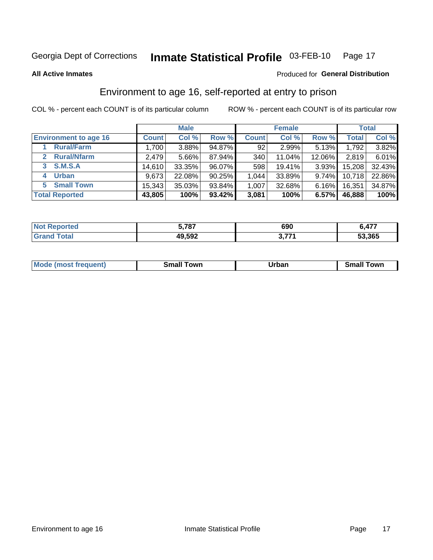## Inmate Statistical Profile 03-FEB-10 Page 17

Produced for General Distribution

#### **All Active Inmates**

### Environment to age 16, self-reported at entry to prison

COL % - percent each COUNT is of its particular column

|                                    |              | <b>Male</b> |           |              | <b>Female</b> |          |              | <b>Total</b> |
|------------------------------------|--------------|-------------|-----------|--------------|---------------|----------|--------------|--------------|
| <b>Environment to age 16</b>       | <b>Count</b> | Col %       | Row %     | <b>Count</b> | Col %         | Row %    | <b>Total</b> | Col %        |
| <b>Rural/Farm</b>                  | 1,700        | 3.88%       | 94.87%    | 92           | 2.99%         | 5.13%    | 1,792        | 3.82%        |
| <b>Rural/Nfarm</b><br>$\mathbf{2}$ | 2,479        | $5.66\%$    | 87.94%    | 340          | 11.04%        | 12.06%   | 2,819        | 6.01%        |
| 3 S.M.S.A                          | 14,610       | 33.35%      | 96.07%    | 598          | 19.41%        | $3.93\%$ | 15,208       | 32.43%       |
| <b>Urban</b><br>4                  | 9,673        | 22.08%      | $90.25\%$ | 1,044        | 33.89%        | $9.74\%$ | 10,718       | 22.86%       |
| 5 Small Town                       | 15,343       | 35.03%      | 93.84%    | 1,007        | 32.68%        | $6.16\%$ | 16,351       | 34.87%       |
| <b>Total Reported</b>              | 43,805       | 100%        | 93.42%    | 3,081        | 100%          | 6.57%    | 46,888       | 100%         |

| <b>Not Reported</b> | 5,787  | 690         | 6,477  |
|---------------------|--------|-------------|--------|
| $\mathsf{T}$ otal   | 49,592 | <b>אידי</b> | 53,365 |

| Mode<br>auent)<br>. | own<br>. ma | <b>Irhan</b><br>. par<br>_____ | `owr<br>_____ |
|---------------------|-------------|--------------------------------|---------------|
|                     |             |                                |               |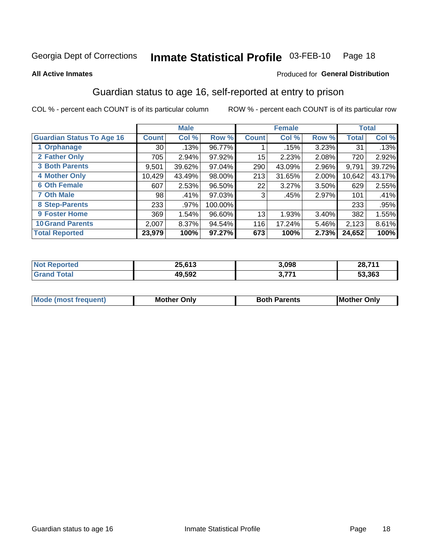## Inmate Statistical Profile 03-FEB-10 Page 18

#### **All Active Inmates**

#### **Produced for General Distribution**

### Guardian status to age 16, self-reported at entry to prison

COL % - percent each COUNT is of its particular column

|                                  |                 | <b>Male</b> |           |              | <b>Female</b> |          |        | <b>Total</b> |
|----------------------------------|-----------------|-------------|-----------|--------------|---------------|----------|--------|--------------|
| <b>Guardian Status To Age 16</b> | <b>Count!</b>   | Col %       | Row %     | <b>Count</b> | Col %         | Row %    | Total  | Col %        |
| 1 Orphanage                      | 30 <sup>1</sup> | .13%        | 96.77%    |              | .15%          | 3.23%    | 31     | .13%         |
| 2 Father Only                    | 705             | 2.94%       | 97.92%    | 15           | 2.23%         | 2.08%    | 720    | 2.92%        |
| <b>3 Both Parents</b>            | 9,501           | 39.62%      | 97.04%    | 290          | 43.09%        | 2.96%    | 9,791  | 39.72%       |
| <b>4 Mother Only</b>             | 10,429          | 43.49%      | 98.00%    | 213          | 31.65%        | 2.00%    | 10,642 | 43.17%       |
| <b>6 Oth Female</b>              | 607             | 2.53%       | 96.50%    | 22           | 3.27%         | 3.50%    | 629    | 2.55%        |
| <b>7 Oth Male</b>                | 98              | .41%        | $97.03\%$ | 3            | .45%          | 2.97%    | 101    | .41%         |
| 8 Step-Parents                   | 233             | .97%        | 100.00%   |              |               |          | 233    | .95%         |
| 9 Foster Home                    | 369             | 1.54%       | 96.60%    | 13           | 1.93%         | $3.40\%$ | 382    | 1.55%        |
| <b>10 Grand Parents</b>          | 2,007           | 8.37%       | 94.54%    | 116          | 17.24%        | 5.46%    | 2,123  | 8.61%        |
| <b>Total Reported</b>            | 23,979          | 100%        | 97.27%    | 673          | 100%          | 2.73%    | 24,652 | 100%         |

| rted<br>NO | 25.012 | 3,098            | 28.71 <sup>4</sup> |
|------------|--------|------------------|--------------------|
|            | 49,592 | ・フフィ<br><u>.</u> | 53,363             |

| Mode | วทIv<br>Mot | <b>Both Parents</b><br>Parents | lM.<br>Only<br>. |
|------|-------------|--------------------------------|------------------|
|      |             |                                |                  |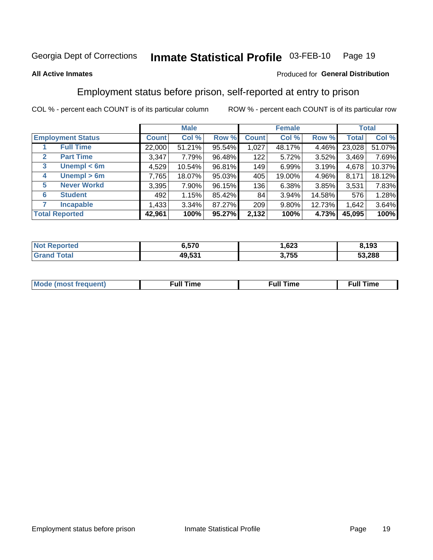#### Inmate Statistical Profile 03-FEB-10 Page 19

#### **All Active Inmates**

#### Produced for General Distribution

### Employment status before prison, self-reported at entry to prison

COL % - percent each COUNT is of its particular column

|                                  |         | <b>Male</b> |        |              | <b>Female</b> |        |        | <b>Total</b> |
|----------------------------------|---------|-------------|--------|--------------|---------------|--------|--------|--------------|
| <b>Employment Status</b>         | Count l | Col %       | Row %  | <b>Count</b> | Col %         | Row %  | Total  | Col %        |
| <b>Full Time</b>                 | 22,000  | 51.21%      | 95.54% | 1,027        | 48.17%        | 4.46%  | 23,028 | 51.07%       |
| <b>Part Time</b><br>$\mathbf{2}$ | 3,347   | 7.79%       | 96.48% | 122          | 5.72%         | 3.52%  | 3,469  | 7.69%        |
| Unempl $<$ 6m<br>3               | 4,529   | $10.54\%$   | 96.81% | 149          | 6.99%         | 3.19%  | 4,678  | 10.37%       |
| Unempl > 6m<br>4                 | 7,765   | 18.07%      | 95.03% | 405          | 19.00%        | 4.96%  | 8,171  | 18.12%       |
| <b>Never Workd</b><br>5          | 3,395   | $7.90\%$    | 96.15% | 136          | 6.38%         | 3.85%  | 3,531  | 7.83%        |
| <b>Student</b><br>6              | 492     | 1.15%       | 85.42% | 84           | 3.94%         | 14.58% | 576    | 1.28%        |
| <b>Incapable</b>                 | 1,433   | $3.34\%$    | 87.27% | 209          | 9.80%         | 12.73% | 1,642  | 3.64%        |
| <b>Total Reported</b>            | 42,961  | 100%        | 95.27% | 2,132        | 100%          | 4.73%  | 45,095 | 100%         |

| rted<br>NO        | 6,570  | con.<br>د∠ه. | 8,193  |
|-------------------|--------|--------------|--------|
| $T \sim 4 \sim 1$ | 49,531 | 3,755        | 53,288 |

| Mc | ∙u∥<br>----<br>ıme | ίuΙ<br>Πmε |
|----|--------------------|------------|
|    |                    |            |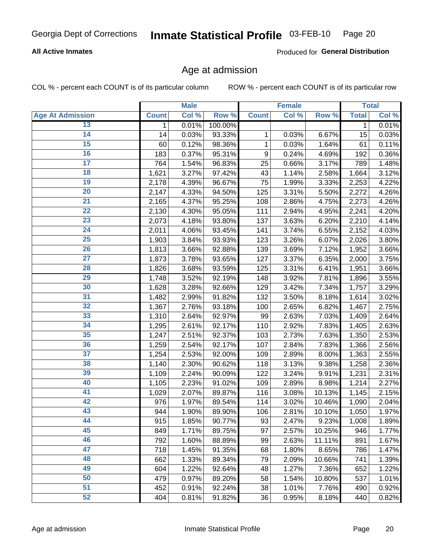#### **All Active Inmates**

Produced for General Distribution

#### Age at admission

COL % - percent each COUNT is of its particular column

|                         |              | <b>Male</b> |         |              | <b>Female</b> |        |              | <b>Total</b> |
|-------------------------|--------------|-------------|---------|--------------|---------------|--------|--------------|--------------|
| <b>Age At Admission</b> | <b>Count</b> | Col %       | Row %   | <b>Count</b> | Col %         | Row %  | <b>Total</b> | Col %        |
| 13                      | 1            | 0.01%       | 100.00% |              |               |        | 1            | 0.01%        |
| 14                      | 14           | 0.03%       | 93.33%  | 1            | 0.03%         | 6.67%  | 15           | 0.03%        |
| 15                      | 60           | 0.12%       | 98.36%  | 1            | 0.03%         | 1.64%  | 61           | 0.11%        |
| 16                      | 183          | 0.37%       | 95.31%  | 9            | 0.24%         | 4.69%  | 192          | 0.36%        |
| $\overline{17}$         | 764          | 1.54%       | 96.83%  | 25           | 0.66%         | 3.17%  | 789          | 1.48%        |
| 18                      | 1,621        | 3.27%       | 97.42%  | 43           | 1.14%         | 2.58%  | 1,664        | 3.12%        |
| 19                      | 2,178        | 4.39%       | 96.67%  | 75           | 1.99%         | 3.33%  | 2,253        | 4.22%        |
| 20                      | 2,147        | 4.33%       | 94.50%  | 125          | 3.31%         | 5.50%  | 2,272        | 4.26%        |
| $\overline{21}$         | 2,165        | 4.37%       | 95.25%  | 108          | 2.86%         | 4.75%  | 2,273        | 4.26%        |
| $\overline{22}$         | 2,130        | 4.30%       | 95.05%  | 111          | 2.94%         | 4.95%  | 2,241        | 4.20%        |
| 23                      | 2,073        | 4.18%       | 93.80%  | 137          | 3.63%         | 6.20%  | 2,210        | 4.14%        |
| $\overline{24}$         | 2,011        | 4.06%       | 93.45%  | 141          | 3.74%         | 6.55%  | 2,152        | 4.03%        |
| 25                      | 1,903        | 3.84%       | 93.93%  | 123          | 3.26%         | 6.07%  | 2,026        | 3.80%        |
| $\overline{26}$         | 1,813        | 3.66%       | 92.88%  | 139          | 3.69%         | 7.12%  | 1,952        | 3.66%        |
| $\overline{27}$         | 1,873        | 3.78%       | 93.65%  | 127          | 3.37%         | 6.35%  | 2,000        | 3.75%        |
| 28                      | 1,826        | 3.68%       | 93.59%  | 125          | 3.31%         | 6.41%  | 1,951        | 3.66%        |
| 29                      | 1,748        | 3.52%       | 92.19%  | 148          | 3.92%         | 7.81%  | 1,896        | 3.55%        |
| 30                      | 1,628        | 3.28%       | 92.66%  | 129          | 3.42%         | 7.34%  | 1,757        | 3.29%        |
| 31                      | 1,482        | 2.99%       | 91.82%  | 132          | 3.50%         | 8.18%  | 1,614        | 3.02%        |
| $\overline{32}$         | 1,367        | 2.76%       | 93.18%  | 100          | 2.65%         | 6.82%  | 1,467        | 2.75%        |
| 33                      | 1,310        | 2.64%       | 92.97%  | 99           | 2.63%         | 7.03%  | 1,409        | 2.64%        |
| 34                      | 1,295        | 2.61%       | 92.17%  | 110          | 2.92%         | 7.83%  | 1,405        | 2.63%        |
| 35                      | 1,247        | 2.51%       | 92.37%  | 103          | 2.73%         | 7.63%  | 1,350        | 2.53%        |
| 36                      | 1,259        | 2.54%       | 92.17%  | 107          | 2.84%         | 7.83%  | 1,366        | 2.56%        |
| $\overline{37}$         | 1,254        | 2.53%       | 92.00%  | 109          | 2.89%         | 8.00%  | 1,363        | 2.55%        |
| 38                      | 1,140        | 2.30%       | 90.62%  | 118          | 3.13%         | 9.38%  | 1,258        | 2.36%        |
| 39                      | 1,109        | 2.24%       | 90.09%  | 122          | 3.24%         | 9.91%  | 1,231        | 2.31%        |
| 40                      | 1,105        | 2.23%       | 91.02%  | 109          | 2.89%         | 8.98%  | 1,214        | 2.27%        |
| 41                      | 1,029        | 2.07%       | 89.87%  | 116          | 3.08%         | 10.13% | 1,145        | 2.15%        |
| 42                      | 976          | 1.97%       | 89.54%  | 114          | 3.02%         | 10.46% | 1,090        | 2.04%        |
| 43                      | 944          | 1.90%       | 89.90%  | 106          | 2.81%         | 10.10% | 1,050        | 1.97%        |
| 44                      | 915          | 1.85%       | 90.77%  | 93           | 2.47%         | 9.23%  | 1,008        | 1.89%        |
| 45                      | 849          | 1.71%       | 89.75%  | 97           | 2.57%         | 10.25% | 946          | 1.77%        |
| 46                      | 792          | 1.60%       | 88.89%  | 99           | 2.63%         | 11.11% | 891          | 1.67%        |
| 47                      | 718          | 1.45%       | 91.35%  | 68           | 1.80%         | 8.65%  | 786          | 1.47%        |
| 48                      | 662          | 1.33%       | 89.34%  | 79           | 2.09%         | 10.66% | 741          | 1.39%        |
| 49                      | 604          | 1.22%       | 92.64%  | 48           | 1.27%         | 7.36%  | 652          | 1.22%        |
| 50                      | 479          | 0.97%       | 89.20%  | 58           | 1.54%         | 10.80% | 537          | 1.01%        |
| 51                      | 452          | 0.91%       | 92.24%  | 38           | 1.01%         | 7.76%  | 490          | 0.92%        |
| 52                      | 404          | 0.81%       | 91.82%  | 36           | 0.95%         | 8.18%  | 440          | 0.82%        |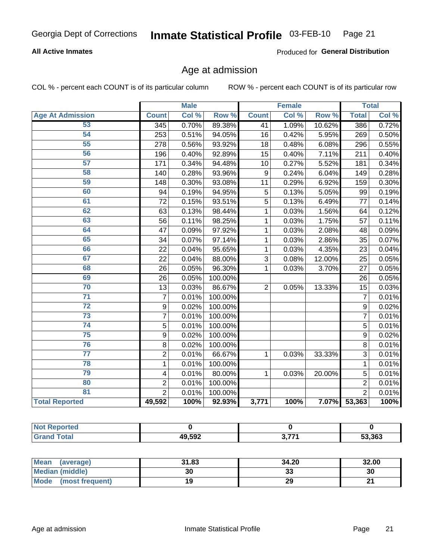#### **All Active Inmates**

Produced for General Distribution

### Age at admission

COL % - percent each COUNT is of its particular column

|                         |                         | <b>Male</b> |         |                | <b>Female</b> |        |                | <b>Total</b> |
|-------------------------|-------------------------|-------------|---------|----------------|---------------|--------|----------------|--------------|
| <b>Age At Admission</b> | <b>Count</b>            | Col %       | Row %   | <b>Count</b>   | Col %         | Row %  | <b>Total</b>   | Col %        |
| 53                      | 345                     | 0.70%       | 89.38%  | 41             | 1.09%         | 10.62% | 386            | 0.72%        |
| 54                      | 253                     | 0.51%       | 94.05%  | 16             | 0.42%         | 5.95%  | 269            | 0.50%        |
| 55                      | 278                     | 0.56%       | 93.92%  | 18             | 0.48%         | 6.08%  | 296            | 0.55%        |
| 56                      | 196                     | 0.40%       | 92.89%  | 15             | 0.40%         | 7.11%  | 211            | 0.40%        |
| $\overline{57}$         | 171                     | 0.34%       | 94.48%  | 10             | 0.27%         | 5.52%  | 181            | 0.34%        |
| 58                      | 140                     | 0.28%       | 93.96%  | 9              | 0.24%         | 6.04%  | 149            | 0.28%        |
| 59                      | 148                     | 0.30%       | 93.08%  | 11             | 0.29%         | 6.92%  | 159            | 0.30%        |
| 60                      | 94                      | 0.19%       | 94.95%  | 5              | 0.13%         | 5.05%  | 99             | 0.19%        |
| 61                      | 72                      | 0.15%       | 93.51%  | 5              | 0.13%         | 6.49%  | 77             | 0.14%        |
| 62                      | 63                      | 0.13%       | 98.44%  | 1              | 0.03%         | 1.56%  | 64             | 0.12%        |
| 63                      | 56                      | 0.11%       | 98.25%  | 1              | 0.03%         | 1.75%  | 57             | 0.11%        |
| 64                      | 47                      | 0.09%       | 97.92%  | 1              | 0.03%         | 2.08%  | 48             | 0.09%        |
| 65                      | 34                      | 0.07%       | 97.14%  | 1              | 0.03%         | 2.86%  | 35             | 0.07%        |
| 66                      | 22                      | 0.04%       | 95.65%  | 1              | 0.03%         | 4.35%  | 23             | 0.04%        |
| 67                      | 22                      | 0.04%       | 88.00%  | 3              | 0.08%         | 12.00% | 25             | 0.05%        |
| 68                      | 26                      | 0.05%       | 96.30%  | 1              | 0.03%         | 3.70%  | 27             | 0.05%        |
| 69                      | 26                      | 0.05%       | 100.00% |                |               |        | 26             | 0.05%        |
| 70                      | 13                      | 0.03%       | 86.67%  | $\overline{2}$ | 0.05%         | 13.33% | 15             | 0.03%        |
| $\overline{71}$         | $\overline{7}$          | 0.01%       | 100.00% |                |               |        | $\overline{7}$ | 0.01%        |
| $\overline{72}$         | $\boldsymbol{9}$        | 0.02%       | 100.00% |                |               |        | 9              | 0.02%        |
| $\overline{73}$         | $\overline{7}$          | 0.01%       | 100.00% |                |               |        | $\overline{7}$ | 0.01%        |
| $\overline{74}$         | 5                       | 0.01%       | 100.00% |                |               |        | $\overline{5}$ | 0.01%        |
| 75                      | 9                       | 0.02%       | 100.00% |                |               |        | 9              | 0.02%        |
| 76                      | 8                       | 0.02%       | 100.00% |                |               |        | 8              | 0.01%        |
| $\overline{77}$         | $\overline{2}$          | 0.01%       | 66.67%  | $\mathbf{1}$   | 0.03%         | 33.33% | 3              | 0.01%        |
| 78                      | $\mathbf{1}$            | 0.01%       | 100.00% |                |               |        | 1              | 0.01%        |
| 79                      | $\overline{\mathbf{4}}$ | 0.01%       | 80.00%  | 1              | 0.03%         | 20.00% | 5              | 0.01%        |
| 80                      | $\overline{2}$          | 0.01%       | 100.00% |                |               |        | $\overline{2}$ | 0.01%        |
| $\overline{81}$         | $\overline{2}$          | 0.01%       | 100.00% |                |               |        | $\overline{2}$ | 0.01%        |
| <b>Total Reported</b>   | 49,592                  | 100%        | 92.93%  | 3,771          | 100%          | 7.07%  | 53,363         | 100%         |

| erten.<br><b>NOT</b> |        |     |        |
|----------------------|--------|-----|--------|
| $n+n$                | 49,592 | 271 | 53,363 |

| Mean (average)         | 31.83 | 34.20   | 32.00 |
|------------------------|-------|---------|-------|
| <b>Median (middle)</b> | 30    | ົ<br>აა | 30    |
| Mode (most frequent)   |       | 29      | ີ     |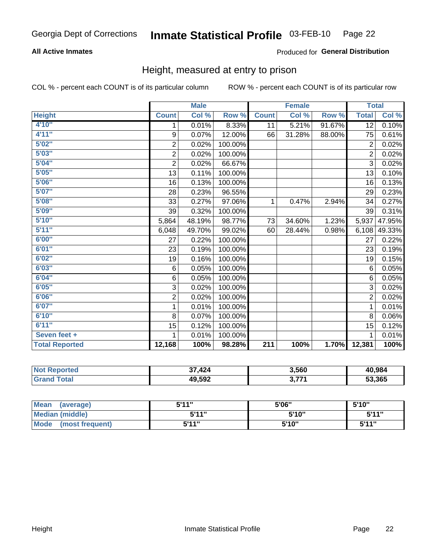#### **All Active Inmates**

#### Produced for General Distribution

#### Height, measured at entry to prison

COL % - percent each COUNT is of its particular column

|                       |                           | <b>Male</b> |         |                  | <b>Female</b> |        | <b>Total</b>   |        |
|-----------------------|---------------------------|-------------|---------|------------------|---------------|--------|----------------|--------|
| <b>Height</b>         | <b>Count</b>              | Col %       | Row %   | <b>Count</b>     | Col %         | Row %  | <b>Total</b>   | Col %  |
| 4'10"                 | 1                         | 0.01%       | 8.33%   | 11               | 5.21%         | 91.67% | 12             | 0.10%  |
| 4'11''                | $\boldsymbol{9}$          | 0.07%       | 12.00%  | 66               | 31.28%        | 88.00% | 75             | 0.61%  |
| 5'02''                | $\overline{c}$            | 0.02%       | 100.00% |                  |               |        | $\overline{2}$ | 0.02%  |
| 5'03''                | $\overline{\mathbf{c}}$   | 0.02%       | 100.00% |                  |               |        | $\overline{2}$ | 0.02%  |
| 5'04"                 | $\overline{c}$            | 0.02%       | 66.67%  |                  |               |        | $\overline{3}$ | 0.02%  |
| 5'05''                | 13                        | 0.11%       | 100.00% |                  |               |        | 13             | 0.10%  |
| 5'06''                | 16                        | 0.13%       | 100.00% |                  |               |        | 16             | 0.13%  |
| 5'07''                | 28                        | 0.23%       | 96.55%  |                  |               |        | 29             | 0.23%  |
| 5'08''                | 33                        | 0.27%       | 97.06%  | 1                | 0.47%         | 2.94%  | 34             | 0.27%  |
| 5'09''                | 39                        | 0.32%       | 100.00% |                  |               |        | 39             | 0.31%  |
| 5'10''                | 5,864                     | 48.19%      | 98.77%  | 73               | 34.60%        | 1.23%  | 5,937          | 47.95% |
| 5'11''                | 6,048                     | 49.70%      | 99.02%  | 60               | 28.44%        | 0.98%  | 6,108          | 49.33% |
| 6'00''                | 27                        | 0.22%       | 100.00% |                  |               |        | 27             | 0.22%  |
| 6'01''                | 23                        | 0.19%       | 100.00% |                  |               |        | 23             | 0.19%  |
| 6'02''                | 19                        | 0.16%       | 100.00% |                  |               |        | 19             | 0.15%  |
| 6'03''                | 6                         | 0.05%       | 100.00% |                  |               |        | 6              | 0.05%  |
| 6'04''                | 6                         | 0.05%       | 100.00% |                  |               |        | 6              | 0.05%  |
| 6'05''                | $\ensuremath{\mathsf{3}}$ | 0.02%       | 100.00% |                  |               |        | 3              | 0.02%  |
| 6'06''                | $\overline{c}$            | 0.02%       | 100.00% |                  |               |        | $\overline{2}$ | 0.02%  |
| 6'07''                | 1                         | 0.01%       | 100.00% |                  |               |        | 1              | 0.01%  |
| 6'10''                | 8                         | 0.07%       | 100.00% |                  |               |        | 8              | 0.06%  |
| 6'11''                | 15                        | 0.12%       | 100.00% |                  |               |        | 15             | 0.12%  |
| Seven feet +          | 1                         | 0.01%       | 100.00% |                  |               |        | 1              | 0.01%  |
| <b>Total Reported</b> | 12,168                    | 100%        | 98.28%  | $\overline{211}$ | 100%          | 1.70%  | 12,381         | 100%   |

| <b>Not</b><br>Reported | .424<br>っっ | 3,560 | 40,984 |
|------------------------|------------|-------|--------|
| <b>Total</b>           | 49,592     | ידד נ | 53,365 |

| Mean (average)                 | 5'11" | 5'06" | 5'10'' |
|--------------------------------|-------|-------|--------|
| <b>Median (middle)</b>         | 5'11" | 5'10" | 5'11'' |
| <b>Mode</b><br>(most frequent) | 5'11" | 5'10" | 5'11"  |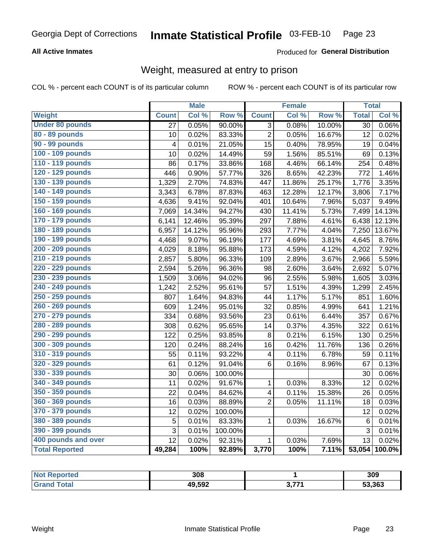#### **All Active Inmates**

#### Produced for General Distribution

### Weight, measured at entry to prison

COL % - percent each COUNT is of its particular column

|                        |                         | <b>Male</b> |                  |                         | Female |        | <b>Total</b>    |                     |
|------------------------|-------------------------|-------------|------------------|-------------------------|--------|--------|-----------------|---------------------|
| <b>Weight</b>          | <b>Count</b>            | Col %       | Row <sup>%</sup> | <b>Count</b>            | Col %  | Row %  | <b>Total</b>    | Col %               |
| <b>Under 80 pounds</b> | 27                      | 0.05%       | 90.00%           | $\overline{3}$          | 0.08%  | 10.00% | $\overline{30}$ | 0.06%               |
| 80 - 89 pounds         | 10                      | 0.02%       | 83.33%           | $\overline{2}$          | 0.05%  | 16.67% | 12              | 0.02%               |
| <b>90 - 99 pounds</b>  | $\overline{\mathbf{4}}$ | 0.01%       | 21.05%           | $\overline{15}$         | 0.40%  | 78.95% | 19              | 0.04%               |
| 100 - 109 pounds       | 10                      | 0.02%       | 14.49%           | 59                      | 1.56%  | 85.51% | 69              | 0.13%               |
| 110 - 119 pounds       | 86                      | 0.17%       | 33.86%           | 168                     | 4.46%  | 66.14% | 254             | 0.48%               |
| 120 - 129 pounds       | 446                     | 0.90%       | 57.77%           | 326                     | 8.65%  | 42.23% | 772             | 1.46%               |
| 130 - 139 pounds       | 1,329                   | 2.70%       | 74.83%           | 447                     | 11.86% | 25.17% | 1,776           | 3.35%               |
| 140 - 149 pounds       | 3,343                   | 6.78%       | 87.83%           | 463                     | 12.28% | 12.17% | 3,806           | 7.17%               |
| 150 - 159 pounds       | 4,636                   | 9.41%       | 92.04%           | 401                     | 10.64% | 7.96%  | 5,037           | 9.49%               |
| 160 - 169 pounds       | 7,069                   | 14.34%      | 94.27%           | 430                     | 11.41% | 5.73%  | 7,499           | 14.13%              |
| 170 - 179 pounds       | 6,141                   | 12.46%      | 95.39%           | 297                     | 7.88%  | 4.61%  | 6,438           | 12.13%              |
| 180 - 189 pounds       | 6,957                   | 14.12%      | 95.96%           | 293                     | 7.77%  | 4.04%  | 7,250           | 13.67%              |
| 190 - 199 pounds       | 4,468                   | 9.07%       | 96.19%           | 177                     | 4.69%  | 3.81%  | 4,645           | 8.76%               |
| 200 - 209 pounds       | 4,029                   | 8.18%       | 95.88%           | 173                     | 4.59%  | 4.12%  | 4,202           | 7.92%               |
| 210 - 219 pounds       | 2,857                   | 5.80%       | 96.33%           | 109                     | 2.89%  | 3.67%  | 2,966           | 5.59%               |
| 220 - 229 pounds       | 2,594                   | 5.26%       | 96.36%           | 98                      | 2.60%  | 3.64%  | 2,692           | 5.07%               |
| 230 - 239 pounds       | 1,509                   | 3.06%       | 94.02%           | 96                      | 2.55%  | 5.98%  | 1,605           | 3.03%               |
| 240 - 249 pounds       | 1,242                   | 2.52%       | 95.61%           | 57                      | 1.51%  | 4.39%  | 1,299           | 2.45%               |
| 250 - 259 pounds       | 807                     | 1.64%       | 94.83%           | 44                      | 1.17%  | 5.17%  | 851             | 1.60%               |
| 260 - 269 pounds       | 609                     | 1.24%       | 95.01%           | 32                      | 0.85%  | 4.99%  | 641             | 1.21%               |
| 270 - 279 pounds       | 334                     | 0.68%       | 93.56%           | 23                      | 0.61%  | 6.44%  | 357             | 0.67%               |
| 280 - 289 pounds       | 308                     | 0.62%       | 95.65%           | 14                      | 0.37%  | 4.35%  | 322             | 0.61%               |
| 290 - 299 pounds       | 122                     | 0.25%       | 93.85%           | 8                       | 0.21%  | 6.15%  | 130             | 0.25%               |
| 300 - 309 pounds       | 120                     | 0.24%       | 88.24%           | 16                      | 0.42%  | 11.76% | 136             | 0.26%               |
| 310 - 319 pounds       | 55                      | 0.11%       | 93.22%           | $\overline{\mathbf{4}}$ | 0.11%  | 6.78%  | 59              | 0.11%               |
| 320 - 329 pounds       | 61                      | 0.12%       | 91.04%           | 6                       | 0.16%  | 8.96%  | 67              | $\overline{0.13\%}$ |
| 330 - 339 pounds       | 30                      | 0.06%       | 100.00%          |                         |        |        | 30              | 0.06%               |
| 340 - 349 pounds       | 11                      | 0.02%       | 91.67%           | 1                       | 0.03%  | 8.33%  | 12              | 0.02%               |
| 350 - 359 pounds       | 22                      | 0.04%       | 84.62%           | $\overline{\mathbf{4}}$ | 0.11%  | 15.38% | 26              | 0.05%               |
| 360 - 369 pounds       | 16                      | 0.03%       | 88.89%           | $\overline{2}$          | 0.05%  | 11.11% | 18              | 0.03%               |
| 370 - 379 pounds       | 12                      | 0.02%       | 100.00%          |                         |        |        | 12              | 0.02%               |
| 380 - 389 pounds       | 5                       | 0.01%       | 83.33%           | 1                       | 0.03%  | 16.67% | $6\phantom{1}6$ | 0.01%               |
| 390 - 399 pounds       | 3                       | 0.01%       | 100.00%          |                         |        |        | 3               | 0.01%               |
| 400 pounds and over    | 12                      | 0.02%       | 92.31%           | 1                       | 0.03%  | 7.69%  | 13              | 0.02%               |
| <b>Total Reported</b>  | 49,284                  | 100%        | 92.89%           | 3,770                   | 100%   | 7.11%  | 53,054          | 100.0%              |

| <b>Not</b><br>oorted | 308    |      | 309    |
|----------------------|--------|------|--------|
| īota.                | 49,592 | ・フフィ | 53,363 |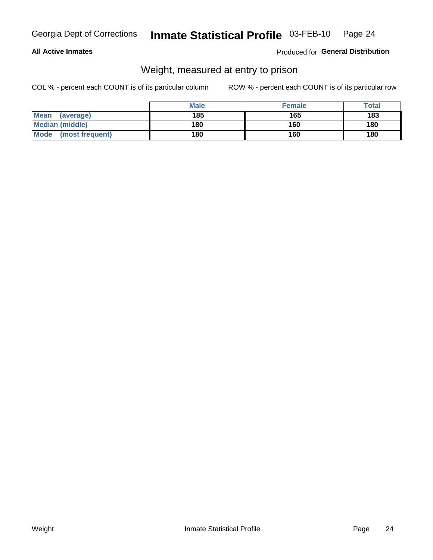#### **All Active Inmates**

#### Produced for General Distribution

### Weight, measured at entry to prison

COL % - percent each COUNT is of its particular column

|                          | <b>Male</b> | <b>Female</b> | Total |
|--------------------------|-------------|---------------|-------|
| <b>Mean</b><br>(average) | 185         | 165           | 183   |
| <b>Median (middle)</b>   | 180         | 160           | 180   |
| Mode<br>(most frequent)  | 180         | 160           | 180   |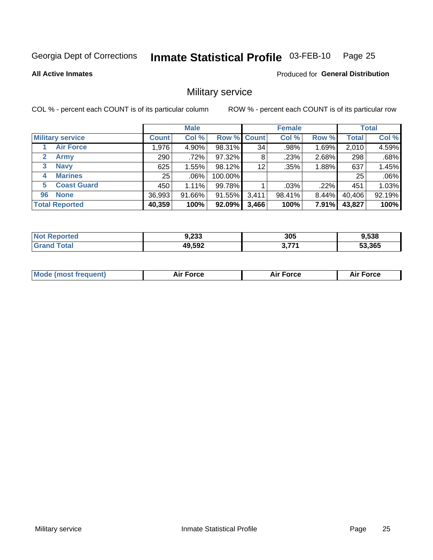#### Inmate Statistical Profile 03-FEB-10 Page 25

#### **All Active Inmates**

Produced for General Distribution

### Military service

COL % - percent each COUNT is of its particular column

|                          |              | <b>Male</b> |         |                    | <b>Female</b> |       |              | <b>Total</b> |
|--------------------------|--------------|-------------|---------|--------------------|---------------|-------|--------------|--------------|
| <b>Military service</b>  | <b>Count</b> | Col %       |         | <b>Row % Count</b> | Col %         | Row % | <b>Total</b> | Col %        |
| <b>Air Force</b>         | ا 976.       | 4.90%       | 98.31%  | 34                 | .98%          | 1.69% | 2,010        | 4.59%        |
| 2<br>Army                | 290          | .72%        | 97.32%  | 8                  | .23%          | 2.68% | 298          | .68%         |
| <b>Navy</b><br>3         | 625          | $1.55\%$    | 98.12%  | 12                 | .35%          | 1.88% | 637          | 1.45%        |
| <b>Marines</b><br>4      | 25           | $.06\%$     | 100.00% |                    |               |       | 25           | .06%         |
| <b>Coast Guard</b><br>5. | 450          | 1.11%       | 99.78%  |                    | .03%          | .22%  | 451          | 1.03%        |
| <b>None</b><br>96        | 36,993       | 91.66%      | 91.55%  | 3,411              | 98.41%        | 8.44% | 40,406       | 92.19%       |
| <b>Total Reported</b>    | 40,359       | 100%        | 92.09%  | 3,466              | 100%          | 7.91% | 43,827       | 100%         |

| N<br>тес | n an a<br>ອ,∠ວວ | 305  | 9,538  |
|----------|-----------------|------|--------|
| otal     | 49,592          | 2774 | 53,365 |

| <b>Mode (most frequent)</b><br><b>Force</b><br><b>Force</b><br>orce<br>Aır |
|----------------------------------------------------------------------------|
|----------------------------------------------------------------------------|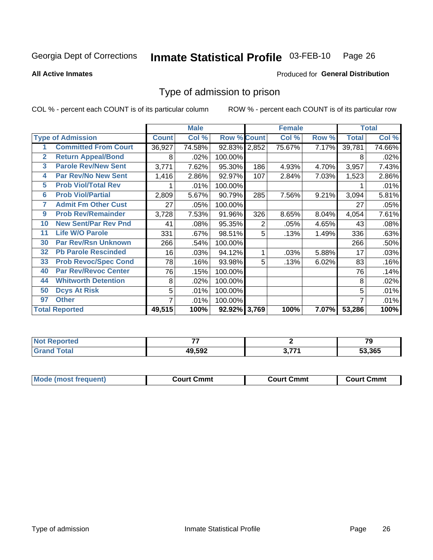#### Inmate Statistical Profile 03-FEB-10 Page 26

**All Active Inmates** 

#### Produced for General Distribution

### Type of admission to prison

COL % - percent each COUNT is of its particular column

|                |                             |              | <b>Male</b> |                    |                | <b>Female</b> |       |              | <b>Total</b> |
|----------------|-----------------------------|--------------|-------------|--------------------|----------------|---------------|-------|--------------|--------------|
|                | <b>Type of Admission</b>    | <b>Count</b> | Col %       | <b>Row % Count</b> |                | Col %         | Row % | <b>Total</b> | Col %        |
| 1              | <b>Committed From Court</b> | 36,927       | 74.58%      | 92.83% 2,852       |                | 75.67%        | 7.17% | 39,781       | 74.66%       |
| $\overline{2}$ | <b>Return Appeal/Bond</b>   | 8            | .02%        | 100.00%            |                |               |       | 8            | .02%         |
| 3              | <b>Parole Rev/New Sent</b>  | 3,771        | 7.62%       | 95.30%             | 186            | 4.93%         | 4.70% | 3,957        | 7.43%        |
| 4              | <b>Par Rev/No New Sent</b>  | 1,416        | 2.86%       | 92.97%             | 107            | 2.84%         | 7.03% | 1,523        | 2.86%        |
| 5              | <b>Prob Viol/Total Rev</b>  |              | .01%        | 100.00%            |                |               |       |              | .01%         |
| 6              | <b>Prob Viol/Partial</b>    | 2,809        | 5.67%       | 90.79%             | 285            | 7.56%         | 9.21% | 3,094        | 5.81%        |
| 7              | <b>Admit Fm Other Cust</b>  | 27           | .05%        | 100.00%            |                |               |       | 27           | .05%         |
| 9              | <b>Prob Rev/Remainder</b>   | 3,728        | 7.53%       | 91.96%             | 326            | 8.65%         | 8.04% | 4,054        | 7.61%        |
| 10             | <b>New Sent/Par Rev Pnd</b> | 41           | .08%        | 95.35%             | $\overline{2}$ | .05%          | 4.65% | 43           | .08%         |
| 11             | <b>Life W/O Parole</b>      | 331          | .67%        | 98.51%             | 5              | .13%          | 1.49% | 336          | .63%         |
| 30             | <b>Par Rev/Rsn Unknown</b>  | 266          | .54%        | 100.00%            |                |               |       | 266          | .50%         |
| 32             | <b>Pb Parole Rescinded</b>  | 16           | .03%        | 94.12%             | 1              | .03%          | 5.88% | 17           | .03%         |
| 33             | <b>Prob Revoc/Spec Cond</b> | 78           | .16%        | 93.98%             | 5              | .13%          | 6.02% | 83           | .16%         |
| 40             | <b>Par Rev/Revoc Center</b> | 76           | .15%        | 100.00%            |                |               |       | 76           | .14%         |
| 44             | <b>Whitworth Detention</b>  | 8            | .02%        | 100.00%            |                |               |       | 8            | .02%         |
| 50             | <b>Dcys At Risk</b>         | 5            | .01%        | 100.00%            |                |               |       | 5            | .01%         |
| 97             | <b>Other</b>                | 7            | .01%        | 100.00%            |                |               |       | 7            | .01%         |
|                | <b>Total Reported</b>       | 49,515       | 100%        | 92.92% 3,769       |                | 100%          | 7.07% | 53,286       | 100%         |

| <b>Not Reported</b> |        |     | $\mathbf{z}$<br>. . |
|---------------------|--------|-----|---------------------|
| <b>Total</b>        | 49,592 | フフィ | 53.365              |

| <b>Mode (most frequent)</b> | Court Cmmt | <b>Court Cmmt</b> | Court Cmmt |
|-----------------------------|------------|-------------------|------------|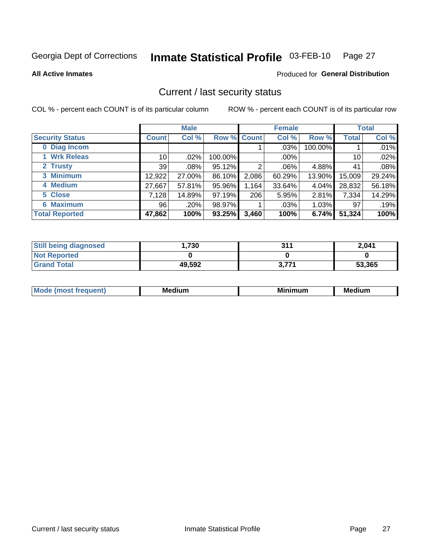#### Inmate Statistical Profile 03-FEB-10 Page 27

**All Active Inmates** 

#### Produced for General Distribution

### Current / last security status

COL % - percent each COUNT is of its particular column

|                        |                 | <b>Male</b> |             |       | <b>Female</b> |          |              | <b>Total</b> |
|------------------------|-----------------|-------------|-------------|-------|---------------|----------|--------------|--------------|
| <b>Security Status</b> | <b>Count</b>    | Col %       | Row % Count |       | Col %         | Row %    | <b>Total</b> | Col %        |
| 0 Diag Incom           |                 |             |             |       | .03%          | 100.00%  |              | .01%         |
| 1 Wrk Releas           | 10 <sup>1</sup> | .02%        | 100.00%     |       | .00%          |          | 10           | .02%         |
| 2 Trusty               | 39              | $.08\%$     | 95.12%      | 2     | .06%          | 4.88%    | 41           | .08%         |
| 3 Minimum              | 12,922          | 27.00%      | 86.10%      | 2,086 | 60.29%        | 13.90%   | 15,009       | 29.24%       |
| 4 Medium               | 27,667          | 57.81%      | 95.96%      | 1,164 | 33.64%        | 4.04%    | 28,832       | 56.18%       |
| 5 Close                | 7.128           | 14.89%      | 97.19%      | 206   | 5.95%         | 2.81%    | 7,334        | 14.29%       |
| <b>6 Maximum</b>       | 96 <sub>1</sub> | .20%        | 98.97%      |       | .03%          | $1.03\%$ | 97           | .19%         |
| <b>Total Reported</b>  | 47,862          | 100%        | 93.25%      | 3,460 | 100%          | 6.74%    | 51,324       | 100%         |

| <b>Still being diagnosed</b> | .730   | 311   | 2,041  |
|------------------------------|--------|-------|--------|
| <b>Not Reported</b>          |        |       |        |
| <b>Grand Total</b>           | 49,592 | 3,771 | 53,365 |

| <b>Mode</b><br>'reauent) | <b>Medium</b> | <b>BRID</b><br>num | Mer<br>dium |
|--------------------------|---------------|--------------------|-------------|
|                          |               |                    |             |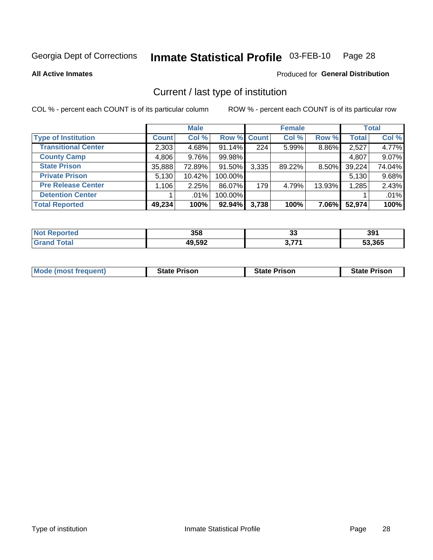#### Inmate Statistical Profile 03-FEB-10 Page 28

**All Active Inmates** 

#### Produced for General Distribution

### Current / last type of institution

COL % - percent each COUNT is of its particular column

|                            |              | <b>Male</b> |             |       | <b>Female</b> |        |              | <b>Total</b> |
|----------------------------|--------------|-------------|-------------|-------|---------------|--------|--------------|--------------|
| <b>Type of Institution</b> | <b>Count</b> | Col %       | Row % Count |       | Col %         | Row %  | <b>Total</b> | Col %        |
| <b>Transitional Center</b> | 2,303        | 4.68%       | $91.14\%$   | 224   | 5.99%         | 8.86%  | 2,527        | 4.77%        |
| <b>County Camp</b>         | 4,806        | $9.76\%$    | 99.98%      |       |               |        | 4,807        | 9.07%        |
| <b>State Prison</b>        | 35,888       | 72.89%      | 91.50%      | 3,335 | 89.22%        | 8.50%  | 39,224       | 74.04%       |
| <b>Private Prison</b>      | 5,130        | 10.42%      | 100.00%     |       |               |        | 5,130        | 9.68%        |
| <b>Pre Release Center</b>  | 1,106        | 2.25%       | 86.07%      | 179   | 4.79%         | 13.93% | 1,285        | 2.43%        |
| <b>Detention Center</b>    |              | $.01\%$     | 100.00%     |       |               |        |              | .01%         |
| <b>Total Reported</b>      | 49,234       | 100%        | 92.94%      | 3,738 | 100%          | 7.06%  | 52,974       | 100%         |

| е | 358    | . .<br>ഄഄ | 39'  |
|---|--------|-----------|------|
|   | 49,592 | ・フフィ      | .365 |

|  |  | <b>Mode (most frequent)</b> | <b>State Prison</b> | <b>State Prison</b> | <b>State Prison</b> |
|--|--|-----------------------------|---------------------|---------------------|---------------------|
|--|--|-----------------------------|---------------------|---------------------|---------------------|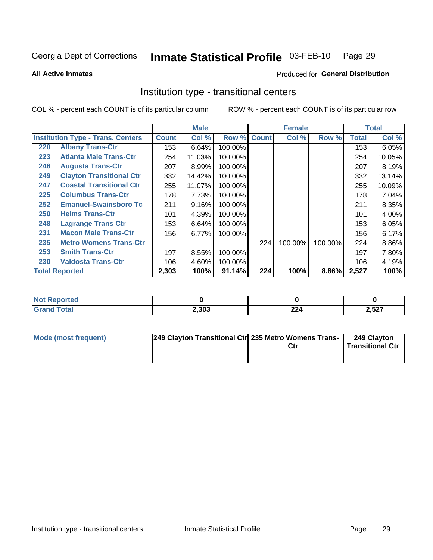#### Inmate Statistical Profile 03-FEB-10 Page 29

Produced for General Distribution

#### **All Active Inmates**

## Institution type - transitional centers

COL % - percent each COUNT is of its particular column

|     |                                          |              | <b>Male</b> |         |              | <b>Female</b> |         |              | <b>Total</b> |
|-----|------------------------------------------|--------------|-------------|---------|--------------|---------------|---------|--------------|--------------|
|     | <b>Institution Type - Trans. Centers</b> | <b>Count</b> | Col %       | Row %   | <b>Count</b> | Col %         | Row %   | <b>Total</b> | Col %        |
| 220 | <b>Albany Trans-Ctr</b>                  | 153          | 6.64%       | 100.00% |              |               |         | 153          | 6.05%        |
| 223 | <b>Atlanta Male Trans-Ctr</b>            | 254          | 11.03%      | 100.00% |              |               |         | 254          | 10.05%       |
| 246 | <b>Augusta Trans-Ctr</b>                 | 207          | 8.99%       | 100.00% |              |               |         | 207          | 8.19%        |
| 249 | <b>Clayton Transitional Ctr</b>          | 332          | 14.42%      | 100.00% |              |               |         | 332          | 13.14%       |
| 247 | <b>Coastal Transitional Ctr</b>          | 255          | 11.07%      | 100.00% |              |               |         | 255          | 10.09%       |
| 225 | <b>Columbus Trans-Ctr</b>                | 178          | 7.73%       | 100.00% |              |               |         | 178          | 7.04%        |
| 252 | <b>Emanuel-Swainsboro Tc</b>             | 211          | 9.16%       | 100.00% |              |               |         | 211          | 8.35%        |
| 250 | <b>Helms Trans-Ctr</b>                   | 101          | 4.39%       | 100.00% |              |               |         | 101          | 4.00%        |
| 248 | <b>Lagrange Trans Ctr</b>                | 153          | 6.64%       | 100.00% |              |               |         | 153          | 6.05%        |
| 231 | <b>Macon Male Trans-Ctr</b>              | 156          | 6.77%       | 100.00% |              |               |         | 156          | 6.17%        |
| 235 | <b>Metro Womens Trans-Ctr</b>            |              |             |         | 224          | 100.00%       | 100.00% | 224          | 8.86%        |
| 253 | <b>Smith Trans-Ctr</b>                   | 197          | 8.55%       | 100.00% |              |               |         | 197          | 7.80%        |
| 230 | <b>Valdosta Trans-Ctr</b>                | 106          | 4.60%       | 100.00% |              |               |         | 106          | 4.19%        |
|     | <b>Total Reported</b>                    | 2,303        | 100%        | 91.14%  | 224          | 100%          | 8.86%   | 2,527        | 100%         |

| NO<br>τeα |       |           |       |
|-----------|-------|-----------|-------|
|           | 2,303 | ົດດ<br>44 | 2,527 |

| Mode (most frequent) | 249 Clayton Transitional Ctr 235 Metro Womens Trans- | Ctr | 249 Clayton<br>Transitional Ctr |
|----------------------|------------------------------------------------------|-----|---------------------------------|
|                      |                                                      |     |                                 |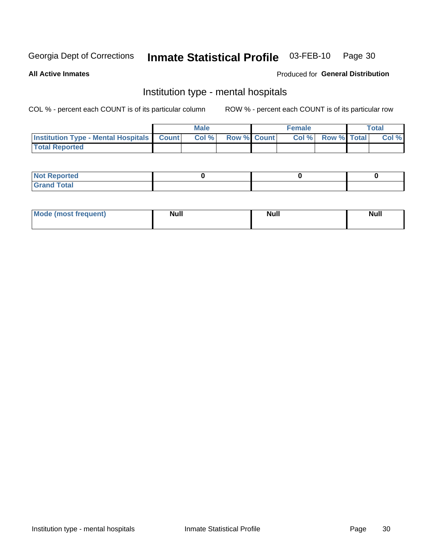#### Inmate Statistical Profile 03-FEB-10 Page 30

#### **All Active Inmates**

#### Produced for General Distribution

### Institution type - mental hospitals

COL % - percent each COUNT is of its particular column

|                                                  | Male  |                    | <b>Female</b> |                          | Total |
|--------------------------------------------------|-------|--------------------|---------------|--------------------------|-------|
| <b>Institution Type - Mental Hospitals Count</b> | Col % | <b>Row % Count</b> |               | <b>Col % Row % Total</b> | Col%  |
| <b>Total Reported</b>                            |       |                    |               |                          |       |

| <b>Not Reported</b>                     |  |  |
|-----------------------------------------|--|--|
| <b>otal</b><br>C <sub>r</sub><br>______ |  |  |

| Mode.<br>frequent) | <b>Nul</b><br>_____ | <b>Null</b> | <b>Null</b> |
|--------------------|---------------------|-------------|-------------|
|                    |                     |             |             |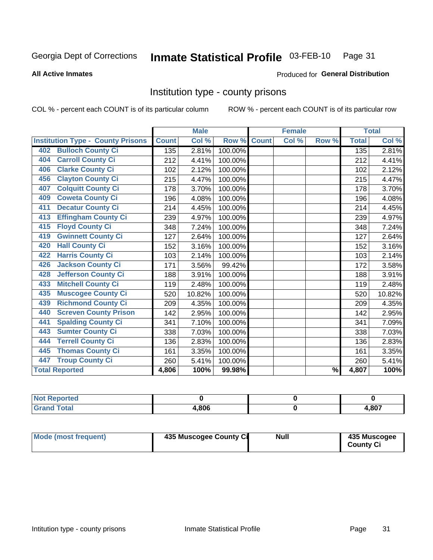#### Inmate Statistical Profile 03-FEB-10 Page 31

**Produced for General Distribution** 

#### **All Active Inmates**

#### Institution type - county prisons

COL % - percent each COUNT is of its particular column

|                                          |              | <b>Male</b> |         |              | <b>Female</b> |               |              | <b>Total</b> |
|------------------------------------------|--------------|-------------|---------|--------------|---------------|---------------|--------------|--------------|
| <b>Institution Type - County Prisons</b> | <b>Count</b> | Col %       | Row %   | <b>Count</b> | Col %         | Row %         | <b>Total</b> | Col %        |
| <b>Bulloch County Ci</b><br>402          | 135          | 2.81%       | 100.00% |              |               |               | 135          | 2.81%        |
| <b>Carroll County Ci</b><br>404          | 212          | 4.41%       | 100.00% |              |               |               | 212          | 4.41%        |
| <b>Clarke County Ci</b><br>406           | 102          | 2.12%       | 100.00% |              |               |               | 102          | 2.12%        |
| <b>Clayton County Ci</b><br>456          | 215          | 4.47%       | 100.00% |              |               |               | 215          | 4.47%        |
| <b>Colquitt County Ci</b><br>407         | 178          | 3.70%       | 100.00% |              |               |               | 178          | 3.70%        |
| <b>Coweta County Ci</b><br>409           | 196          | 4.08%       | 100.00% |              |               |               | 196          | 4.08%        |
| <b>Decatur County Ci</b><br>411          | 214          | 4.45%       | 100.00% |              |               |               | 214          | 4.45%        |
| <b>Effingham County Ci</b><br>413        | 239          | 4.97%       | 100.00% |              |               |               | 239          | 4.97%        |
| <b>Floyd County Ci</b><br>415            | 348          | 7.24%       | 100.00% |              |               |               | 348          | 7.24%        |
| <b>Gwinnett County Ci</b><br>419         | 127          | 2.64%       | 100.00% |              |               |               | 127          | 2.64%        |
| <b>Hall County Ci</b><br>420             | 152          | 3.16%       | 100.00% |              |               |               | 152          | 3.16%        |
| <b>Harris County Ci</b><br>422           | 103          | 2.14%       | 100.00% |              |               |               | 103          | 2.14%        |
| <b>Jackson County Ci</b><br>426          | 171          | 3.56%       | 99.42%  |              |               |               | 172          | 3.58%        |
| <b>Jefferson County Ci</b><br>428        | 188          | 3.91%       | 100.00% |              |               |               | 188          | 3.91%        |
| <b>Mitchell County Ci</b><br>433         | 119          | 2.48%       | 100.00% |              |               |               | 119          | 2.48%        |
| <b>Muscogee County Ci</b><br>435         | 520          | 10.82%      | 100.00% |              |               |               | 520          | 10.82%       |
| <b>Richmond County Ci</b><br>439         | 209          | 4.35%       | 100.00% |              |               |               | 209          | 4.35%        |
| <b>Screven County Prison</b><br>440      | 142          | 2.95%       | 100.00% |              |               |               | 142          | 2.95%        |
| <b>Spalding County Ci</b><br>441         | 341          | 7.10%       | 100.00% |              |               |               | 341          | 7.09%        |
| <b>Sumter County Ci</b><br>443           | 338          | 7.03%       | 100.00% |              |               |               | 338          | 7.03%        |
| <b>Terrell County Ci</b><br>444          | 136          | 2.83%       | 100.00% |              |               |               | 136          | 2.83%        |
| <b>Thomas County Ci</b><br>445           | 161          | 3.35%       | 100.00% |              |               |               | 161          | 3.35%        |
| <b>Troup County Ci</b><br>447            | 260          | 5.41%       | 100.00% |              |               |               | 260          | 5.41%        |
| <b>Total Reported</b>                    | 4,806        | 100%        | 99.98%  |              |               | $\frac{9}{6}$ | 4,807        | 100%         |

| <b>Not Reported</b> |       |       |
|---------------------|-------|-------|
| <b>Grand Total</b>  | 4.806 | 4,807 |

| <b>Mode (most frequent)</b> | 435 Muscogee County Ci | <b>Null</b> | 435 Muscogee<br><b>County Ci</b> |
|-----------------------------|------------------------|-------------|----------------------------------|
|-----------------------------|------------------------|-------------|----------------------------------|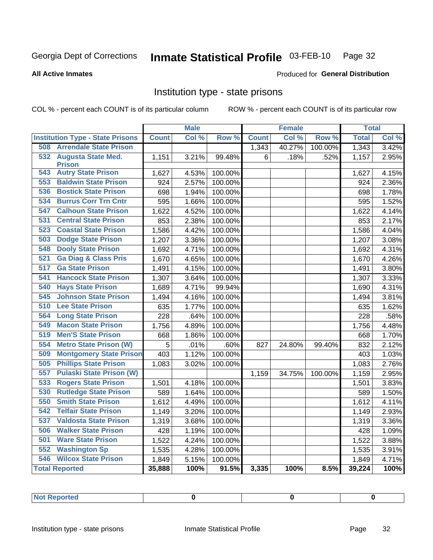#### Inmate Statistical Profile 03-FEB-10 Page 32

#### **All Active Inmates**

#### Produced for General Distribution

#### Institution type - state prisons

COL % - percent each COUNT is of its particular column

|                                         |              | <b>Male</b> |                  |              | <b>Female</b> |         | <b>Total</b> |       |
|-----------------------------------------|--------------|-------------|------------------|--------------|---------------|---------|--------------|-------|
| <b>Institution Type - State Prisons</b> | <b>Count</b> | Col %       | Row <sup>%</sup> | <b>Count</b> | Col %         | Row %   | <b>Total</b> | Col % |
| <b>Arrendale State Prison</b><br>508    |              |             |                  | 1,343        | 40.27%        | 100.00% | 1,343        | 3.42% |
| 532 Augusta State Med.                  | 1,151        | 3.21%       | 99.48%           | 6            | .18%          | .52%    | 1,157        | 2.95% |
| <b>Prison</b>                           |              |             |                  |              |               |         |              |       |
| <b>Autry State Prison</b><br>543        | 1,627        | 4.53%       | 100.00%          |              |               |         | 1,627        | 4.15% |
| <b>Baldwin State Prison</b><br>553      | 924          | 2.57%       | 100.00%          |              |               |         | 924          | 2.36% |
| <b>Bostick State Prison</b><br>536      | 698          | 1.94%       | 100.00%          |              |               |         | 698          | 1.78% |
| 534<br><b>Burrus Corr Trn Cntr</b>      | 595          | 1.66%       | 100.00%          |              |               |         | 595          | 1.52% |
| <b>Calhoun State Prison</b><br>547      | 1,622        | 4.52%       | 100.00%          |              |               |         | 1,622        | 4.14% |
| <b>Central State Prison</b><br>531      | 853          | 2.38%       | 100.00%          |              |               |         | 853          | 2.17% |
| <b>Coastal State Prison</b><br>523      | 1,586        | 4.42%       | 100.00%          |              |               |         | 1,586        | 4.04% |
| <b>Dodge State Prison</b><br>503        | 1,207        | 3.36%       | 100.00%          |              |               |         | 1,207        | 3.08% |
| <b>Dooly State Prison</b><br>548        | 1,692        | 4.71%       | 100.00%          |              |               |         | 1,692        | 4.31% |
| <b>Ga Diag &amp; Class Pris</b><br>521  | 1,670        | 4.65%       | 100.00%          |              |               |         | 1,670        | 4.26% |
| <b>Ga State Prison</b><br>517           | 1,491        | 4.15%       | 100.00%          |              |               |         | 1,491        | 3.80% |
| <b>Hancock State Prison</b><br>541      | 1,307        | 3.64%       | 100.00%          |              |               |         | 1,307        | 3.33% |
| 540<br><b>Hays State Prison</b>         | 1,689        | 4.71%       | 99.94%           |              |               |         | 1,690        | 4.31% |
| <b>Johnson State Prison</b><br>545      | 1,494        | 4.16%       | 100.00%          |              |               |         | 1,494        | 3.81% |
| 510<br><b>Lee State Prison</b>          | 635          | 1.77%       | 100.00%          |              |               |         | 635          | 1.62% |
| 564<br><b>Long State Prison</b>         | 228          | .64%        | 100.00%          |              |               |         | 228          | .58%  |
| <b>Macon State Prison</b><br>549        | 1,756        | 4.89%       | 100.00%          |              |               |         | 1,756        | 4.48% |
| 519<br><b>Men'S State Prison</b>        | 668          | 1.86%       | 100.00%          |              |               |         | 668          | 1.70% |
| 554<br><b>Metro State Prison (W)</b>    | 5            | .01%        | .60%             | 827          | 24.80%        | 99.40%  | 832          | 2.12% |
| <b>Montgomery State Prison</b><br>509   | 403          | 1.12%       | 100.00%          |              |               |         | 403          | 1.03% |
| <b>Phillips State Prison</b><br>505     | 1,083        | 3.02%       | 100.00%          |              |               |         | 1,083        | 2.76% |
| <b>Pulaski State Prison (W)</b><br>557  |              |             |                  | 1,159        | 34.75%        | 100.00% | 1,159        | 2.95% |
| <b>Rogers State Prison</b><br>533       | 1,501        | 4.18%       | 100.00%          |              |               |         | 1,501        | 3.83% |
| 530<br><b>Rutledge State Prison</b>     | 589          | 1.64%       | 100.00%          |              |               |         | 589          | 1.50% |
| 550<br><b>Smith State Prison</b>        | 1,612        | 4.49%       | 100.00%          |              |               |         | 1,612        | 4.11% |
| <b>Telfair State Prison</b><br>542      | 1,149        | 3.20%       | 100.00%          |              |               |         | 1,149        | 2.93% |
| 537<br><b>Valdosta State Prison</b>     | 1,319        | 3.68%       | 100.00%          |              |               |         | 1,319        | 3.36% |
| <b>Walker State Prison</b><br>506       | 428          | 1.19%       | 100.00%          |              |               |         | 428          | 1.09% |
| <b>Ware State Prison</b><br>501         | 1,522        | 4.24%       | 100.00%          |              |               |         | 1,522        | 3.88% |
| <b>Washington Sp</b><br>552             | 1,535        | 4.28%       | 100.00%          |              |               |         | 1,535        | 3.91% |
| <b>Wilcox State Prison</b><br>546       | 1,849        | 5.15%       | 100.00%          |              |               |         | 1,849        | 4.71% |
| <b>Total Reported</b>                   | 35,888       | 100%        | 91.5%            | 3,335        | 100%          | 8.5%    | 39,224       | 100%  |

| <b>Not Reported</b><br>Not Re ا |  |  |
|---------------------------------|--|--|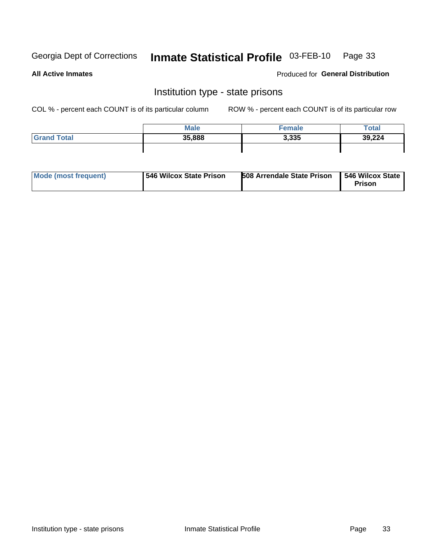## Inmate Statistical Profile 03-FEB-10 Page 33

**All Active Inmates** 

Produced for General Distribution

#### Institution type - state prisons

COL % - percent each COUNT is of its particular column

|                    | <b>Male</b> | <sup>⊏</sup> emale | Total  |
|--------------------|-------------|--------------------|--------|
| <b>Grand Total</b> | 35,888      | 3,335              | 39,224 |
|                    |             |                    |        |

| Mode (most frequent) | <b>1546 Wilcox State Prison</b> | <b>508 Arrendale State Prison</b> | 1546 Wilcox State<br><b>Prison</b> |
|----------------------|---------------------------------|-----------------------------------|------------------------------------|
|----------------------|---------------------------------|-----------------------------------|------------------------------------|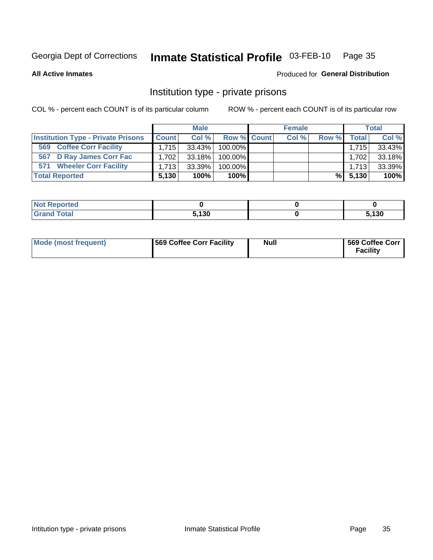## Inmate Statistical Profile 03-FEB-10 Page 35

**All Active Inmates** 

#### Produced for General Distribution

### Institution type - private prisons

COL % - percent each COUNT is of its particular column

|                                           |              | <b>Male</b> |                    | <b>Female</b> |       |              | <b>Total</b> |
|-------------------------------------------|--------------|-------------|--------------------|---------------|-------|--------------|--------------|
| <b>Institution Type - Private Prisons</b> | <b>Count</b> | Col %       | <b>Row % Count</b> | Col %         | Row % | <b>Total</b> | Col %        |
| <b>Coffee Corr Facility</b><br>569        | 1.715        | $33.43\%$   | 100.00%            |               |       | 1.715        | 33.43%       |
| 567 D Ray James Corr Fac                  | 1.702        | 33.18%      | 100.00%            |               |       | 1,702        | 33.18%       |
| <b>Wheeler Corr Facility</b><br>571       | 1.713        | 33.39%      | 100.00%            |               |       | 1.713        | 33.39%       |
| <b>Total Reported</b>                     | 5,130        | 100%        | $100\%$            |               |       | $\%$ 5.130   | 100%         |

| <b>eported</b> |       |      |
|----------------|-------|------|
| <b>otal</b>    | 5.130 | .130 |

| <b>Mode (most frequent)</b> | 569 Coffee Corr Facility | <b>Null</b> | 569 Coffee Corr<br><b>Facility</b> |
|-----------------------------|--------------------------|-------------|------------------------------------|
|-----------------------------|--------------------------|-------------|------------------------------------|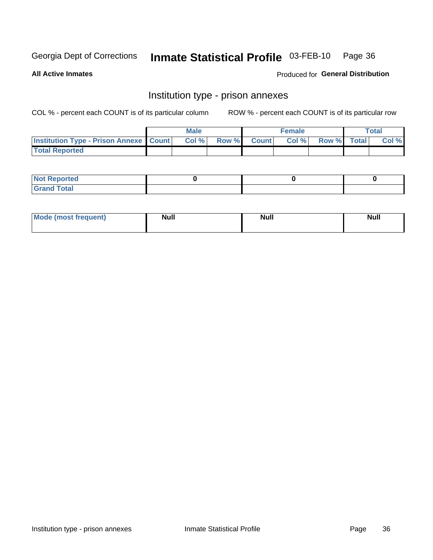## Inmate Statistical Profile 03-FEB-10 Page 36

**All Active Inmates** 

**Produced for General Distribution** 

## Institution type - prison annexes

COL % - percent each COUNT is of its particular column

|                                                   | <b>Male</b> |       |              | <b>Female</b> |             | <b>Total</b> |
|---------------------------------------------------|-------------|-------|--------------|---------------|-------------|--------------|
| <b>Institution Type - Prison Annexe   Count  </b> | Col %       | Row % | <b>Count</b> | Col %         | Row % Total | Col %        |
| <b>Total Reported</b>                             |             |       |              |               |             |              |

| <b>Reported</b><br>I NOT                      |  |  |
|-----------------------------------------------|--|--|
| <b>Total</b><br>Carar<br>$\sim$ . When $\sim$ |  |  |

| <b>Mode</b>     | <b>Null</b> | <b>Null</b> | <b>Null</b> |
|-----------------|-------------|-------------|-------------|
| most frequent). |             |             |             |
|                 |             |             |             |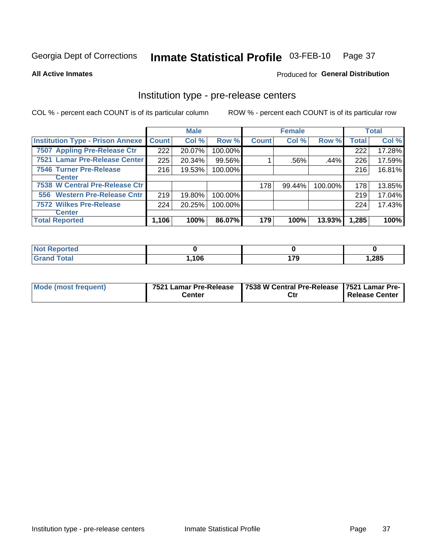## Inmate Statistical Profile 03-FEB-10 Page 37

**All Active Inmates** 

Produced for General Distribution

## Institution type - pre-release centers

COL % - percent each COUNT is of its particular column

|                                         |              | <b>Male</b> |         |              | <b>Female</b> |         |              | <b>Total</b> |
|-----------------------------------------|--------------|-------------|---------|--------------|---------------|---------|--------------|--------------|
| <b>Institution Type - Prison Annexe</b> | <b>Count</b> | Col %       | Row %   | <b>Count</b> | Col %         | Row %   | <b>Total</b> | Col %        |
| 7507 Appling Pre-Release Ctr            | 222          | 20.07%      | 100.00% |              |               |         | 222          | 17.28%       |
| 7521 Lamar Pre-Release Center           | 225          | 20.34%      | 99.56%  |              | .56%          | .44%    | 226          | 17.59%       |
| <b>7546 Turner Pre-Release</b>          | 216          | 19.53%      | 100.00% |              |               |         | 216          | 16.81%       |
| <b>Center</b>                           |              |             |         |              |               |         |              |              |
| 7538 W Central Pre-Release Ctr          |              |             |         | 178          | $99.44\%$     | 100.00% | 178          | 13.85%       |
| 556 Western Pre-Release Cntr            | 219          | 19.80%      | 100.00% |              |               |         | 219          | 17.04%       |
| <b>7572 Wilkes Pre-Release</b>          | 224          | 20.25%      | 100.00% |              |               |         | 224          | 17.43%       |
| <b>Center</b>                           |              |             |         |              |               |         |              |              |
| <b>Total Reported</b>                   | 1,106        | 100%        | 86.07%  | 179          | 100%          | 13.93%  | 1,285        | 100%         |

| <b>Exercise</b> |       |          |       |
|-----------------|-------|----------|-------|
| <b>Total</b>    | .106. | 170<br>. | 285,، |

| <b>Mode (most frequent)</b> | Center | 7521 Lamar Pre-Release   7538 W Central Pre-Release   7521 Lamar Pre-  <br>Ctr | Release Center |
|-----------------------------|--------|--------------------------------------------------------------------------------|----------------|
|                             |        |                                                                                |                |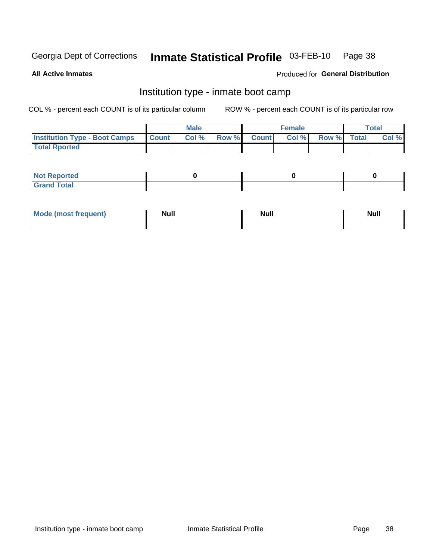#### Inmate Statistical Profile 03-FEB-10 Page 38

**All Active Inmates** 

### Produced for General Distribution

## Institution type - inmate boot camp

COL % - percent each COUNT is of its particular column

|                                      |                 | <b>Male</b> |              |              | <b>Female</b> |             | <b>Total</b> |
|--------------------------------------|-----------------|-------------|--------------|--------------|---------------|-------------|--------------|
| <b>Institution Type - Boot Camps</b> | <b>I</b> Count⊥ | Col %       | <b>Row %</b> | <b>Count</b> | Col %         | Row % Total | Col %        |
| <b>Total Rported</b>                 |                 |             |              |              |               |             |              |

| <b>Not Reported</b><br>.        |  |  |
|---------------------------------|--|--|
| Total<br><b>C</b> <sub>He</sub> |  |  |

| <b>I Mode (most frequent)</b> | <b>Null</b> | <b>Null</b> | <b>Null</b> |
|-------------------------------|-------------|-------------|-------------|
|                               |             |             |             |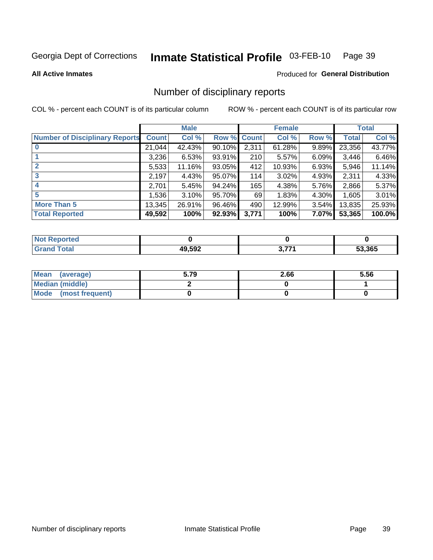#### Inmate Statistical Profile 03-FEB-10 Page 39

**All Active Inmates** 

### Produced for General Distribution

## Number of disciplinary reports

COL % - percent each COUNT is of its particular column

|                                       |              | <b>Male</b> |             |       | <b>Female</b> |          |        | <b>Total</b> |
|---------------------------------------|--------------|-------------|-------------|-------|---------------|----------|--------|--------------|
| <b>Number of Disciplinary Reports</b> | <b>Count</b> | Col %       | Row % Count |       | Col %         | Row %    | Total  | Col %        |
|                                       | 21,044       | 42.43%      | 90.10%      | 2,311 | 61.28%        | $9.89\%$ | 23,356 | 43.77%       |
|                                       | 3,236        | 6.53%       | 93.91%      | 210   | 5.57%         | 6.09%    | 3,446  | 6.46%        |
|                                       | 5,533        | 11.16%      | 93.05%      | 412   | 10.93%        | 6.93%    | 5,946  | 11.14%       |
| 3                                     | 2,197        | 4.43%       | 95.07%      | 114   | 3.02%         | 4.93%    | 2,311  | 4.33%        |
|                                       | 2,701        | 5.45%       | 94.24%      | 165   | 4.38%         | 5.76%    | 2,866  | 5.37%        |
| 5                                     | 1,536        | $3.10\%$    | 95.70%      | 69    | 1.83%         | 4.30%    | 1,605  | 3.01%        |
| <b>More Than 5</b>                    | 13,345       | 26.91%      | 96.46%      | 490   | 12.99%        | $3.54\%$ | 13,835 | 25.93%       |
| <b>Total Reported</b>                 | 49,592       | 100%        | 92.93%      | 3,771 | 100%          | 7.07%    | 53,365 | 100.0%       |

| <b>Not Reported</b> |        |     |        |
|---------------------|--------|-----|--------|
| Total               | 49,592 | フフィ | 53,365 |

| Mean (average)         | 5.79 | 2.66 | 5.56 |
|------------------------|------|------|------|
| <b>Median (middle)</b> |      |      |      |
| Mode (most frequent)   |      |      |      |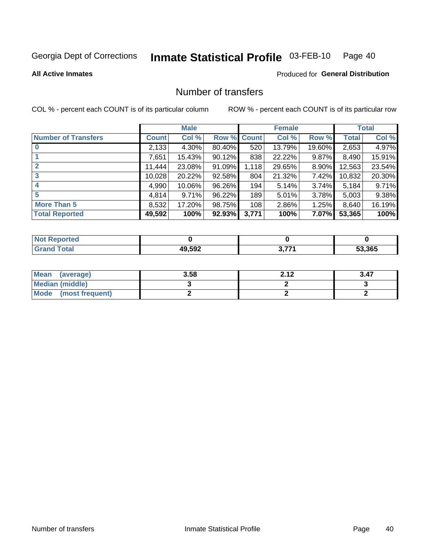#### Inmate Statistical Profile 03-FEB-10 Page 40

### **All Active Inmates**

## **Produced for General Distribution**

## Number of transfers

COL % - percent each COUNT is of its particular column

|                            |         | <b>Male</b> |        |              | <b>Female</b> |          |              | <b>Total</b> |
|----------------------------|---------|-------------|--------|--------------|---------------|----------|--------------|--------------|
| <b>Number of Transfers</b> | Count l | Col %       | Row %  | <b>Count</b> | Col %         | Row %    | <b>Total</b> | Col %        |
|                            | 2,133   | 4.30%       | 80.40% | 520          | 13.79%        | 19.60%   | 2,653        | 4.97%        |
|                            | 7,651   | 15.43%      | 90.12% | 838          | 22.22%        | $9.87\%$ | 8,490        | 15.91%       |
| $\mathbf{2}$               | 11,444  | 23.08%      | 91.09% | 1,118        | 29.65%        | 8.90%    | 12,563       | 23.54%       |
| 3                          | 10,028  | 20.22%      | 92.58% | 804          | 21.32%        | 7.42%    | 10,832       | 20.30%       |
| 4                          | 4,990   | 10.06%      | 96.26% | 194          | 5.14%         | $3.74\%$ | 5,184        | 9.71%        |
| 5                          | 4,814   | 9.71%       | 96.22% | 189          | 5.01%         | 3.78%    | 5,003        | 9.38%        |
| <b>More Than 5</b>         | 8,532   | 17.20%      | 98.75% | 108          | 2.86%         | $1.25\%$ | 8,640        | 16.19%       |
| <b>Total Reported</b>      | 49,592  | 100%        | 92.93% | 3,771        | 100%          | $7.07\%$ | 53,365       | 100%         |

| orted<br>NOT F |        |     |        |
|----------------|--------|-----|--------|
| Total          | 49,592 | フフィ | 53.365 |

| Mean (average)       | 3.58 | າ 4 າ | 3.47 |
|----------------------|------|-------|------|
| Median (middle)      |      |       |      |
| Mode (most frequent) |      |       |      |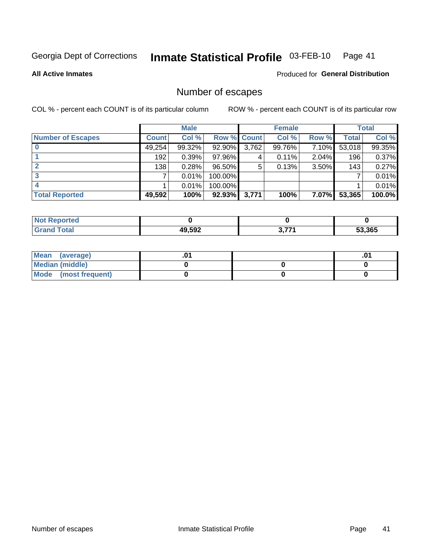#### Inmate Statistical Profile 03-FEB-10 Page 41

**All Active Inmates** 

**Produced for General Distribution** 

## Number of escapes

COL % - percent each COUNT is of its particular column

|                          |              | <b>Male</b> |             |       | <b>Female</b> |          |        | <b>Total</b> |
|--------------------------|--------------|-------------|-------------|-------|---------------|----------|--------|--------------|
| <b>Number of Escapes</b> | <b>Count</b> | Col %       | Row % Count |       | Col %         | Row %    | Total  | Col %        |
|                          | 49,254       | 99.32%      | 92.90%      | 3,762 | 99.76%        | $7.10\%$ | 53,018 | 99.35%       |
|                          | 192          | 0.39%       | 97.96%      | 4     | 0.11%         | 2.04%    | 196    | 0.37%        |
|                          | 138          | 0.28%       | $96.50\%$   | 5     | 0.13%         | 3.50%    | 143    | 0.27%        |
|                          |              | 0.01%       | 100.00%     |       |               |          |        | 0.01%        |
|                          |              | 0.01%       | $100.00\%$  |       |               |          |        | 0.01%        |
| <b>Total Reported</b>    | 49,592       | 100%        | $92.93\%$   | 3,771 | 100%          | 7.07%    | 53,365 | 100.0%       |

| <b>Not Reported</b> |        |              |        |
|---------------------|--------|--------------|--------|
| <b>Total</b>        | 49,592 | <b>2 774</b> | 53.365 |

| Mean (average)         |  | .0 <sup>4</sup> |
|------------------------|--|-----------------|
| <b>Median (middle)</b> |  |                 |
| Mode (most frequent)   |  |                 |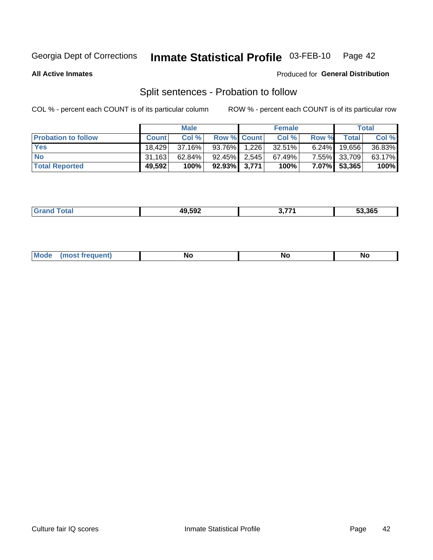#### Inmate Statistical Profile 03-FEB-10 Page 42

**All Active Inmates** 

### Produced for General Distribution

## Split sentences - Probation to follow

COL % - percent each COUNT is of its particular column

|                            |              | <b>Male</b> |                    | <b>Female</b> |          |              | <b>Total</b> |
|----------------------------|--------------|-------------|--------------------|---------------|----------|--------------|--------------|
| <b>Probation to follow</b> | <b>Count</b> | Col%        | <b>Row % Count</b> | Col %         | Row %    | <b>Total</b> | Col %        |
| <b>Yes</b>                 | 18.429       | 37.16%      | 93.76% 1.226       | 32.51%        | $6.24\%$ | 19,656       | 36.83%       |
| <b>No</b>                  | 31.163       | $62.84\%$   | $92.45\%$ 2.545    | 67.49%        |          | 7.55% 33,709 | 63.17%       |
| <b>Total Reported</b>      | 49,592       | 100%        | $92.93\%$ 3,771    | 100%          |          | 7.07% 53,365 | 100%         |

| _______ | 49.592<br>. . | 53.365 |
|---------|---------------|--------|
|         |               |        |

| $M_{\odot}$<br><br><b>NO</b><br><b>NO</b><br><b>IVU</b> |  |  |  |  |  |
|---------------------------------------------------------|--|--|--|--|--|
|---------------------------------------------------------|--|--|--|--|--|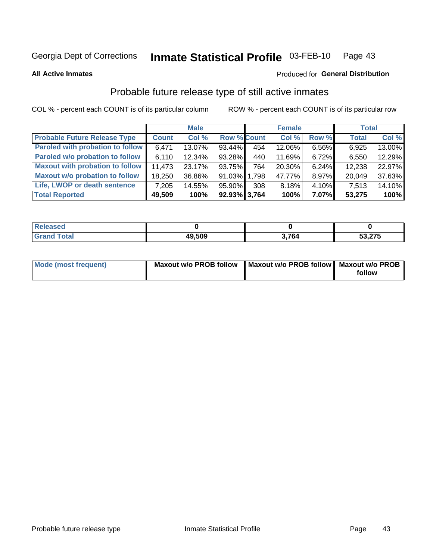#### Inmate Statistical Profile 03-FEB-10 Page 43

**All Active Inmates** 

### Produced for General Distribution

## Probable future release type of still active inmates

COL % - percent each COUNT is of its particular column

|                                         |              | <b>Male</b> |                    |       | <b>Female</b> |          | <b>Total</b> |        |
|-----------------------------------------|--------------|-------------|--------------------|-------|---------------|----------|--------------|--------|
| <b>Probable Future Release Type</b>     | <b>Count</b> | Col %       | <b>Row % Count</b> |       | Col %         | Row %    | <b>Total</b> | Col %  |
| <b>Paroled with probation to follow</b> | 6,471        | 13.07%      | 93.44%             | 454   | 12.06%        | 6.56%    | 6,925        | 13.00% |
| Paroled w/o probation to follow         | 6,110        | 12.34%      | 93.28%             | 440   | 11.69%        | 6.72%    | 6,550        | 12.29% |
| <b>Maxout with probation to follow</b>  | 11.473       | $23.17\%$   | 93.75%             | 764   | 20.30%        | 6.24%    | 12,238       | 22.97% |
| <b>Maxout w/o probation to follow</b>   | 18,250       | 36.86%      | $91.03\%$          | 1,798 | 47.77%        | 8.97%    | 20,049       | 37.63% |
| Life, LWOP or death sentence            | 7,205        | 14.55%      | 95.90%             | 308   | 8.18%         | 4.10%    | 7,513        | 14.10% |
| <b>Total Reported</b>                   | 49,509       | 100%        | $92.93\%$ 3,764    |       | 100%          | $7.07\%$ | 53,275       | 100%   |

| 49,509 | 701 | 53,275 |
|--------|-----|--------|

| <b>Mode (most frequent)</b> | <b>Maxout w/o PROB follow</b> | Maxout w/o PROB follow   Maxout w/o PROB |        |
|-----------------------------|-------------------------------|------------------------------------------|--------|
|                             |                               |                                          | follow |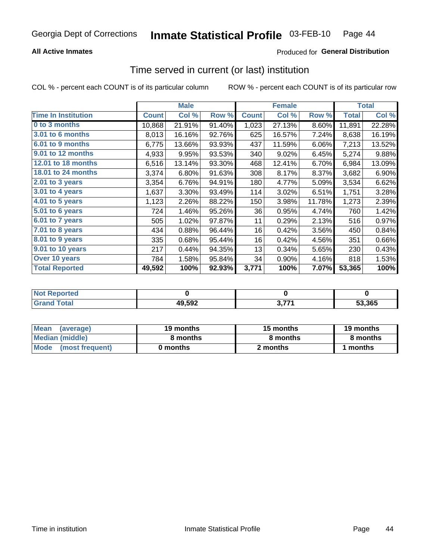## **All Active Inmates**

## **Produced for General Distribution**

# Time served in current (or last) institution

COL % - percent each COUNT is of its particular column

|                            |              | <b>Male</b> |        |              | <b>Female</b> |        |              | <b>Total</b> |
|----------------------------|--------------|-------------|--------|--------------|---------------|--------|--------------|--------------|
| <b>Time In Institution</b> | <b>Count</b> | Col %       | Row %  | <b>Count</b> | Col %         | Row %  | <b>Total</b> | Col %        |
| 0 to 3 months              | 10,868       | 21.91%      | 91.40% | 1,023        | 27.13%        | 8.60%  | 11,891       | 22.28%       |
| 3.01 to 6 months           | 8,013        | 16.16%      | 92.76% | 625          | 16.57%        | 7.24%  | 8,638        | 16.19%       |
| 6.01 to 9 months           | 6,775        | 13.66%      | 93.93% | 437          | 11.59%        | 6.06%  | 7,213        | 13.52%       |
| 9.01 to 12 months          | 4,933        | 9.95%       | 93.53% | 340          | 9.02%         | 6.45%  | 5,274        | 9.88%        |
| 12.01 to 18 months         | 6,516        | 13.14%      | 93.30% | 468          | 12.41%        | 6.70%  | 6,984        | 13.09%       |
| <b>18.01 to 24 months</b>  | 3,374        | 6.80%       | 91.63% | 308          | 8.17%         | 8.37%  | 3,682        | 6.90%        |
| 2.01 to 3 years            | 3,354        | 6.76%       | 94.91% | 180          | 4.77%         | 5.09%  | 3,534        | 6.62%        |
| $3.01$ to 4 years          | 1,637        | 3.30%       | 93.49% | 114          | 3.02%         | 6.51%  | 1,751        | 3.28%        |
| 4.01 to 5 years            | 1,123        | 2.26%       | 88.22% | 150          | 3.98%         | 11.78% | 1,273        | 2.39%        |
| 5.01 to 6 years            | 724          | 1.46%       | 95.26% | 36           | 0.95%         | 4.74%  | 760          | 1.42%        |
| 6.01 to 7 years            | 505          | 1.02%       | 97.87% | 11           | 0.29%         | 2.13%  | 516          | 0.97%        |
| 7.01 to 8 years            | 434          | 0.88%       | 96.44% | 16           | 0.42%         | 3.56%  | 450          | 0.84%        |
| $8.01$ to 9 years          | 335          | 0.68%       | 95.44% | 16           | 0.42%         | 4.56%  | 351          | 0.66%        |
| 9.01 to 10 years           | 217          | 0.44%       | 94.35% | 13           | 0.34%         | 5.65%  | 230          | 0.43%        |
| Over 10 years              | 784          | 1.58%       | 95.84% | 34           | 0.90%         | 4.16%  | 818          | 1.53%        |
| <b>Total Reported</b>      | 49,592       | 100%        | 92.93% | 3,771        | 100%          | 7.07%  | 53,365       | 100%         |

| orted<br><b>NOT</b> |        |     |        |
|---------------------|--------|-----|--------|
| `∩fa                | 49,592 | 77. | 53.365 |

| <b>Mean</b><br>(average) | 19 months | 15 months | 19 months |
|--------------------------|-----------|-----------|-----------|
| Median (middle)          | 8 months  | 8 months  | 8 months  |
| Mode (most frequent)     | 0 months  | 2 months  | 1 months  |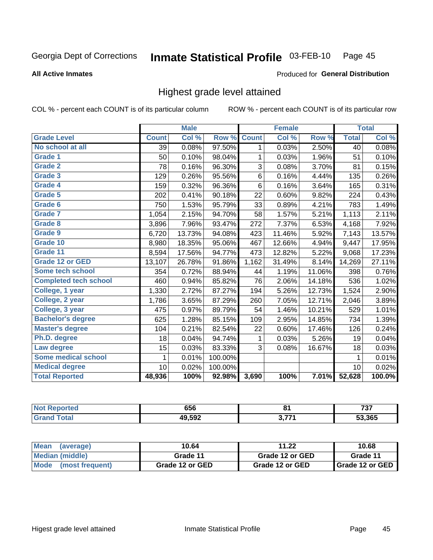#### Inmate Statistical Profile 03-FEB-10 Page 45

### **All Active Inmates**

## Produced for General Distribution

## Highest grade level attained

COL % - percent each COUNT is of its particular column

|                              |              | <b>Male</b> |         |              | <b>Female</b> |        |              | <b>Total</b> |
|------------------------------|--------------|-------------|---------|--------------|---------------|--------|--------------|--------------|
| <b>Grade Level</b>           | <b>Count</b> | Col %       | Row %   | <b>Count</b> | Col %         | Row %  | <b>Total</b> | Col %        |
| No school at all             | 39           | 0.08%       | 97.50%  | 1            | 0.03%         | 2.50%  | 40           | 0.08%        |
| Grade 1                      | 50           | 0.10%       | 98.04%  | 1            | 0.03%         | 1.96%  | 51           | 0.10%        |
| <b>Grade 2</b>               | 78           | 0.16%       | 96.30%  | 3            | 0.08%         | 3.70%  | 81           | 0.15%        |
| <b>Grade 3</b>               | 129          | 0.26%       | 95.56%  | 6            | 0.16%         | 4.44%  | 135          | 0.26%        |
| Grade 4                      | 159          | 0.32%       | 96.36%  | 6            | 0.16%         | 3.64%  | 165          | 0.31%        |
| Grade 5                      | 202          | 0.41%       | 90.18%  | 22           | 0.60%         | 9.82%  | 224          | 0.43%        |
| Grade 6                      | 750          | 1.53%       | 95.79%  | 33           | 0.89%         | 4.21%  | 783          | 1.49%        |
| <b>Grade 7</b>               | 1,054        | 2.15%       | 94.70%  | 58           | 1.57%         | 5.21%  | 1,113        | 2.11%        |
| <b>Grade 8</b>               | 3,896        | 7.96%       | 93.47%  | 272          | 7.37%         | 6.53%  | 4,168        | 7.92%        |
| Grade 9                      | 6,720        | 13.73%      | 94.08%  | 423          | 11.46%        | 5.92%  | 7,143        | 13.57%       |
| Grade 10                     | 8,980        | 18.35%      | 95.06%  | 467          | 12.66%        | 4.94%  | 9,447        | 17.95%       |
| Grade 11                     | 8,594        | 17.56%      | 94.77%  | 473          | 12.82%        | 5.22%  | 9,068        | 17.23%       |
| <b>Grade 12 or GED</b>       | 13,107       | 26.78%      | 91.86%  | 1,162        | 31.49%        | 8.14%  | 14,269       | 27.11%       |
| <b>Some tech school</b>      | 354          | 0.72%       | 88.94%  | 44           | 1.19%         | 11.06% | 398          | 0.76%        |
| <b>Completed tech school</b> | 460          | 0.94%       | 85.82%  | 76           | 2.06%         | 14.18% | 536          | 1.02%        |
| College, 1 year              | 1,330        | 2.72%       | 87.27%  | 194          | 5.26%         | 12.73% | 1,524        | 2.90%        |
| College, 2 year              | 1,786        | 3.65%       | 87.29%  | 260          | 7.05%         | 12.71% | 2,046        | 3.89%        |
| College, 3 year              | 475          | 0.97%       | 89.79%  | 54           | 1.46%         | 10.21% | 529          | 1.01%        |
| <b>Bachelor's degree</b>     | 625          | 1.28%       | 85.15%  | 109          | 2.95%         | 14.85% | 734          | 1.39%        |
| <b>Master's degree</b>       | 104          | 0.21%       | 82.54%  | 22           | 0.60%         | 17.46% | 126          | 0.24%        |
| Ph.D. degree                 | 18           | 0.04%       | 94.74%  | 1            | 0.03%         | 5.26%  | 19           | 0.04%        |
| Law degree                   | 15           | 0.03%       | 83.33%  | 3            | 0.08%         | 16.67% | 18           | 0.03%        |
| <b>Some medical school</b>   | $\mathbf{1}$ | 0.01%       | 100.00% |              |               |        | 1            | 0.01%        |
| <b>Medical degree</b>        | 10           | 0.02%       | 100.00% |              |               |        | 10           | 0.02%        |
| <b>Total Reported</b>        | 48,936       | 100%        | 92.98%  | 3,690        | 100%          | 7.01%  | 52,628       | 100.0%       |

| 656                  | O4    | 707<br>, J I<br>$-$ |
|----------------------|-------|---------------------|
| 19 592<br>лч<br>.JJZ | גדד מ | 53.365              |

| <b>Mean</b><br>(average) | 10.64           | 11.22           | 10.68           |
|--------------------------|-----------------|-----------------|-----------------|
| Median (middle)          | Grade 11        | Grade 12 or GED | Grade 11        |
| Mode<br>(most frequent)  | Grade 12 or GED | Grade 12 or GED | Grade 12 or GED |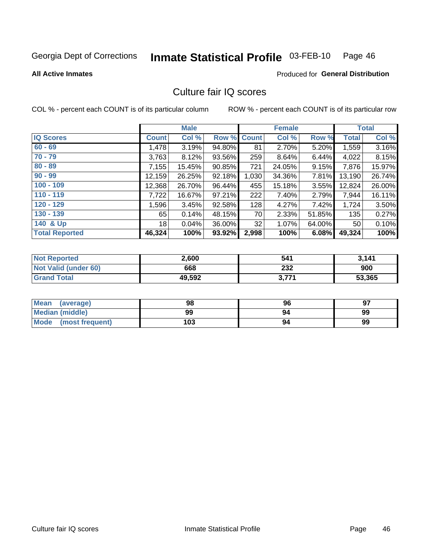#### Inmate Statistical Profile 03-FEB-10 Page 46

### **All Active Inmates**

## Produced for General Distribution

## Culture fair IQ scores

COL % - percent each COUNT is of its particular column

|                       |              | <b>Male</b> |        |              | <b>Female</b> |          |              | <b>Total</b> |
|-----------------------|--------------|-------------|--------|--------------|---------------|----------|--------------|--------------|
| <b>IQ Scores</b>      | <b>Count</b> | Col %       | Row %  | <b>Count</b> | Col %         | Row %    | <b>Total</b> | Col %        |
| $60 - 69$             | 1,478        | 3.19%       | 94.80% | 81           | 2.70%         | 5.20%    | 1,559        | 3.16%        |
| $70 - 79$             | 3,763        | 8.12%       | 93.56% | 259          | 8.64%         | 6.44%    | 4,022        | 8.15%        |
| $80 - 89$             | 7,155        | 15.45%      | 90.85% | 721          | 24.05%        | 9.15%    | 7,876        | 15.97%       |
| $90 - 99$             | 12,159       | 26.25%      | 92.18% | 1,030        | 34.36%        | 7.81%    | 13,190       | 26.74%       |
| $100 - 109$           | 12,368       | 26.70%      | 96.44% | 455          | 15.18%        | $3.55\%$ | 12,824       | 26.00%       |
| $110 - 119$           | 7,722        | 16.67%      | 97.21% | 222          | 7.40%         | 2.79%    | 7,944        | 16.11%       |
| $120 - 129$           | 1,596        | 3.45%       | 92.58% | 128          | 4.27%         | 7.42%    | 1,724        | 3.50%        |
| $130 - 139$           | 65           | 0.14%       | 48.15% | 70           | 2.33%         | 51.85%   | 135          | 0.27%        |
| 140 & Up              | 18           | 0.04%       | 36.00% | 32           | 1.07%         | 64.00%   | 50           | 0.10%        |
| <b>Total Reported</b> | 46,324       | 100%        | 93.92% | 2,998        | 100%          | 6.08%    | 49,324       | 100%         |

| <b>Not Reported</b>         | 2,600  | 541   | 3,141  |
|-----------------------------|--------|-------|--------|
| <b>Not Valid (under 60)</b> | 668    | 232   | 900    |
| <b>Grand Total</b>          | 49,592 | 3,771 | 53,365 |

| <b>Mean</b><br>(average) | 98  | 96 | 97 |
|--------------------------|-----|----|----|
| <b>Median (middle)</b>   | 99  | 94 | 99 |
| Mode<br>(most frequent)  | 103 | 94 | 99 |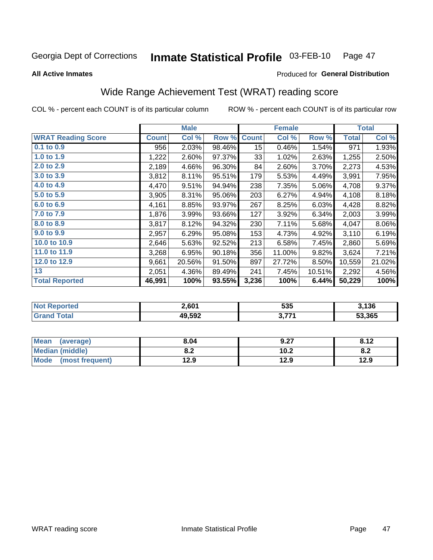#### Inmate Statistical Profile 03-FEB-10 Page 47

**All Active Inmates** 

## Produced for General Distribution

## Wide Range Achievement Test (WRAT) reading score

COL % - percent each COUNT is of its particular column

|                           |              | <b>Male</b> |        |                  | <b>Female</b> |        |              | <b>Total</b> |
|---------------------------|--------------|-------------|--------|------------------|---------------|--------|--------------|--------------|
| <b>WRAT Reading Score</b> | <b>Count</b> | Col %       | Row %  | <b>Count</b>     | Col %         | Row %  | <b>Total</b> | Col %        |
| $0.1$ to $0.9$            | 956          | 2.03%       | 98.46% | 15 <sub>15</sub> | 0.46%         | 1.54%  | 971          | 1.93%        |
| 1.0 to 1.9                | 1,222        | 2.60%       | 97.37% | 33               | 1.02%         | 2.63%  | 1,255        | 2.50%        |
| 2.0 to 2.9                | 2,189        | 4.66%       | 96.30% | 84               | 2.60%         | 3.70%  | 2,273        | 4.53%        |
| 3.0 to 3.9                | 3,812        | 8.11%       | 95.51% | 179              | 5.53%         | 4.49%  | 3,991        | 7.95%        |
| 4.0 to 4.9                | 4,470        | 9.51%       | 94.94% | 238              | 7.35%         | 5.06%  | 4,708        | 9.37%        |
| 5.0 to 5.9                | 3,905        | 8.31%       | 95.06% | 203              | 6.27%         | 4.94%  | 4,108        | 8.18%        |
| 6.0 to 6.9                | 4,161        | 8.85%       | 93.97% | 267              | 8.25%         | 6.03%  | 4,428        | 8.82%        |
| 7.0 to 7.9                | 1,876        | 3.99%       | 93.66% | 127              | 3.92%         | 6.34%  | 2,003        | 3.99%        |
| 8.0 to 8.9                | 3,817        | 8.12%       | 94.32% | 230              | 7.11%         | 5.68%  | 4,047        | $8.06\%$     |
| 9.0 to 9.9                | 2,957        | 6.29%       | 95.08% | 153              | 4.73%         | 4.92%  | 3,110        | 6.19%        |
| 10.0 to 10.9              | 2,646        | 5.63%       | 92.52% | 213              | 6.58%         | 7.45%  | 2,860        | 5.69%        |
| 11.0 to 11.9              | 3,268        | 6.95%       | 90.18% | 356              | 11.00%        | 9.82%  | 3,624        | 7.21%        |
| 12.0 to 12.9              | 9,661        | 20.56%      | 91.50% | 897              | 27.72%        | 8.50%  | 10,559       | 21.02%       |
| 13                        | 2,051        | 4.36%       | 89.49% | 241              | 7.45%         | 10.51% | 2,292        | 4.56%        |
| <b>Total Reported</b>     | 46,991       | 100%        | 93.55% | 3,236            | 100%          | 6.44%  | 50,229       | 100%         |

| <b>orted</b><br>NO | 2,601  | 535  | 3,136  |
|--------------------|--------|------|--------|
| $T$ atal $T$       | 49,592 | 2774 | 53,365 |

| Mean<br>(average)      | 8.04       | 9.27 | 8.12 |
|------------------------|------------|------|------|
| <b>Median (middle)</b> | י ה<br>o.z | 10.2 | o.z  |
| Mode (most frequent)   | 12.9       | 12.9 | 12.9 |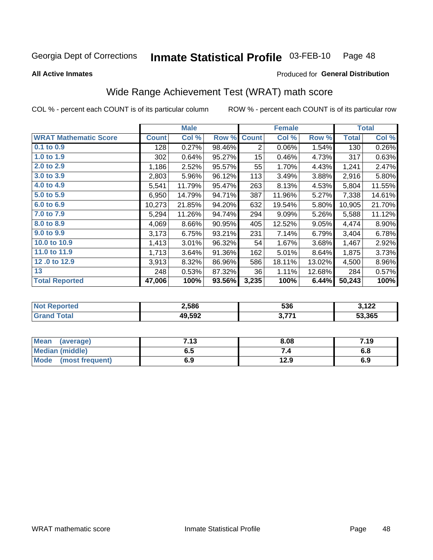#### Inmate Statistical Profile 03-FEB-10 Page 48

Produced for General Distribution

### **All Active Inmates**

## Wide Range Achievement Test (WRAT) math score

COL % - percent each COUNT is of its particular column

|                              |              | <b>Male</b> |        |                | <b>Female</b> |        |              | <b>Total</b> |
|------------------------------|--------------|-------------|--------|----------------|---------------|--------|--------------|--------------|
| <b>WRAT Mathematic Score</b> | <b>Count</b> | Col %       | Row %  | <b>Count</b>   | Col %         | Row %  | <b>Total</b> | Col %        |
| 0.1 to 0.9                   | 128          | 0.27%       | 98.46% | $\overline{2}$ | 0.06%         | 1.54%  | 130          | 0.26%        |
| 1.0 to 1.9                   | 302          | 0.64%       | 95.27% | 15             | 0.46%         | 4.73%  | 317          | 0.63%        |
| 2.0 to 2.9                   | 1,186        | 2.52%       | 95.57% | 55             | 1.70%         | 4.43%  | 1,241        | 2.47%        |
| 3.0 to 3.9                   | 2,803        | 5.96%       | 96.12% | 113            | 3.49%         | 3.88%  | 2,916        | 5.80%        |
| 4.0 to 4.9                   | 5,541        | 11.79%      | 95.47% | 263            | 8.13%         | 4.53%  | 5,804        | 11.55%       |
| 5.0 to 5.9                   | 6,950        | 14.79%      | 94.71% | 387            | 11.96%        | 5.27%  | 7,338        | 14.61%       |
| 6.0 to 6.9                   | 10,273       | 21.85%      | 94.20% | 632            | 19.54%        | 5.80%  | 10,905       | 21.70%       |
| 7.0 to 7.9                   | 5,294        | 11.26%      | 94.74% | 294            | 9.09%         | 5.26%  | 5,588        | 11.12%       |
| 8.0 to 8.9                   | 4,069        | 8.66%       | 90.95% | 405            | 12.52%        | 9.05%  | 4,474        | 8.90%        |
| 9.0 to 9.9                   | 3,173        | 6.75%       | 93.21% | 231            | 7.14%         | 6.79%  | 3,404        | 6.78%        |
| 10.0 to 10.9                 | 1,413        | 3.01%       | 96.32% | 54             | 1.67%         | 3.68%  | 1,467        | 2.92%        |
| 11.0 to 11.9                 | 1,713        | 3.64%       | 91.36% | 162            | 5.01%         | 8.64%  | 1,875        | 3.73%        |
| 12.0 to 12.9                 | 3,913        | 8.32%       | 86.96% | 586            | 18.11%        | 13.02% | 4,500        | 8.96%        |
| 13                           | 248          | 0.53%       | 87.32% | 36             | 1.11%         | 12.68% | 284          | 0.57%        |
| <b>Total Reported</b>        | 47,006       | 100%        | 93.56% | 3,235          | 100%          | 6.44%  | 50,243       | 100%         |

| -тес<br>NO | 2,586  | 536       | <b>ممه</b><br>144 |
|------------|--------|-----------|-------------------|
| Théodh i   | 49,592 | 277/<br>. | 53,365            |

| Mean<br>(average)      | 7.13 | 8.08 | 7.19 |
|------------------------|------|------|------|
| <b>Median (middle)</b> | 6.5  |      | o.o  |
| Mode (most frequent)   | 6.9  | 12.9 | 6.9  |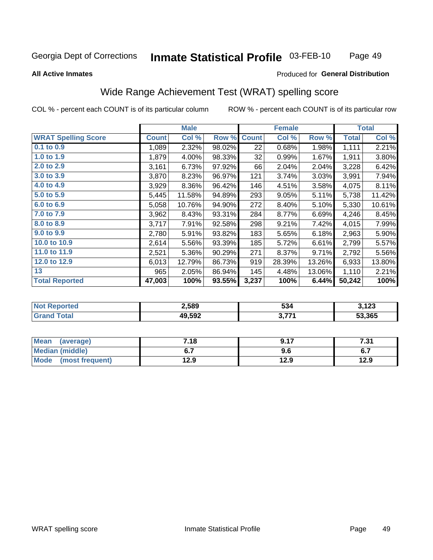#### Inmate Statistical Profile 03-FEB-10 Page 49

### **All Active Inmates**

## Produced for General Distribution

## Wide Range Achievement Test (WRAT) spelling score

COL % - percent each COUNT is of its particular column

|                            |              | <b>Male</b> |        |              | <b>Female</b> |        |              | <b>Total</b> |
|----------------------------|--------------|-------------|--------|--------------|---------------|--------|--------------|--------------|
| <b>WRAT Spelling Score</b> | <b>Count</b> | Col %       | Row %  | <b>Count</b> | Col %         | Row %  | <b>Total</b> | Col %        |
| 0.1 to 0.9                 | 1,089        | 2.32%       | 98.02% | 22           | 0.68%         | 1.98%  | 1,111        | 2.21%        |
| 1.0 to 1.9                 | 1,879        | 4.00%       | 98.33% | 32           | 0.99%         | 1.67%  | 1,911        | 3.80%        |
| 2.0 to 2.9                 | 3,161        | 6.73%       | 97.92% | 66           | 2.04%         | 2.04%  | 3,228        | 6.42%        |
| 3.0 to 3.9                 | 3,870        | 8.23%       | 96.97% | 121          | 3.74%         | 3.03%  | 3,991        | 7.94%        |
| 4.0 to 4.9                 | 3,929        | 8.36%       | 96.42% | 146          | 4.51%         | 3.58%  | 4,075        | 8.11%        |
| 5.0 to 5.9                 | 5,445        | 11.58%      | 94.89% | 293          | 9.05%         | 5.11%  | 5,738        | 11.42%       |
| 6.0 to 6.9                 | 5,058        | 10.76%      | 94.90% | 272          | 8.40%         | 5.10%  | 5,330        | 10.61%       |
| 7.0 to 7.9                 | 3,962        | 8.43%       | 93.31% | 284          | 8.77%         | 6.69%  | 4,246        | 8.45%        |
| 8.0 to 8.9                 | 3,717        | 7.91%       | 92.58% | 298          | 9.21%         | 7.42%  | 4,015        | 7.99%        |
| 9.0 to 9.9                 | 2,780        | 5.91%       | 93.82% | 183          | 5.65%         | 6.18%  | 2,963        | 5.90%        |
| 10.0 to 10.9               | 2,614        | 5.56%       | 93.39% | 185          | 5.72%         | 6.61%  | 2,799        | 5.57%        |
| 11.0 to 11.9               | 2,521        | 5.36%       | 90.29% | 271          | 8.37%         | 9.71%  | 2,792        | 5.56%        |
| 12.0 to 12.9               | 6,013        | 12.79%      | 86.73% | 919          | 28.39%        | 13.26% | 6,933        | 13.80%       |
| 13                         | 965          | 2.05%       | 86.94% | 145          | 4.48%         | 13.06% | 1,110        | 2.21%        |
| <b>Total Reported</b>      | 47,003       | 100%        | 93.55% | 3,237        | 100%          | 6.44%  | 50,242       | 100%         |

| -тес<br>NO        | 2,589  | 534       | <b>מרו</b><br>149 |
|-------------------|--------|-----------|-------------------|
| $\sim$ 400 $\sim$ | 49,592 | 277/<br>. | 53,365            |

| Mean<br>(average)      | 7.18 | 9.17 | 7.31 |
|------------------------|------|------|------|
| <b>Median (middle)</b> | ν.,  | 9.6  | י.ט  |
| Mode (most frequent)   | 12.9 | 12.9 | 12.9 |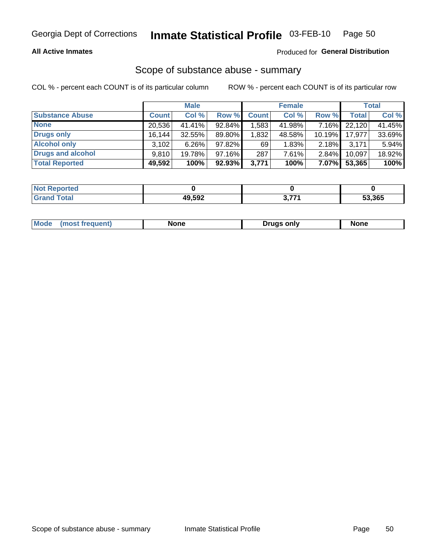### **All Active Inmates**

## Produced for General Distribution

# Scope of substance abuse - summary

COL % - percent each COUNT is of its particular column

|                        |              | <b>Male</b> |           |                   | <b>Female</b> |           |              | <b>Total</b> |
|------------------------|--------------|-------------|-----------|-------------------|---------------|-----------|--------------|--------------|
| <b>Substance Abuse</b> | <b>Count</b> | Col %       | Row %     | <b>Count</b>      | Col %         | Row %     | <b>Total</b> | Col %        |
| <b>None</b>            | 20,536       | 41.41%      | 92.84%    | .583 <sub>1</sub> | 41.98%        | 7.16%     | 22,120       | 41.45%       |
| <b>Drugs only</b>      | 16,144       | $32.55\%$   | 89.80%    | 1,832             | 48.58%        | $10.19\%$ | 17,977       | 33.69%       |
| <b>Alcohol only</b>    | 3.102        | $6.26\%$    | 97.82%    | 69                | 1.83%         | $2.18\%$  | 3,171        | 5.94%        |
| Drugs and alcohol      | 9.810        | 19.78%      | 97.16%    | 287               | 7.61%         | 2.84%     | 10,097       | 18.92%       |
| <b>Total Reported</b>  | 49,592       | 100%        | $92.93\%$ | 3,771             | 100%          | 7.07%     | 53,365       | 100%         |

| <b>Not</b><br>Reported |        |                   |        |
|------------------------|--------|-------------------|--------|
| <b>Total</b>           | 49,592 | <b>2.774</b><br>. | 53,365 |

|  | Mode<br>most<br>rreduent) | None | <b>Drugs only</b> | <b>None</b> |
|--|---------------------------|------|-------------------|-------------|
|--|---------------------------|------|-------------------|-------------|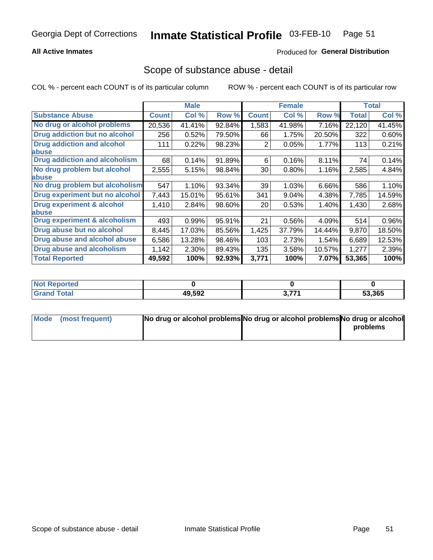## **All Active Inmates**

## **Produced for General Distribution**

## Scope of substance abuse - detail

COL % - percent each COUNT is of its particular column

|                                      |              | <b>Male</b> |        |                 | <b>Female</b> |        |              | <b>Total</b> |
|--------------------------------------|--------------|-------------|--------|-----------------|---------------|--------|--------------|--------------|
| <b>Substance Abuse</b>               | <b>Count</b> | Col %       | Row %  | <b>Count</b>    | Col %         | Row %  | <b>Total</b> | Col %        |
| No drug or alcohol problems          | 20,536       | 41.41%      | 92.84% | 1,583           | 41.98%        | 7.16%  | 22,120       | 41.45%       |
| <b>Drug addiction but no alcohol</b> | 256          | 0.52%       | 79.50% | 66              | 1.75%         | 20.50% | 322          | 0.60%        |
| <b>Drug addiction and alcohol</b>    | 111          | 0.22%       | 98.23% | 2               | 0.05%         | 1.77%  | 113          | 0.21%        |
| <b>labuse</b>                        |              |             |        |                 |               |        |              |              |
| <b>Drug addiction and alcoholism</b> | 68           | 0.14%       | 91.89% | 6               | 0.16%         | 8.11%  | 74           | 0.14%        |
| No drug problem but alcohol          | 2,555        | 5.15%       | 98.84% | 30 <sup>°</sup> | $0.80\%$      | 1.16%  | 2,585        | 4.84%        |
| <b>labuse</b>                        |              |             |        |                 |               |        |              |              |
| No drug problem but alcoholism       | 547          | 1.10%       | 93.34% | 39              | 1.03%         | 6.66%  | 586          | 1.10%        |
| Drug experiment but no alcohol       | 7,443        | 15.01%      | 95.61% | 341             | 9.04%         | 4.38%  | 7,785        | 14.59%       |
| <b>Drug experiment &amp; alcohol</b> | 1,410        | 2.84%       | 98.60% | 20 <sub>1</sub> | 0.53%         | 1.40%  | 1,430        | 2.68%        |
| <b>labuse</b>                        |              |             |        |                 |               |        |              |              |
| Drug experiment & alcoholism         | 493          | 0.99%       | 95.91% | 21              | 0.56%         | 4.09%  | 514          | 0.96%        |
| Drug abuse but no alcohol            | 8,445        | 17.03%      | 85.56% | 1,425           | 37.79%        | 14.44% | 9,870        | 18.50%       |
| Drug abuse and alcohol abuse         | 6,586        | 13.28%      | 98.46% | 103             | 2.73%         | 1.54%  | 6,689        | 12.53%       |
| <b>Drug abuse and alcoholism</b>     | 1,142        | 2.30%       | 89.43% | 135             | 3.58%         | 10.57% | 1,277        | 2.39%        |
| <b>Total Reported</b>                | 49,592       | 100%        | 92.93% | 3,771           | 100%          | 7.07%  | 53,365       | 100%         |

| orted<br>NI. |        |              |        |
|--------------|--------|--------------|--------|
| <b>otal</b>  | 49,592 | 2774<br>J.II | 53,365 |

| Mode (most frequent) | No drug or alcohol problems No drug or alcohol problems No drug or alcohol |          |
|----------------------|----------------------------------------------------------------------------|----------|
|                      |                                                                            | problems |
|                      |                                                                            |          |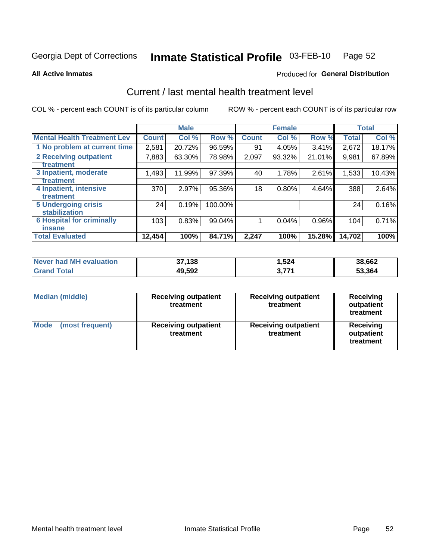#### Inmate Statistical Profile 03-FEB-10 Page 52

**All Active Inmates** 

### Produced for General Distribution

## Current / last mental health treatment level

COL % - percent each COUNT is of its particular column

|                                    |              | <b>Male</b> |         |              | <b>Female</b> |          |              | <b>Total</b> |
|------------------------------------|--------------|-------------|---------|--------------|---------------|----------|--------------|--------------|
| <b>Mental Health Treatment Lev</b> | <b>Count</b> | Col %       | Row %   | <b>Count</b> | Col %         | Row %    | <b>Total</b> | Col %        |
| 1 No problem at current time       | 2,581        | 20.72%      | 96.59%  | 91           | 4.05%         | 3.41%    | 2,672        | 18.17%       |
| 2 Receiving outpatient             | 7,883        | 63.30%      | 78.98%  | 2,097        | 93.32%        | 21.01%   | 9,981        | 67.89%       |
| <b>Treatment</b>                   |              |             |         |              |               |          |              |              |
| 3 Inpatient, moderate              | 1,493        | 11.99%      | 97.39%  | 40           | 1.78%         | 2.61%    | 1,533        | 10.43%       |
| <b>Treatment</b>                   |              |             |         |              |               |          |              |              |
| 4 Inpatient, intensive             | 370          | 2.97%       | 95.36%  | 18           | 0.80%         | 4.64%    | 388          | 2.64%        |
| <b>Treatment</b>                   |              |             |         |              |               |          |              |              |
| <b>5 Undergoing crisis</b>         | 24           | 0.19%       | 100.00% |              |               |          | 24           | 0.16%        |
| <b>stabilization</b>               |              |             |         |              |               |          |              |              |
| <b>6 Hospital for criminally</b>   | 103          | 0.83%       | 99.04%  |              | 0.04%         | $0.96\%$ | 104          | 0.71%        |
| <b>Tinsane</b>                     |              |             |         |              |               |          |              |              |
| <b>Total Evaluated</b>             | 12,454       | 100%        | 84.71%  | 2,247        | 100%          | 15.28%   | 14,702       | 100%         |

| Never had MH evaluation | 37,138 | 524. ا   | 38,662 |
|-------------------------|--------|----------|--------|
| <b>Grand Total</b>      | 49,592 | フフィ<br>. | 53,364 |

| <b>Median (middle)</b>         | <b>Receiving outpatient</b><br>treatment | <b>Receiving outpatient</b><br>treatment | <b>Receiving</b><br>outpatient<br>treatment |
|--------------------------------|------------------------------------------|------------------------------------------|---------------------------------------------|
| <b>Mode</b><br>(most frequent) | <b>Receiving outpatient</b><br>treatment | <b>Receiving outpatient</b><br>treatment | Receiving<br>outpatient<br>treatment        |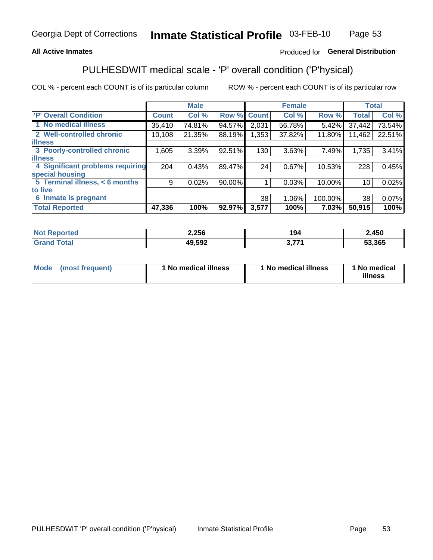## **All Active Inmates**

## Produced for General Distribution

## PULHESDWIT medical scale - 'P' overall condition ('P'hysical)

COL % - percent each COUNT is of its particular column

|                                  |              | <b>Male</b> |        |              | <b>Female</b> |         |              | <b>Total</b> |
|----------------------------------|--------------|-------------|--------|--------------|---------------|---------|--------------|--------------|
| <b>P' Overall Condition</b>      | <b>Count</b> | Col %       | Row %  | <b>Count</b> | Col %         | Row %   | <b>Total</b> | Col %        |
| 1 No medical illness             | 35,410       | 74.81%      | 94.57% | 2,031        | 56.78%        | 5.42%   | 37,442       | 73.54%       |
| 2 Well-controlled chronic        | 10,108       | 21.35%      | 88.19% | 1,353        | 37.82%        | 11.80%  | 11,462       | 22.51%       |
| <b>lillness</b>                  |              |             |        |              |               |         |              |              |
| 3 Poorly-controlled chronic      | 1,605        | 3.39%       | 92.51% | 130          | 3.63%         | 7.49%   | 1,735        | 3.41%        |
| <b>illness</b>                   |              |             |        |              |               |         |              |              |
| 4 Significant problems requiring | 204          | 0.43%       | 89.47% | 24           | 0.67%         | 10.53%  | 228          | 0.45%        |
| special housing                  |              |             |        |              |               |         |              |              |
| 5 Terminal illness, < 6 months   | 9            | 0.02%       | 90.00% |              | 0.03%         | 10.00%  | 10           | 0.02%        |
| to live                          |              |             |        |              |               |         |              |              |
| 6 Inmate is pregnant             |              |             |        | 38           | 1.06%         | 100.00% | 38           | 0.07%        |
| <b>Total Reported</b>            | 47,336       | 100%        | 92.97% | 3,577        | 100%          | 7.03%   | 50,915       | 100%         |

| тес | 2,256           | . .<br>. .<br>יש ו | ,450   |
|-----|-----------------|--------------------|--------|
|     | 49592<br>ັ".ວຯ⊾ | -                  | 53.365 |

| Mode<br>(most frequent) |  | <sup>1</sup> No medical illness | 1 No medical illness | 1 No medical<br>illness |
|-------------------------|--|---------------------------------|----------------------|-------------------------|
|-------------------------|--|---------------------------------|----------------------|-------------------------|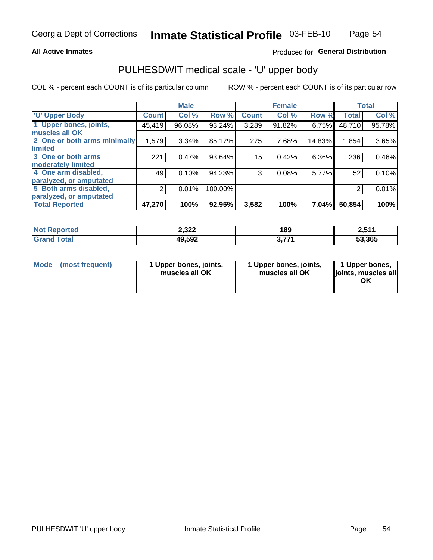### **All Active Inmates**

## Produced for General Distribution

# PULHESDWIT medical scale - 'U' upper body

COL % - percent each COUNT is of its particular column

|                              |                | <b>Male</b> |         |              | <b>Female</b> |        |              | <b>Total</b> |
|------------------------------|----------------|-------------|---------|--------------|---------------|--------|--------------|--------------|
| <b>U' Upper Body</b>         | <b>Count</b>   | Col %       | Row %   | <b>Count</b> | Col %         | Row %  | <b>Total</b> | Col %        |
| 1 Upper bones, joints,       | 45,419         | 96.08%      | 93.24%  | 3,289        | 91.82%        | 6.75%  | 48,710       | 95.78%       |
| muscles all OK               |                |             |         |              |               |        |              |              |
| 2 One or both arms minimally | 1,579          | 3.34%       | 85.17%  | 275          | 7.68%         | 14.83% | 1,854        | 3.65%        |
| limited                      |                |             |         |              |               |        |              |              |
| 3 One or both arms           | 221            | 0.47%       | 93.64%  | 15           | 0.42%         | 6.36%  | 236          | 0.46%        |
| <b>moderately limited</b>    |                |             |         |              |               |        |              |              |
| 4 One arm disabled,          | 49             | 0.10%       | 94.23%  | 3            | 0.08%         | 5.77%  | 52           | 0.10%        |
| paralyzed, or amputated      |                |             |         |              |               |        |              |              |
| 5 Both arms disabled,        | $\overline{2}$ | 0.01%       | 100.00% |              |               |        | 2            | 0.01%        |
| paralyzed, or amputated      |                |             |         |              |               |        |              |              |
| <b>Total Reported</b>        | 47,270         | 100%        | 92.95%  | 3,582        | 100%          | 7.04%  | 50,854       | 100%         |

| <b>Not Reported</b>   | 2,322  | 189                 | 2,511  |
|-----------------------|--------|---------------------|--------|
| <b>Total</b><br>Grano | 49,592 | フフィ<br><u>J.III</u> | 53,365 |

|  | Mode (most frequent) | 1 Upper bones, joints,<br>muscles all OK | 1 Upper bones, joints,<br>muscles all OK | 1 Upper bones,<br>joints, muscles all<br>ΟK |
|--|----------------------|------------------------------------------|------------------------------------------|---------------------------------------------|
|--|----------------------|------------------------------------------|------------------------------------------|---------------------------------------------|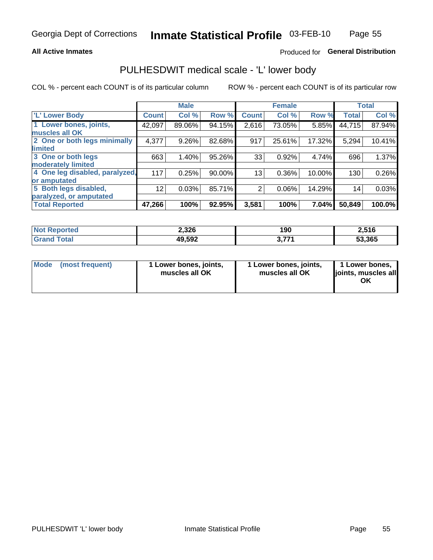### **All Active Inmates**

## Produced for General Distribution

## PULHESDWIT medical scale - 'L' lower body

COL % - percent each COUNT is of its particular column

|                                |                 | <b>Male</b> |        |                | <b>Female</b> |        |              | <b>Total</b> |
|--------------------------------|-----------------|-------------|--------|----------------|---------------|--------|--------------|--------------|
| 'L' Lower Body                 | <b>Count</b>    | Col %       | Row %  | <b>Count</b>   | Col %         | Row %  | <b>Total</b> | Col %        |
| 1 Lower bones, joints,         | 42,097          | 89.06%      | 94.15% | 2,616          | 73.05%        | 5.85%  | 44,715       | 87.94%       |
| muscles all OK                 |                 |             |        |                |               |        |              |              |
| 2 One or both legs minimally   | 4,377           | 9.26%       | 82.68% | 917            | 25.61%        | 17.32% | 5,294        | 10.41%       |
| limited                        |                 |             |        |                |               |        |              |              |
| 3 One or both legs             | 663             | 1.40%       | 95.26% | 33             | 0.92%         | 4.74%  | 696          | 1.37%        |
| moderately limited             |                 |             |        |                |               |        |              |              |
| 4 One leg disabled, paralyzed, | 117             | 0.25%       | 90.00% | 13             | 0.36%         | 10.00% | 130          | 0.26%        |
| or amputated                   |                 |             |        |                |               |        |              |              |
| 5 Both legs disabled,          | 12 <sub>2</sub> | 0.03%       | 85.71% | $\overline{2}$ | 0.06%         | 14.29% | 14           | 0.03%        |
| paralyzed, or amputated        |                 |             |        |                |               |        |              |              |
| <b>Total Reported</b>          | 47,266          | 100%        | 92.95% | 3,581          | 100%          | 7.04%  | 50,849       | 100.0%       |

| <b>Not Reported</b>   | 2,326  | 190                 | 2,516  |
|-----------------------|--------|---------------------|--------|
| <b>Total</b><br>Grand | 49,592 | フフィ<br><u>J.III</u> | 53,365 |

| Mode | (most frequent) | 1 Lower bones, joints,<br>muscles all OK | 1 Lower bones, joints,<br>muscles all OK | 1 Lower bones,<br>joints, muscles all<br>ΟK |
|------|-----------------|------------------------------------------|------------------------------------------|---------------------------------------------|
|------|-----------------|------------------------------------------|------------------------------------------|---------------------------------------------|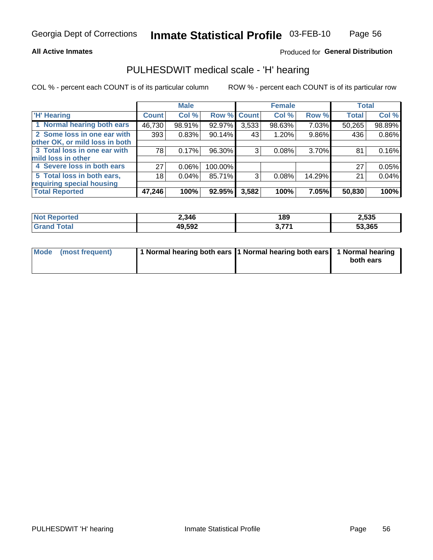### **All Active Inmates**

## Produced for General Distribution

## PULHESDWIT medical scale - 'H' hearing

COL % - percent each COUNT is of its particular column

|                                |              | <b>Male</b> |                    |       | <b>Female</b> |        | <b>Total</b> |        |
|--------------------------------|--------------|-------------|--------------------|-------|---------------|--------|--------------|--------|
| <b>'H' Hearing</b>             | <b>Count</b> | Col %       | <b>Row % Count</b> |       | Col %         | Row %  | <b>Total</b> | Col %  |
| 1 Normal hearing both ears     | 46,730       | 98.91%      | 92.97%             | 3,533 | 98.63%        | 7.03%  | 50,265       | 98.89% |
| 2 Some loss in one ear with    | 393          | 0.83%       | 90.14%             | 43    | 1.20%         | 9.86%  | 436          | 0.86%  |
| other OK, or mild loss in both |              |             |                    |       |               |        |              |        |
| 3 Total loss in one ear with   | 78           | 0.17%       | 96.30%             | 3     | 0.08%         | 3.70%  | 81           | 0.16%  |
| mild loss in other             |              |             |                    |       |               |        |              |        |
| 4 Severe loss in both ears     | 27           | 0.06%       | 100.00%            |       |               |        | 27           | 0.05%  |
| 5 Total loss in both ears,     | 18           | 0.04%       | 85.71%             | 3     | 0.08%         | 14.29% | 21           | 0.04%  |
| requiring special housing      |              |             |                    |       |               |        |              |        |
| <b>Total Reported</b>          | 47,246       | 100%        | 92.95%             | 3,582 | 100%          | 7.05%  | 50,830       | 100%   |

| <b>Not Repo</b><br>ਾ∩rted     | 2,346  | 189   | 2,535  |
|-------------------------------|--------|-------|--------|
| $F \wedge f \wedge f$<br>υιαι | 49,592 | , 774 | 53,365 |

| Mode (most frequent) | 1 Normal hearing both ears 11 Normal hearing both ears 1 Normal hearing | both ears |
|----------------------|-------------------------------------------------------------------------|-----------|
|                      |                                                                         |           |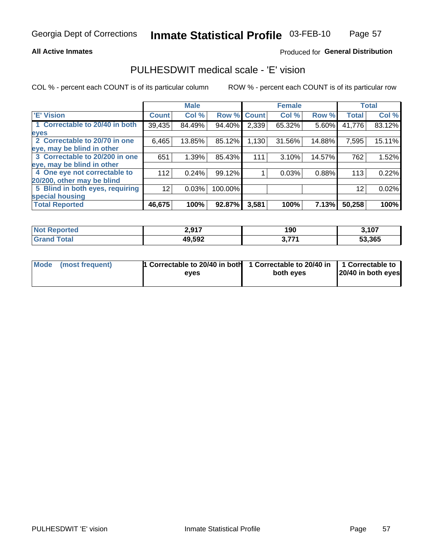### **All Active Inmates**

## Produced for General Distribution

## PULHESDWIT medical scale - 'E' vision

COL % - percent each COUNT is of its particular column

|                                 |                | <b>Male</b> |         |              | <b>Female</b> |        |              | <b>Total</b> |
|---------------------------------|----------------|-------------|---------|--------------|---------------|--------|--------------|--------------|
| 'E' Vision                      | <b>Count</b> ' | Col %       | Row %   | <b>Count</b> | Col %         | Row %  | <b>Total</b> | Col %        |
| 1 Correctable to 20/40 in both  | 39,435         | 84.49%      | 94.40%  | 2,339        | 65.32%        | 5.60%  | 41,776       | 83.12%       |
| eyes                            |                |             |         |              |               |        |              |              |
| 2 Correctable to 20/70 in one   | 6,465          | 13.85%      | 85.12%  | 1,130        | 31.56%        | 14.88% | 7,595        | 15.11%       |
| leye, may be blind in other     |                |             |         |              |               |        |              |              |
| 3 Correctable to 20/200 in one  | 651            | 1.39%       | 85.43%  | 111          | 3.10%         | 14.57% | 762          | 1.52%        |
| leye, may be blind in other     |                |             |         |              |               |        |              |              |
| 4 One eye not correctable to    | 112            | 0.24%       | 99.12%  |              | 0.03%         | 0.88%  | 113          | 0.22%        |
| 20/200, other may be blind      |                |             |         |              |               |        |              |              |
| 5 Blind in both eyes, requiring | 12             | 0.03%       | 100.00% |              |               |        | 12           | 0.02%        |
| special housing                 |                |             |         |              |               |        |              |              |
| <b>Total Reported</b>           | 46,675         | 100%        | 92.87%  | 3,581        | 100%          | 7.13%  | 50,258       | 100%         |

| <b>Not Reported</b> | 2 Q17<br>2.J I I | 190          | 3.107  |
|---------------------|------------------|--------------|--------|
| <b>Total</b>        | 49,592           | <b>2 774</b> | 53,365 |

| Mode (most frequent) | 1 Correctable to 20/40 in both<br>eves | 1 Correctable to 20/40 in   1 Correctable to  <br>both eves | 20/40 in both eyes |
|----------------------|----------------------------------------|-------------------------------------------------------------|--------------------|
|                      |                                        |                                                             |                    |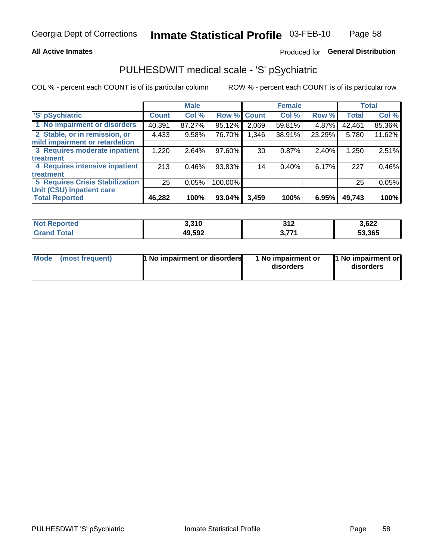## **All Active Inmates**

## Produced for General Distribution

## PULHESDWIT medical scale - 'S' pSychiatric

COL % - percent each COUNT is of its particular column

|                                        |              | <b>Male</b> |         |              | <b>Female</b> |        |              | <b>Total</b> |
|----------------------------------------|--------------|-------------|---------|--------------|---------------|--------|--------------|--------------|
| 'S' pSychiatric                        | <b>Count</b> | Col %       | Row %   | <b>Count</b> | Col %         | Row %  | <b>Total</b> | Col %        |
| 1 No impairment or disorders           | 40,391       | 87.27%      | 95.12%  | 2,069        | 59.81%        | 4.87%  | 42,461       | 85.36%       |
| 2 Stable, or in remission, or          | 4,433        | 9.58%       | 76.70%  | 1,346        | 38.91%        | 23.29% | 5,780        | 11.62%       |
| mild impairment or retardation         |              |             |         |              |               |        |              |              |
| 3 Requires moderate inpatient          | 1,220        | 2.64%       | 97.60%  | 30           | 0.87%         | 2.40%  | 1,250        | 2.51%        |
| <b>treatment</b>                       |              |             |         |              |               |        |              |              |
| 4 Requires intensive inpatient         | 213          | 0.46%       | 93.83%  | 14           | 0.40%         | 6.17%  | 227          | 0.46%        |
| <b>treatment</b>                       |              |             |         |              |               |        |              |              |
| <b>5 Requires Crisis Stabilization</b> | 25           | 0.05%       | 100.00% |              |               |        | 25           | 0.05%        |
| Unit (CSU) inpatient care              |              |             |         |              |               |        |              |              |
| <b>Total Reported</b>                  | 46,282       | 100%        | 93.04%  | 3,459        | 100%          | 6.95%  | 49,743       | 100%         |

| <b>Not Reported</b> | 3,310  | 242<br>JI L    | 3,622  |
|---------------------|--------|----------------|--------|
| Total<br>Gran       | 49,592 | 2774<br>J, I I | 53,365 |

| Mode<br>1 No impairment or disorders<br>(most frequent) | 1 No impairment or<br>disorders | 1 No impairment or<br>disorders |
|---------------------------------------------------------|---------------------------------|---------------------------------|
|---------------------------------------------------------|---------------------------------|---------------------------------|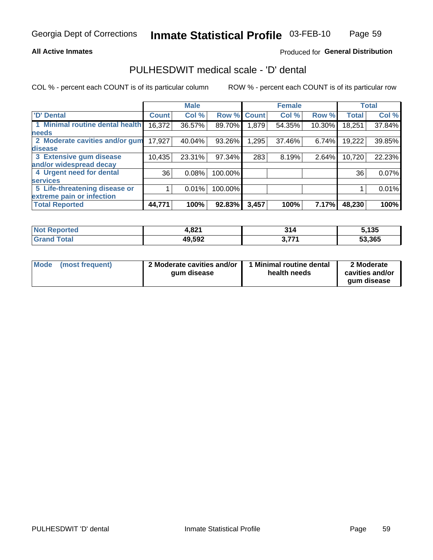### **All Active Inmates**

## Produced for General Distribution

## PULHESDWIT medical scale - 'D' dental

COL % - percent each COUNT is of its particular column

|                                 |              | <b>Male</b> |         |              | <b>Female</b> |        |              | <b>Total</b> |
|---------------------------------|--------------|-------------|---------|--------------|---------------|--------|--------------|--------------|
| <b>D'</b> Dental                | <b>Count</b> | Col %       | Row %   | <b>Count</b> | Col %         | Row %  | <b>Total</b> | Col %        |
| 1 Minimal routine dental health | 16,372       | 36.57%      | 89.70%  | 879. ا       | 54.35%        | 10.30% | 18,251       | 37.84%       |
| <b>needs</b>                    |              |             |         |              |               |        |              |              |
| 2 Moderate cavities and/or gum  | 17,927       | 40.04%      | 93.26%  | 1,295        | 37.46%        | 6.74%  | 19,222       | 39.85%       |
| disease                         |              |             |         |              |               |        |              |              |
| 3 Extensive gum disease         | 10,435       | 23.31%      | 97.34%  | 283          | 8.19%         | 2.64%  | 10,720       | 22.23%       |
| and/or widespread decay         |              |             |         |              |               |        |              |              |
| 4 Urgent need for dental        | 36           | 0.08%       | 100.00% |              |               |        | 36           | 0.07%        |
| <b>services</b>                 |              |             |         |              |               |        |              |              |
| 5 Life-threatening disease or   |              | 0.01%       | 100.00% |              |               |        |              | 0.01%        |
| extreme pain or infection       |              |             |         |              |               |        |              |              |
| <b>Total Reported</b>           | 44,771       | 100%        | 92.83%  | 3,457        | 100%          | 7.17%  | 48,230       | 100%         |

| <b>Not Reported</b>          | 0.24<br>4.OZ L | 94<br>914                | 5,135  |
|------------------------------|----------------|--------------------------|--------|
| <b>Total</b><br><b>Grand</b> | 49,592         | <b>אידי</b> י<br>J.I I I | 53,365 |

| 2 Moderate cavities and/or<br>Mode<br>(most frequent)<br>qum disease | 1 Minimal routine dental<br>health needs | 2 Moderate<br>cavities and/or<br>gum disease |
|----------------------------------------------------------------------|------------------------------------------|----------------------------------------------|
|----------------------------------------------------------------------|------------------------------------------|----------------------------------------------|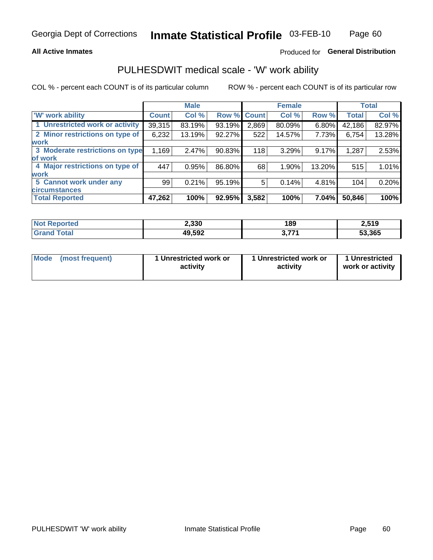## **All Active Inmates**

## Produced for General Distribution

## PULHESDWIT medical scale - 'W' work ability

COL % - percent each COUNT is of its particular column

|                                 |              | <b>Male</b> |                    |       | <b>Female</b> |        |              | <b>Total</b> |
|---------------------------------|--------------|-------------|--------------------|-------|---------------|--------|--------------|--------------|
| <b>W' work ability</b>          | <b>Count</b> | Col %       | <b>Row % Count</b> |       | Col %         | Row %  | <b>Total</b> | Col %        |
| 1 Unrestricted work or activity | 39,315       | 83.19%      | 93.19%             | 2,869 | 80.09%        | 6.80%  | 42,186       | 82.97%       |
| 2 Minor restrictions on type of | 6,232        | 13.19%      | 92.27%             | 522   | 14.57%        | 7.73%  | 6,754        | 13.28%       |
| <b>work</b>                     |              |             |                    |       |               |        |              |              |
| 3 Moderate restrictions on type | 1,169        | 2.47%       | 90.83%             | 118   | 3.29%         | 9.17%  | 1,287        | 2.53%        |
| of work                         |              |             |                    |       |               |        |              |              |
| 4 Major restrictions on type of | 447          | 0.95%       | 86.80%             | 68    | 1.90%         | 13.20% | 515          | 1.01%        |
| <b>work</b>                     |              |             |                    |       |               |        |              |              |
| 5 Cannot work under any         | 99           | 0.21%       | 95.19%             | 5     | 0.14%         | 4.81%  | 104          | 0.20%        |
| <b>circumstances</b>            |              |             |                    |       |               |        |              |              |
| <b>Total Reported</b>           | 47,262       | 100%        | 92.95%             | 3,582 | 100%          | 7.04%  | 50,846       | 100%         |

| <b>Not Reported</b>   | 2,330  | 189                | 2,519  |
|-----------------------|--------|--------------------|--------|
| Total<br><b>Grand</b> | 49,592 | <b>אידל</b> כ<br>. | 53,365 |

| Mode            | 1 Unrestricted work or | 1 Unrestricted work or | 1 Unrestricted   |
|-----------------|------------------------|------------------------|------------------|
| (most frequent) | activity               | activity               | work or activity |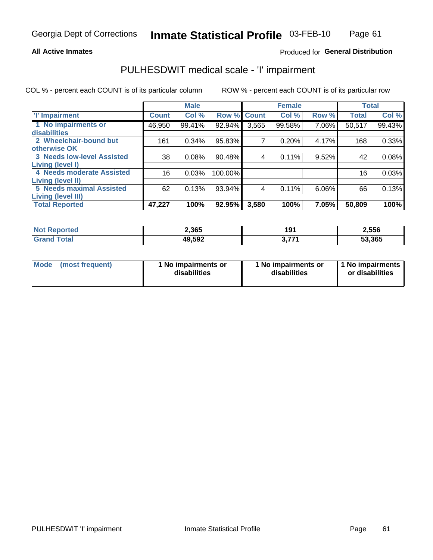### **All Active Inmates**

## Produced for General Distribution

## PULHESDWIT medical scale - 'I' impairment

COL % - percent each COUNT is of its particular column

|                                                              |              | <b>Male</b> |         |             | <b>Female</b> |       |              | <b>Total</b> |
|--------------------------------------------------------------|--------------|-------------|---------|-------------|---------------|-------|--------------|--------------|
| <b>T' Impairment</b>                                         | <b>Count</b> | Col %       |         | Row % Count | Col %         | Row % | <b>Total</b> | Col %        |
| 1 No impairments or<br>disabilities                          | 46,950       | 99.41%      | 92.94%  | 3,565       | 99.58%        | 7.06% | 50,517       | 99.43%       |
| 2 Wheelchair-bound but<br>otherwise OK                       | 161          | 0.34%       | 95.83%  | 7           | 0.20%         | 4.17% | 168          | 0.33%        |
| <b>3 Needs low-level Assisted</b><br>Living (level I)        | 38           | 0.08%       | 90.48%  | 4           | 0.11%         | 9.52% | 42           | 0.08%        |
| 4 Needs moderate Assisted<br><b>Living (level II)</b>        | 16           | 0.03%       | 100.00% |             |               |       | 16           | 0.03%        |
| <b>5 Needs maximal Assisted</b><br><b>Living (level III)</b> | 62           | 0.13%       | 93.94%  | 4           | 0.11%         | 6.06% | 66           | 0.13%        |
| <b>Total Reported</b>                                        | 47,227       | 100%        | 92.95%  | 3,580       | 100%          | 7.05% | 50,809       | 100%         |

| <b>Not</b><br>Reported | 2,365  | 101<br>וטו | 2,556  |
|------------------------|--------|------------|--------|
| Total                  | 49,592 | フフィ<br>v.  | 53,365 |

| Mode | (most frequent) | 1 No impairments or<br>disabilities | 1 No impairments or<br>disabilities | 1 No impairments<br>or disabilities |
|------|-----------------|-------------------------------------|-------------------------------------|-------------------------------------|
|------|-----------------|-------------------------------------|-------------------------------------|-------------------------------------|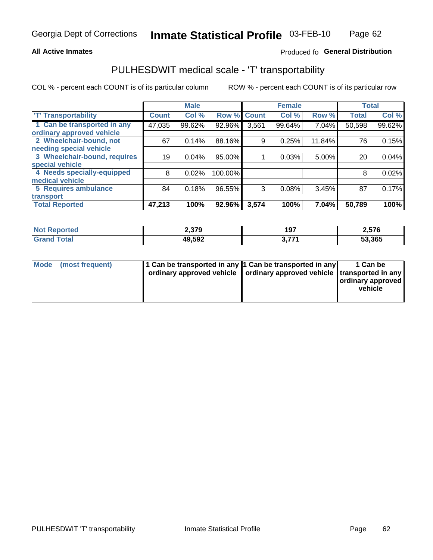### **All Active Inmates**

## Produced fo General Distribution

## PULHESDWIT medical scale - 'T' transportability

COL % - percent each COUNT is of its particular column

|                              |              | <b>Male</b> |         |              | <b>Female</b> |        | <b>Total</b> |        |
|------------------------------|--------------|-------------|---------|--------------|---------------|--------|--------------|--------|
| <b>T' Transportability</b>   | <b>Count</b> | Col %       | Row %   | <b>Count</b> | Col %         | Row %  | <b>Total</b> | Col %  |
| 1 Can be transported in any  | 47,035       | 99.62%      | 92.96%  | 3,561        | 99.64%        | 7.04%  | 50,598       | 99.62% |
| ordinary approved vehicle    |              |             |         |              |               |        |              |        |
| 2 Wheelchair-bound, not      | 67           | 0.14%       | 88.16%  | 9            | 0.25%         | 11.84% | 76           | 0.15%  |
| needing special vehicle      |              |             |         |              |               |        |              |        |
| 3 Wheelchair-bound, requires | 19           | 0.04%       | 95.00%  |              | 0.03%         | 5.00%  | 20           | 0.04%  |
| special vehicle              |              |             |         |              |               |        |              |        |
| 4 Needs specially-equipped   | 8            | 0.02%       | 100.00% |              |               |        | 8            | 0.02%  |
| medical vehicle              |              |             |         |              |               |        |              |        |
| <b>5 Requires ambulance</b>  | 84           | 0.18%       | 96.55%  | 3            | 0.08%         | 3.45%  | 87           | 0.17%  |
| transport                    |              |             |         |              |               |        |              |        |
| <b>Total Reported</b>        | 47,213       | 100%        | 92.96%  | 3,574        | 100%          | 7.04%  | 50,789       | 100%   |

| <b>Not</b><br>Reported | 2,379  | 197       | 2,576  |
|------------------------|--------|-----------|--------|
| ™otai                  | 49,592 | フフィ<br>v. | 53,365 |

|  | Mode (most frequent) | 1 Can be transported in any 1 Can be transported in any<br>ordinary approved vehicle   ordinary approved vehicle   transported in any |  | 1 Can be<br>  ordinary approved  <br>vehicle |
|--|----------------------|---------------------------------------------------------------------------------------------------------------------------------------|--|----------------------------------------------|
|--|----------------------|---------------------------------------------------------------------------------------------------------------------------------------|--|----------------------------------------------|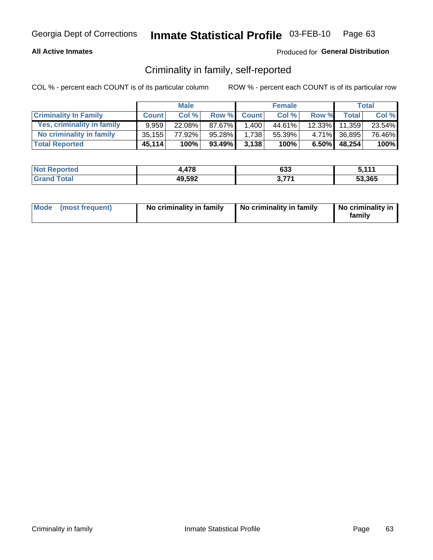## **All Active Inmates**

## Produced for General Distribution

## Criminality in family, self-reported

COL % - percent each COUNT is of its particular column

|                              |              | <b>Male</b> |        |              | <b>Female</b> |           |                 | Total  |
|------------------------------|--------------|-------------|--------|--------------|---------------|-----------|-----------------|--------|
| <b>Criminality In Family</b> | <b>Count</b> | Col%        | Row %  | <b>Count</b> | Col %         | Row %     | <b>Total</b>    | Col %  |
| Yes, criminality in family   | 9.959        | $22.08\%$   | 87.67% | 1,400        | 44.61%        | $12.33\%$ | 11,359          | 23.54% |
| No criminality in family     | 35,155       | 77.92%      | 95.28% | 1,738        | 55.39%        |           | 4.71% 36,895    | 76.46% |
| <b>Total Reported</b>        | 45,114       | 100%        | 93.49% | 3,138        | 100%          |           | $6.50\%$ 48,254 | 100%   |

| <b>Not Reported</b>   | 170<br>41 O | 633 | : 444  |
|-----------------------|-------------|-----|--------|
| Гоtal<br><b>Grand</b> | 49,592      | フフィ | 53.365 |

|  | Mode (most frequent) | No criminality in family | No criminality in family | No criminality in<br>family |
|--|----------------------|--------------------------|--------------------------|-----------------------------|
|--|----------------------|--------------------------|--------------------------|-----------------------------|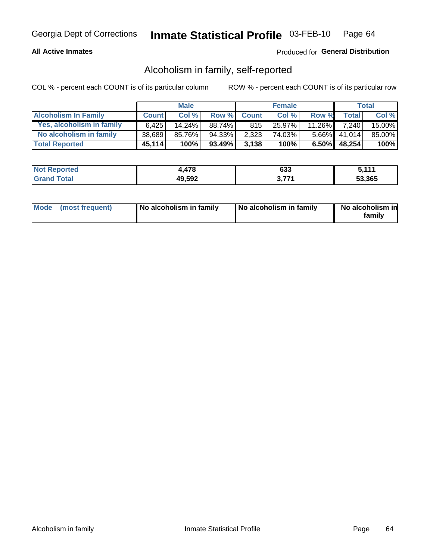## **All Active Inmates**

## Produced for General Distribution

## Alcoholism in family, self-reported

COL % - percent each COUNT is of its particular column

|                             |              | <b>Male</b> |         |              | <b>Female</b> |           |                 | Total   |
|-----------------------------|--------------|-------------|---------|--------------|---------------|-----------|-----------------|---------|
| <b>Alcoholism In Family</b> | <b>Count</b> | Col %       | Row %   | <b>Count</b> | Col %         | Row %     | <b>Total</b>    | Col %   |
| Yes, alcoholism in family   | 6.425        | 14.24%      | 88.74%I | 815          | 25.97%        | $11.26\%$ | 7.240           | 15.00%  |
| No alcoholism in family     | 38.689       | 85.76%      | 94.33%  | 2,323        | 74.03%        |           | 5.66% 41,014    | 85.00%  |
| <b>Total Reported</b>       | 45,114       | 100%        | 93.49%  | 3,138        | 100%          |           | $6.50\%$ 48,254 | $100\%$ |

| <b>Not</b><br>Reported | 17 R<br>,, , | 633 | : 444  |
|------------------------|--------------|-----|--------|
| .'otal                 | 49,592       | ラフィ | 53,365 |

|  | Mode (most frequent) | No alcoholism in family | No alcoholism in family | No alcoholism in<br>family |
|--|----------------------|-------------------------|-------------------------|----------------------------|
|--|----------------------|-------------------------|-------------------------|----------------------------|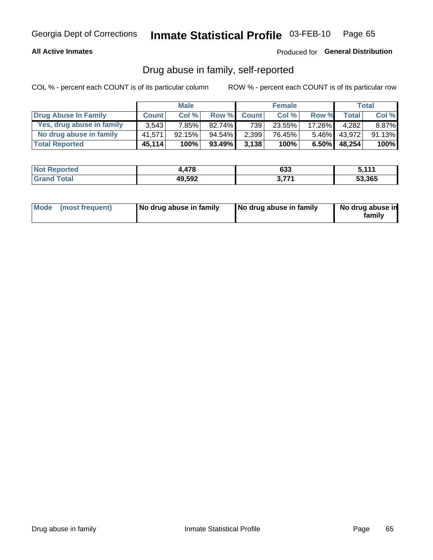## **All Active Inmates**

## Produced for General Distribution

## Drug abuse in family, self-reported

COL % - percent each COUNT is of its particular column

|                           |              | <b>Male</b> |           |              | <b>Female</b> |          |        | <b>Total</b> |
|---------------------------|--------------|-------------|-----------|--------------|---------------|----------|--------|--------------|
| Drug Abuse In Family      | <b>Count</b> | Col%        | Row %     | <b>Count</b> | Col %         | Row %    | Total  | Col %        |
| Yes, drug abuse in family | 3.543        | 7.85%l      | 82.74%    | 739          | 23.55%        | 17.26%   | 4.282  | 8.87%        |
| No drug abuse in family   | 41.571       | $92.15\%$   | $94.54\%$ | 2,399        | 76.45%        | $5.46\%$ | 43.972 | 91.13%       |
| <b>Total Reported</b>     | 45,114       | 100%        | 93.49%    | 3.138        | 100%          | $6.50\%$ | 48,254 | $100\%$      |

| <b>Not Reported</b>           | 179<br>$-10$ | 633 | : 444  |
|-------------------------------|--------------|-----|--------|
| <i>i</i> otal<br><b>Grand</b> | 49,592       | ララス | 53.365 |

|  | Mode (most frequent) | No drug abuse in family | No drug abuse in family | No drug abuse in<br>familv |
|--|----------------------|-------------------------|-------------------------|----------------------------|
|--|----------------------|-------------------------|-------------------------|----------------------------|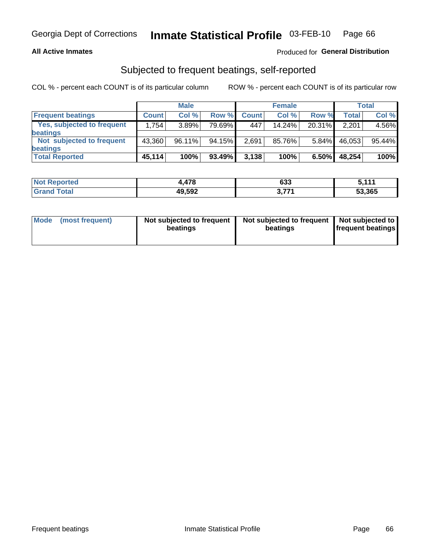## **All Active Inmates**

## Produced for General Distribution

## Subjected to frequent beatings, self-reported

COL % - percent each COUNT is of its particular column

|                                   |              | <b>Male</b> |        |              | <b>Female</b> |        |              | Total  |
|-----------------------------------|--------------|-------------|--------|--------------|---------------|--------|--------------|--------|
| <b>Frequent beatings</b>          | <b>Count</b> | Col %       | Row %  | <b>Count</b> | Col %         | Row %  | <b>Total</b> | Col%   |
| <b>Yes, subjected to frequent</b> | 1,754        | 3.89%       | 79.69% | 447          | 14.24%        | 20.31% | 2,201        | 4.56%  |
| beatings                          |              |             |        |              |               |        |              |        |
| Not subjected to frequent         | 43.360       | 96.11%      | 94.15% | 2,691        | 85.76%        | 5.84%  | 46,053       | 95.44% |
| beatings                          |              |             |        |              |               |        |              |        |
| <b>Total Reported</b>             | 45,114       | 100%        | 93.49% | 3,138        | 100%          | 6.50%  | 48,254       | 100%   |

| Reported<br><b>NOT</b> | 478    | 633       | - 447  |
|------------------------|--------|-----------|--------|
| <b>Total</b>           | 49,592 | 774<br>v. | 53,365 |

| Mode (most frequent) | Not subjected to frequent<br>beatings | Not subjected to frequent<br>beatings | Not subjected to<br><b>frequent beatings</b> |
|----------------------|---------------------------------------|---------------------------------------|----------------------------------------------|
|                      |                                       |                                       |                                              |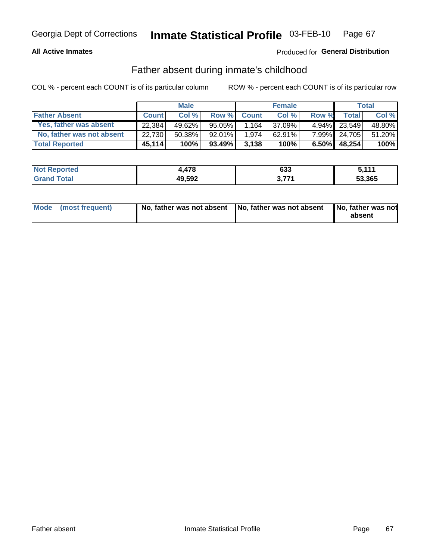## **All Active Inmates**

## Produced for General Distribution

## Father absent during inmate's childhood

COL % - percent each COUNT is of its particular column

|                           |              | <b>Male</b> |           |              | <b>Female</b> |          |              | <b>Total</b> |
|---------------------------|--------------|-------------|-----------|--------------|---------------|----------|--------------|--------------|
| <b>Father Absent</b>      | <b>Count</b> | Col %       | Row %     | <b>Count</b> | Col %         | Row %    | <b>Total</b> | Col %        |
| Yes, father was absent    | 22.384       | 49.62%      | 95.05%    | 1.164        | 37.09%        |          | 4.94% 23.549 | 48.80%       |
| No, father was not absent | 22,730       | $50.38\%$   | $92.01\%$ | 1.974        | $62.91\%$     |          | 7.99% 24,705 | 51.20%       |
| <b>Total Reported</b>     | 45,114       | 100%        | 93.49%    | 3,138        | 100%          | $6.50\%$ | 48,254       | $100\%$      |

| <b>Not Reported</b> | 17 Q<br>ט ו ד. | 633 | - 447  |
|---------------------|----------------|-----|--------|
| Total               | 49,592         | ラフィ | 53,365 |

|  | Mode (most frequent) | No, father was not absent No, father was not absent |  | No, father was not<br>absent |
|--|----------------------|-----------------------------------------------------|--|------------------------------|
|--|----------------------|-----------------------------------------------------|--|------------------------------|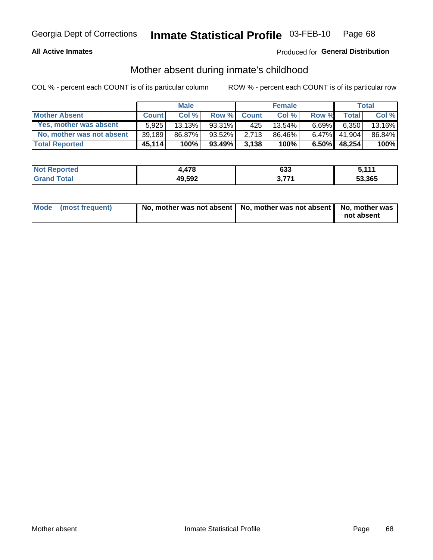## **All Active Inmates**

## Produced for General Distribution

## Mother absent during inmate's childhood

COL % - percent each COUNT is of its particular column

|                           |              | <b>Male</b> |        |              | <b>Female</b> |          |                 | Total   |
|---------------------------|--------------|-------------|--------|--------------|---------------|----------|-----------------|---------|
| <b>Mother Absent</b>      | <b>Count</b> | Col%        | Row %  | <b>Count</b> | Col%          | Row %    | Total           | Col %   |
| Yes, mother was absent    | 5.925        | 13.13%      | 93.31% | 425          | 13.54%        | $6.69\%$ | 6,350           | 13.16%  |
| No, mother was not absent | 39,189       | 86.87%      | 93.52% | 2.713        | 86.46%        |          | 6.47% 41.904    | 86.84%  |
| <b>Total Reported</b>     | 45,114       | 100%        | 93.49% | 3.138        | 100%          |          | $6.50\%$ 48,254 | $100\%$ |

| <b>Not</b><br>ಗeported | 17 Q<br>41 O | 633 | : 444  |
|------------------------|--------------|-----|--------|
| <i>i</i> otal          | 49,592       | ラフィ | 53.365 |

| Mode (most frequent) | No, mother was not absent   No, mother was not absent   No, mother was | not absent |
|----------------------|------------------------------------------------------------------------|------------|
|                      |                                                                        |            |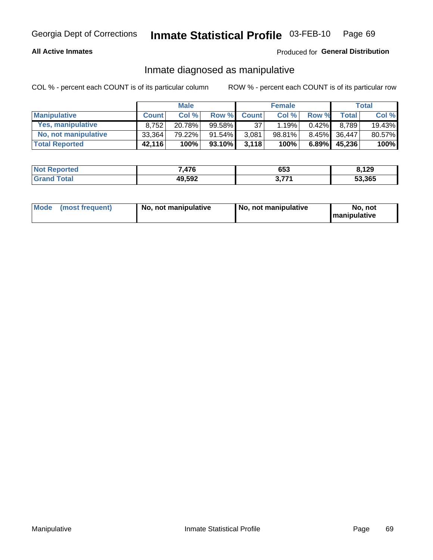## **All Active Inmates**

## Produced for General Distribution

## Inmate diagnosed as manipulative

COL % - percent each COUNT is of its particular column

|                       |              | <b>Male</b> |              |              | <b>Female</b> |          |              | Total  |
|-----------------------|--------------|-------------|--------------|--------------|---------------|----------|--------------|--------|
| <b>Manipulative</b>   | <b>Count</b> | Col %       | <b>Row %</b> | <b>Count</b> | Col%          | Row %    | <b>Total</b> | Col %  |
| Yes, manipulative     | 8.752        | 20.78%      | 99.58%       | 37           | 1.19%         | $0.42\%$ | 8.789        | 19.43% |
| No, not manipulative  | 33,364       | 79.22%      | $91.54\%$    | 3,081        | 98.81%        | $8.45\%$ | 36,447       | 80.57% |
| <b>Total Reported</b> | 42,116       | 100%        | 93.10%       | 3,118        | 100%          | $6.89\%$ | 45.236       | 100%   |

| <b>Not Reported</b>     | 7,476  | 653   | 8,129  |
|-------------------------|--------|-------|--------|
| <b>f</b> otal<br>'Grand | 49,592 | ידד מ | 53,365 |

|  | Mode (most frequent) | No, not manipulative | No, not manipulative | No. not<br><b>I</b> manipulative |
|--|----------------------|----------------------|----------------------|----------------------------------|
|--|----------------------|----------------------|----------------------|----------------------------------|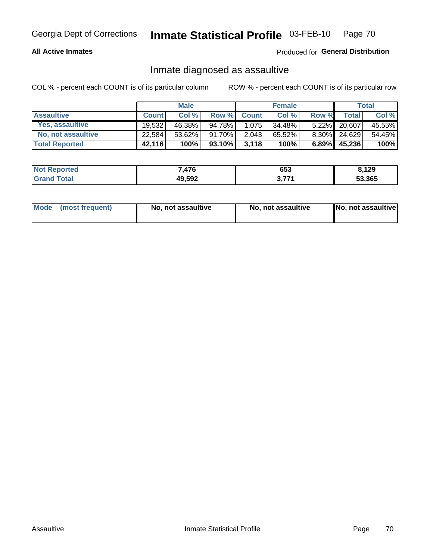## **All Active Inmates**

## Produced for General Distribution

## Inmate diagnosed as assaultive

COL % - percent each COUNT is of its particular column

|                       |              | <b>Male</b> |        |              | <b>Female</b> |          |        | <b>Total</b> |
|-----------------------|--------------|-------------|--------|--------------|---------------|----------|--------|--------------|
| <b>Assaultive</b>     | <b>Count</b> | Col%        | Row %  | <b>Count</b> | Col %         | Row %    | Total  | Col %        |
| Yes, assaultive       | 19.532       | 46.38%      | 94.78% | 1.075        | 34.48%        | $5.22\%$ | 20,607 | 45.55%       |
| No, not assaultive    | 22,584       | $53.62\%$   | 91.70% | 2,043        | 65.52%        | $8.30\%$ | 24.629 | 54.45%       |
| <b>Total Reported</b> | 42,116       | 100%        | 93.10% | 3,118        | 100%          | 6.89%    | 45,236 | 100%         |

| <b>Not Reported</b>      | 7,476  | 653 | 3.129  |
|--------------------------|--------|-----|--------|
| Total<br><b>∣Grand T</b> | 49,592 | ラフィ | 53,365 |

| Mode (most frequent) | No, not assaultive | No, not assaultive | No, not assaultive |
|----------------------|--------------------|--------------------|--------------------|
|----------------------|--------------------|--------------------|--------------------|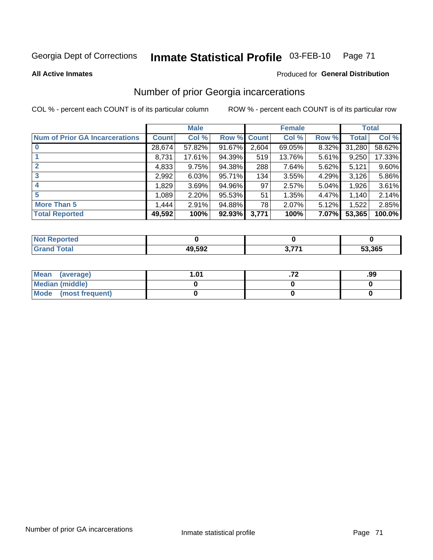#### Inmate Statistical Profile 03-FEB-10 Page 71

**All Active Inmates** 

## **Produced for General Distribution**

## Number of prior Georgia incarcerations

COL % - percent each COUNT is of its particular column

|                                       |              | <b>Male</b> |             |       | <b>Female</b> |       |        | <b>Total</b> |
|---------------------------------------|--------------|-------------|-------------|-------|---------------|-------|--------|--------------|
| <b>Num of Prior GA Incarcerations</b> | <b>Count</b> | Col %       | Row % Count |       | Col %         | Row % | Total  | Col %        |
|                                       | 28,674       | 57.82%      | 91.67%      | 2,604 | 69.05%        | 8.32% | 31,280 | 58.62%       |
|                                       | 8,731        | 17.61%      | 94.39%      | 519   | 13.76%        | 5.61% | 9,250  | 17.33%       |
| $\overline{2}$                        | 4,833        | 9.75%       | 94.38%      | 288   | 7.64%         | 5.62% | 5,121  | 9.60%        |
| 3                                     | 2,992        | 6.03%       | 95.71%      | 134   | 3.55%         | 4.29% | 3,126  | 5.86%        |
| $\boldsymbol{4}$                      | 1,829        | 3.69%       | 94.96%      | 97    | 2.57%         | 5.04% | 1,926  | 3.61%        |
| 5                                     | 1,089        | 2.20%       | 95.53%      | 51    | 1.35%         | 4.47% | 1,140  | 2.14%        |
| <b>More Than 5</b>                    | 1,444        | 2.91%       | 94.88%      | 78 I  | 2.07%         | 5.12% | 1,522  | 2.85%        |
| <b>Total Reported</b>                 | 49,592       | 100%        | $92.93\%$   | 3,771 | 100%          | 7.07% | 53,365 | 100.0%       |

| orted<br>-N. |                  |     |        |
|--------------|------------------|-----|--------|
|              | ההת הו<br>19,ວ9∠ | 774 | 53,365 |

| Mean (average)       | . 01 | .99 |
|----------------------|------|-----|
| Median (middle)      |      |     |
| Mode (most frequent) |      |     |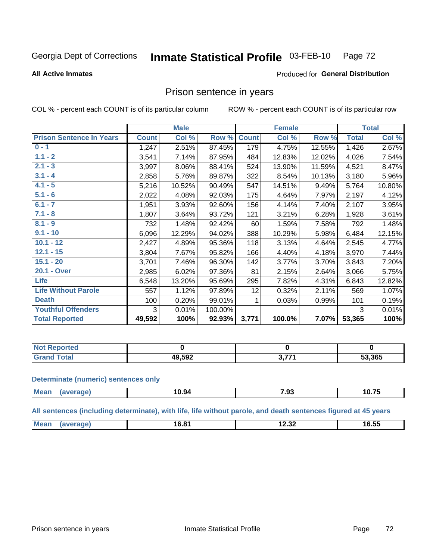#### Inmate Statistical Profile 03-FEB-10 Page 72

### **All Active Inmates**

## Produced for General Distribution

## Prison sentence in years

COL % - percent each COUNT is of its particular column

ROW % - percent each COUNT is of its particular row

|                                 |              | <b>Male</b> |         |              | <b>Female</b> |        |              | <b>Total</b> |
|---------------------------------|--------------|-------------|---------|--------------|---------------|--------|--------------|--------------|
| <b>Prison Sentence In Years</b> | <b>Count</b> | Col %       | Row %   | <b>Count</b> | Col %         | Row %  | <b>Total</b> | Col %        |
| $0 - 1$                         | 1,247        | 2.51%       | 87.45%  | 179          | 4.75%         | 12.55% | 1,426        | 2.67%        |
| $1.1 - 2$                       | 3,541        | 7.14%       | 87.95%  | 484          | 12.83%        | 12.02% | 4,026        | 7.54%        |
| $2.1 - 3$                       | 3,997        | 8.06%       | 88.41%  | 524          | 13.90%        | 11.59% | 4,521        | 8.47%        |
| $3.1 - 4$                       | 2,858        | 5.76%       | 89.87%  | 322          | 8.54%         | 10.13% | 3,180        | 5.96%        |
| $4.1 - 5$                       | 5,216        | 10.52%      | 90.49%  | 547          | 14.51%        | 9.49%  | 5,764        | 10.80%       |
| $5.1 - 6$                       | 2,022        | 4.08%       | 92.03%  | 175          | 4.64%         | 7.97%  | 2,197        | 4.12%        |
| $6.1 - 7$                       | 1,951        | 3.93%       | 92.60%  | 156          | 4.14%         | 7.40%  | 2,107        | 3.95%        |
| $7.1 - 8$                       | 1,807        | 3.64%       | 93.72%  | 121          | 3.21%         | 6.28%  | 1,928        | 3.61%        |
| $8.1 - 9$                       | 732          | 1.48%       | 92.42%  | 60           | 1.59%         | 7.58%  | 792          | 1.48%        |
| $9.1 - 10$                      | 6,096        | 12.29%      | 94.02%  | 388          | 10.29%        | 5.98%  | 6,484        | 12.15%       |
| $10.1 - 12$                     | 2,427        | 4.89%       | 95.36%  | 118          | 3.13%         | 4.64%  | 2,545        | 4.77%        |
| $12.1 - 15$                     | 3,804        | 7.67%       | 95.82%  | 166          | 4.40%         | 4.18%  | 3,970        | 7.44%        |
| $15.1 - 20$                     | 3,701        | 7.46%       | 96.30%  | 142          | 3.77%         | 3.70%  | 3,843        | 7.20%        |
| 20.1 - Over                     | 2,985        | 6.02%       | 97.36%  | 81           | 2.15%         | 2.64%  | 3,066        | 5.75%        |
| <b>Life</b>                     | 6,548        | 13.20%      | 95.69%  | 295          | 7.82%         | 4.31%  | 6,843        | 12.82%       |
| <b>Life Without Parole</b>      | 557          | 1.12%       | 97.89%  | 12           | 0.32%         | 2.11%  | 569          | 1.07%        |
| <b>Death</b>                    | 100          | 0.20%       | 99.01%  |              | 0.03%         | 0.99%  | 101          | 0.19%        |
| <b>Youthful Offenders</b>       | 3            | 0.01%       | 100.00% |              |               |        | 3            | 0.01%        |
| <b>Total Reported</b>           | 49,592       | 100%        | 92.93%  | 3,771        | 100.0%        | 7.07%  | 53,365       | 100%         |

| Reported<br>I NOT |        |       |        |
|-------------------|--------|-------|--------|
|                   | 19,592 | ヽ フフィ | 53,365 |

### **Determinate (numeric) sentences only**

| <b>Mean</b> | ממו | 10.94 | $\rightarrow$ 00<br>.93 | --<br>. .<br>וט.ו |
|-------------|-----|-------|-------------------------|-------------------|
|             |     |       |                         |                   |

All sentences (including determinate), with life, life without parole, and death sentences figured at 45 years

| Me | C 04<br>ة.סי<br>____ | $\sim$ 00<br>ےں.ے ا<br>______ | .<br>6.55 |
|----|----------------------|-------------------------------|-----------|
|    |                      |                               |           |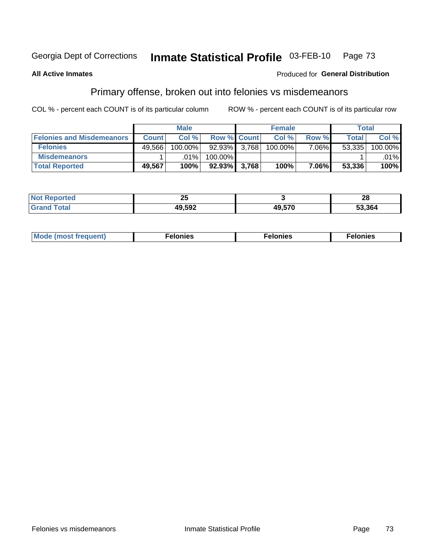#### Inmate Statistical Profile 03-FEB-10 Georgia Dept of Corrections Page 73

### **All Active Inmates**

### Produced for General Distribution

## Primary offense, broken out into felonies vs misdemeanors

COL % - percent each COUNT is of its particular column

|                                  |              | <b>Male</b> |                    | <b>Female</b> |       | Total        |            |
|----------------------------------|--------------|-------------|--------------------|---------------|-------|--------------|------------|
| <b>Felonies and Misdemeanors</b> | <b>Count</b> | Col%        | <b>Row % Count</b> | Col%          | Row % | <b>Total</b> | Col %      |
| <b>Felonies</b>                  | 49.566       | $100.00\%$  | 92.93% 3,768       | 100.00%       | 7.06% | 53.335       | $100.00\%$ |
| <b>Misdemeanors</b>              |              | .01%        | $100.00\%$         |               |       |              | $.01\%$    |
| <b>Total Reported</b>            | 49,567       | 100%        | $92.93\%$ 3,768    | 100%          | 7.06% | 53,336       | 100%       |

| <b>Not</b><br><b>eported</b> | ∼            |        | ኅሮ<br>ZO |
|------------------------------|--------------|--------|----------|
| Grar<br>⊺otar                | <b>10502</b> | 49 57C | 53.364   |

| M      | .    | nes | onies |
|--------|------|-----|-------|
| nuenti | ____ | .   | .     |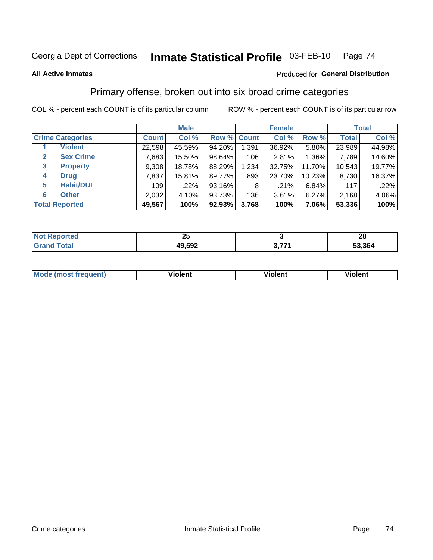#### Inmate Statistical Profile 03-FEB-10 Page 74

#### **All Active Inmates**

### Produced for General Distribution

## Primary offense, broken out into six broad crime categories

COL % - percent each COUNT is of its particular column

|                                  |              | <b>Male</b> |        |             | <b>Female</b> |          |              | <b>Total</b> |
|----------------------------------|--------------|-------------|--------|-------------|---------------|----------|--------------|--------------|
| <b>Crime Categories</b>          | <b>Count</b> | Col %       |        | Row % Count | Col %         | Row %    | <b>Total</b> | Col %        |
| <b>Violent</b>                   | 22,598       | 45.59%      | 94.20% | 1,391       | 36.92%        | $5.80\%$ | 23,989       | 44.98%       |
| <b>Sex Crime</b><br>$\mathbf{2}$ | 7,683        | 15.50%      | 98.64% | 106         | 2.81%         | $1.36\%$ | 7,789        | 14.60%       |
| 3<br><b>Property</b>             | 9,308        | 18.78%      | 88.29% | 1,234       | 32.75%        | 11.70%   | 10,543       | 19.77%       |
| <b>Drug</b><br>4                 | 7,837        | 15.81%      | 89.77% | 893         | 23.70%        | 10.23%   | 8,730        | 16.37%       |
| <b>Habit/DUI</b><br>5            | 109          | .22%        | 93.16% | 8           | .21%          | 6.84%    | 117          | .22%         |
| <b>Other</b><br>6                | 2,032        | 4.10%       | 93.73% | 136         | 3.61%         | $6.27\%$ | 2,168        | 4.06%        |
| <b>Total Reported</b>            | 49,567       | 100%        | 92.93% | 3,768       | 100%          | $7.06\%$ | 53,336       | 100%         |

| enorted<br>N0 | ∼      |     | ົດ<br>ZO |
|---------------|--------|-----|----------|
| `otal         | 49,592 | 77, | 3.364ء   |

| Mode<br>freauent)<br>anst tr | .<br>/iolent | <br>Violent | .<br><b>Tiolent</b> |
|------------------------------|--------------|-------------|---------------------|
|                              |              |             |                     |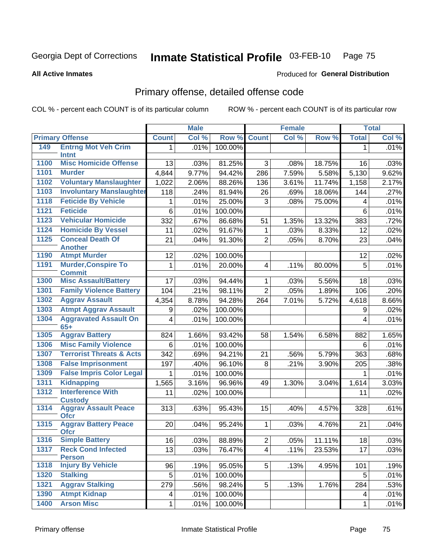#### Inmate Statistical Profile 03-FEB-10 Page 75

**All Active Inmates** 

### Produced for General Distribution

# Primary offense, detailed offense code

COL % - percent each COUNT is of its particular column

|      |                                             |                         | <b>Male</b> |         |                 | Female |        |              | <b>Total</b> |
|------|---------------------------------------------|-------------------------|-------------|---------|-----------------|--------|--------|--------------|--------------|
|      | <b>Primary Offense</b>                      | <b>Count</b>            | Col %       | Row %   | <b>Count</b>    | Col %  | Row %  | <b>Total</b> | Col %        |
| 149  | <b>Entrng Mot Veh Crim</b>                  | 1 <sup>1</sup>          | .01%        | 100.00% |                 |        |        | $\mathbf{1}$ | .01%         |
|      | Intnt                                       |                         |             |         |                 |        |        |              |              |
| 1100 | <b>Misc Homicide Offense</b>                | 13                      | .03%        | 81.25%  | 3               | .08%   | 18.75% | 16           | .03%         |
| 1101 | <b>Murder</b>                               | 4,844                   | 9.77%       | 94.42%  | 286             | 7.59%  | 5.58%  | 5,130        | 9.62%        |
| 1102 | <b>Voluntary Manslaughter</b>               | 1,022                   | 2.06%       | 88.26%  | 136             | 3.61%  | 11.74% | 1,158        | 2.17%        |
| 1103 | <b>Involuntary Manslaughter</b>             | 118                     | .24%        | 81.94%  | 26              | .69%   | 18.06% | 144          | .27%         |
| 1118 | <b>Feticide By Vehicle</b>                  | 1                       | .01%        | 25.00%  | 3               | .08%   | 75.00% | 4            | .01%         |
| 1121 | <b>Feticide</b>                             | 6                       | .01%        | 100.00% |                 |        |        | 6            | .01%         |
| 1123 | <b>Vehicular Homicide</b>                   | 332                     | .67%        | 86.68%  | 51              | 1.35%  | 13.32% | 383          | .72%         |
| 1124 | <b>Homicide By Vessel</b>                   | 11                      | .02%        | 91.67%  | 1               | .03%   | 8.33%  | 12           | .02%         |
| 1125 | <b>Conceal Death Of</b><br><b>Another</b>   | 21                      | .04%        | 91.30%  | $\overline{2}$  | .05%   | 8.70%  | 23           | .04%         |
| 1190 | <b>Atmpt Murder</b>                         | 12                      | .02%        | 100.00% |                 |        |        | 12           | .02%         |
| 1191 | <b>Murder, Conspire To</b><br><b>Commit</b> | $\mathbf 1$             | .01%        | 20.00%  | 4               | .11%   | 80.00% | 5            | .01%         |
| 1300 | <b>Misc Assault/Battery</b>                 | 17                      | .03%        | 94.44%  | 1               | .03%   | 5.56%  | 18           | .03%         |
| 1301 | <b>Family Violence Battery</b>              | 104                     | .21%        | 98.11%  | $\overline{2}$  | .05%   | 1.89%  | 106          | .20%         |
| 1302 | <b>Aggrav Assault</b>                       | 4,354                   | 8.78%       | 94.28%  | 264             | 7.01%  | 5.72%  | 4,618        | 8.66%        |
| 1303 | <b>Atmpt Aggrav Assault</b>                 | 9                       | .02%        | 100.00% |                 |        |        | 9            | .02%         |
| 1304 | <b>Aggravated Assault On</b><br>$65+$       | $\overline{\mathbf{4}}$ | .01%        | 100.00% |                 |        |        | 4            | .01%         |
| 1305 | <b>Aggrav Battery</b>                       | 824                     | 1.66%       | 93.42%  | 58              | 1.54%  | 6.58%  | 882          | 1.65%        |
| 1306 | <b>Misc Family Violence</b>                 | 6                       | .01%        | 100.00% |                 |        |        | 6            | .01%         |
| 1307 | <b>Terrorist Threats &amp; Acts</b>         | 342                     | .69%        | 94.21%  | 21              | .56%   | 5.79%  | 363          | .68%         |
| 1308 | <b>False Imprisonment</b>                   | 197                     | .40%        | 96.10%  | 8               | .21%   | 3.90%  | 205          | .38%         |
| 1309 | <b>False Impris Color Legal</b>             | $\mathbf 1$             | .01%        | 100.00% |                 |        |        | 1            | .01%         |
| 1311 | <b>Kidnapping</b>                           | 1,565                   | 3.16%       | 96.96%  | 49              | 1.30%  | 3.04%  | 1,614        | 3.03%        |
| 1312 | <b>Interference With</b><br><b>Custody</b>  | 11                      | .02%        | 100.00% |                 |        |        | 11           | .02%         |
| 1314 | <b>Aggrav Assault Peace</b><br><b>Ofcr</b>  | 313                     | .63%        | 95.43%  | 15              | .40%   | 4.57%  | 328          | .61%         |
| 1315 | <b>Aggrav Battery Peace</b><br><b>Ofcr</b>  | 20                      | .04%        | 95.24%  | 1               | .03%   | 4.76%  | 21           | .04%         |
|      | 1316 Simple Battery                         | 16                      | .03%        | 88.89%  | $\overline{c}$  | .05%   | 11.11% | 18           | .03%         |
| 1317 | <b>Reck Cond Infected</b><br><b>Person</b>  | 13                      | .03%        | 76.47%  | $\overline{4}$  | .11%   | 23.53% | 17           | .03%         |
| 1318 | <b>Injury By Vehicle</b>                    | 96                      | .19%        | 95.05%  | 5               | .13%   | 4.95%  | 101          | .19%         |
| 1320 | <b>Stalking</b>                             | 5                       | .01%        | 100.00% |                 |        |        | 5            | .01%         |
| 1321 | <b>Aggrav Stalking</b>                      | 279                     | .56%        | 98.24%  | $5\phantom{.0}$ | .13%   | 1.76%  | 284          | .53%         |
| 1390 | <b>Atmpt Kidnap</b>                         | 4                       | .01%        | 100.00% |                 |        |        | 4            | .01%         |
| 1400 | <b>Arson Misc</b>                           | 1                       | .01%        | 100.00% |                 |        |        | 1            | .01%         |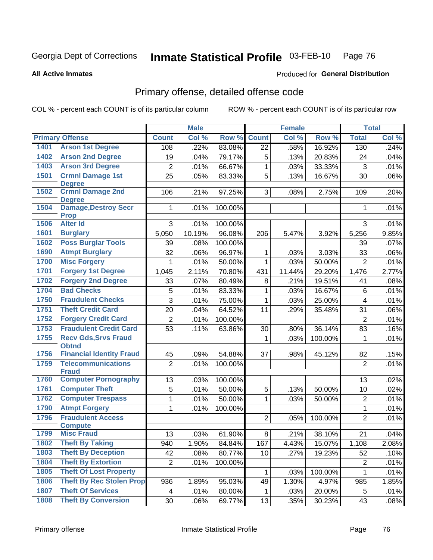#### Inmate Statistical Profile 03-FEB-10 Page 76

**All Active Inmates** 

### Produced for General Distribution

# Primary offense, detailed offense code

COL % - percent each COUNT is of its particular column

|      |                                            |                | <b>Male</b> |         |                | <b>Female</b> |         |                | <b>Total</b> |
|------|--------------------------------------------|----------------|-------------|---------|----------------|---------------|---------|----------------|--------------|
|      | <b>Primary Offense</b>                     | <b>Count</b>   | Col %       | Row %   | <b>Count</b>   | Col %         | Row %   | <b>Total</b>   | Col %        |
| 1401 | <b>Arson 1st Degree</b>                    | 108            | .22%        | 83.08%  | 22             | .58%          | 16.92%  | 130            | .24%         |
| 1402 | <b>Arson 2nd Degree</b>                    | 19             | .04%        | 79.17%  | 5              | .13%          | 20.83%  | 24             | .04%         |
| 1403 | <b>Arson 3rd Degree</b>                    | $\overline{2}$ | .01%        | 66.67%  | 1              | .03%          | 33.33%  | $\mathbf{3}$   | .01%         |
| 1501 | <b>Crmnl Damage 1st</b>                    | 25             | .05%        | 83.33%  | $\overline{5}$ | .13%          | 16.67%  | 30             | .06%         |
|      | <b>Degree</b>                              |                |             |         |                |               |         |                |              |
| 1502 | <b>Crmnl Damage 2nd</b><br><b>Degree</b>   | 106            | .21%        | 97.25%  | 3              | .08%          | 2.75%   | 109            | .20%         |
| 1504 | <b>Damage, Destroy Secr</b><br><b>Prop</b> | $\mathbf 1$    | .01%        | 100.00% |                |               |         | 1              | .01%         |
| 1506 | <b>Alter Id</b>                            | 3              | .01%        | 100.00% |                |               |         | 3              | .01%         |
| 1601 | <b>Burglary</b>                            | 5,050          | 10.19%      | 96.08%  | 206            | 5.47%         | 3.92%   | 5,256          | 9.85%        |
| 1602 | <b>Poss Burglar Tools</b>                  | 39             | .08%        | 100.00% |                |               |         | 39             | .07%         |
| 1690 | <b>Atmpt Burglary</b>                      | 32             | .06%        | 96.97%  | $\mathbf{1}$   | .03%          | 3.03%   | 33             | .06%         |
| 1700 | <b>Misc Forgery</b>                        | $\mathbf{1}$   | .01%        | 50.00%  | $\mathbf{1}$   | .03%          | 50.00%  | $\overline{2}$ | .01%         |
| 1701 | <b>Forgery 1st Degree</b>                  | 1,045          | 2.11%       | 70.80%  | 431            | 11.44%        | 29.20%  | 1,476          | 2.77%        |
| 1702 | <b>Forgery 2nd Degree</b>                  | 33             | .07%        | 80.49%  | 8              | .21%          | 19.51%  | 41             | .08%         |
| 1704 | <b>Bad Checks</b>                          | 5              | .01%        | 83.33%  | $\mathbf{1}$   | .03%          | 16.67%  | 6              | .01%         |
| 1750 | <b>Fraudulent Checks</b>                   | 3              | .01%        | 75.00%  | 1              | .03%          | 25.00%  | 4              | .01%         |
| 1751 | <b>Theft Credit Card</b>                   | 20             | .04%        | 64.52%  | 11             | .29%          | 35.48%  | 31             | .06%         |
| 1752 | <b>Forgery Credit Card</b>                 | $\overline{2}$ | .01%        | 100.00% |                |               |         | $\overline{2}$ | .01%         |
| 1753 | <b>Fraudulent Credit Card</b>              | 53             | .11%        | 63.86%  | 30             | .80%          | 36.14%  | 83             | .16%         |
| 1755 | <b>Recv Gds, Srvs Fraud</b>                |                |             |         | 1              | .03%          | 100.00% | $\mathbf 1$    | .01%         |
|      | <b>Obtnd</b>                               |                |             |         |                |               |         |                |              |
| 1756 | <b>Financial Identity Fraud</b>            | 45             | .09%        | 54.88%  | 37             | .98%          | 45.12%  | 82             | .15%         |
| 1759 | <b>Telecommunications</b><br><b>Fraud</b>  | $\overline{2}$ | .01%        | 100.00% |                |               |         | $\overline{2}$ | .01%         |
| 1760 | <b>Computer Pornography</b>                | 13             | .03%        | 100.00% |                |               |         | 13             | .02%         |
| 1761 | <b>Computer Theft</b>                      | 5              | .01%        | 50.00%  | 5              | .13%          | 50.00%  | 10             | .02%         |
| 1762 | <b>Computer Trespass</b>                   | $\mathbf{1}$   | .01%        | 50.00%  | 1              | .03%          | 50.00%  | $\overline{2}$ | .01%         |
| 1790 | <b>Atmpt Forgery</b>                       | $\mathbf{1}$   | .01%        | 100.00% |                |               |         | 1              | .01%         |
| 1796 | <b>Fraudulent Access</b>                   |                |             |         | $\overline{2}$ | .05%          | 100.00% | $\overline{2}$ | .01%         |
|      | <b>Compute</b>                             |                |             |         |                |               |         |                |              |
| 1799 | <b>Misc Fraud</b>                          | 13             | .03%        | 61.90%  | 8              | .21%          | 38.10%  | 21             | .04%         |
| 1802 | <b>Theft By Taking</b>                     | 940            | 1.90%       | 84.84%  | 167            | 4.43%         | 15.07%  | 1,108          | 2.08%        |
| 1803 | <b>Theft By Deception</b>                  | 42             | .08%        | 80.77%  | 10             | .27%          | 19.23%  | 52             | .10%         |
| 1804 | <b>Theft By Extortion</b>                  | $\overline{2}$ | .01%        | 100.00% |                |               |         | $\overline{2}$ | .01%         |
| 1805 | <b>Theft Of Lost Property</b>              |                |             |         | 1              | .03%          | 100.00% | 1              | .01%         |
| 1806 | <b>Theft By Rec Stolen Prop</b>            | 936            | 1.89%       | 95.03%  | 49             | 1.30%         | 4.97%   | 985            | 1.85%        |
| 1807 | <b>Theft Of Services</b>                   | 4              | .01%        | 80.00%  | 1              | .03%          | 20.00%  | 5              | .01%         |
| 1808 | <b>Theft By Conversion</b>                 | 30             | .06%        | 69.77%  | 13             | .35%          | 30.23%  | 43             | .08%         |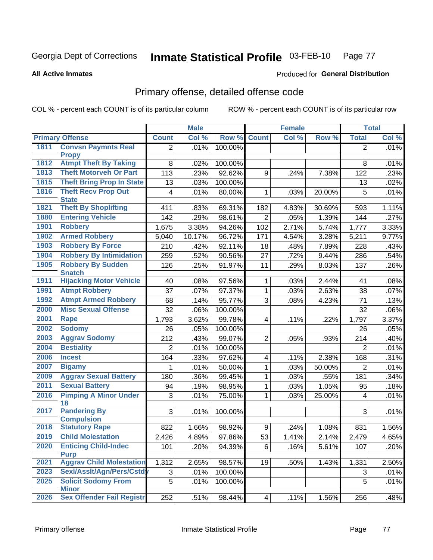#### Inmate Statistical Profile 03-FEB-10 Page 77

**All Active Inmates** 

### **Produced for General Distribution**

# Primary offense, detailed offense code

COL % - percent each COUNT is of its particular column

|      |                                              |                  | <b>Male</b> |         |                | <b>Female</b> |        |                | <b>Total</b> |
|------|----------------------------------------------|------------------|-------------|---------|----------------|---------------|--------|----------------|--------------|
|      | <b>Primary Offense</b>                       | <b>Count</b>     | Col %       | Row %   | <b>Count</b>   | Col %         | Row %  | <b>Total</b>   | Col %        |
| 1811 | <b>Convsn Paymnts Real</b>                   | $\overline{2}$   | .01%        | 100.00% |                |               |        | $\overline{2}$ | .01%         |
| 1812 | <b>Propy</b><br><b>Atmpt Theft By Taking</b> | 8                | .02%        | 100.00% |                |               |        | 8              | .01%         |
| 1813 | <b>Theft Motorveh Or Part</b>                | 113              | .23%        | 92.62%  | 9              | .24%          | 7.38%  | 122            | .23%         |
| 1815 | <b>Theft Bring Prop In State</b>             | 13               | .03%        | 100.00% |                |               |        | 13             | .02%         |
| 1816 | <b>Theft Recv Prop Out</b>                   | 4                | .01%        | 80.00%  | 1              | .03%          | 20.00% | 5              | .01%         |
|      | <b>State</b>                                 |                  |             |         |                |               |        |                |              |
| 1821 | <b>Theft By Shoplifting</b>                  | 411              | .83%        | 69.31%  | 182            | 4.83%         | 30.69% | 593            | 1.11%        |
| 1880 | <b>Entering Vehicle</b>                      | 142              | .29%        | 98.61%  | $\overline{2}$ | .05%          | 1.39%  | 144            | .27%         |
| 1901 | <b>Robbery</b>                               | 1,675            | 3.38%       | 94.26%  | 102            | 2.71%         | 5.74%  | 1,777          | 3.33%        |
| 1902 | <b>Armed Robbery</b>                         | 5,040            | 10.17%      | 96.72%  | 171            | 4.54%         | 3.28%  | 5,211          | 9.77%        |
| 1903 | <b>Robbery By Force</b>                      | 210              | .42%        | 92.11%  | 18             | .48%          | 7.89%  | 228            | .43%         |
| 1904 | <b>Robbery By Intimidation</b>               | 259              | .52%        | 90.56%  | 27             | .72%          | 9.44%  | 286            | .54%         |
| 1905 | <b>Robbery By Sudden</b>                     | 126              | .25%        | 91.97%  | 11             | .29%          | 8.03%  | 137            | .26%         |
|      | <b>Snatch</b>                                |                  |             |         |                |               |        |                |              |
| 1911 | <b>Hijacking Motor Vehicle</b>               | 40               | .08%        | 97.56%  | $\mathbf 1$    | .03%          | 2.44%  | 41             | .08%         |
| 1991 | <b>Atmpt Robbery</b>                         | 37               | .07%        | 97.37%  | 1              | .03%          | 2.63%  | 38             | .07%         |
| 1992 | <b>Atmpt Armed Robbery</b>                   | 68               | .14%        | 95.77%  | 3              | .08%          | 4.23%  | 71             | .13%         |
| 2000 | <b>Misc Sexual Offense</b>                   | 32               | .06%        | 100.00% |                |               |        | 32             | .06%         |
| 2001 | <b>Rape</b>                                  | 1,793            | 3.62%       | 99.78%  | $\overline{4}$ | .11%          | .22%   | 1,797          | 3.37%        |
| 2002 | <b>Sodomy</b>                                | 26               | .05%        | 100.00% |                |               |        | 26             | .05%         |
| 2003 | <b>Aggrav Sodomy</b>                         | 212              | .43%        | 99.07%  | $\overline{2}$ | .05%          | .93%   | 214            | .40%         |
| 2004 | <b>Bestiality</b>                            | $\overline{2}$   | .01%        | 100.00% |                |               |        | $\overline{2}$ | .01%         |
| 2006 | <b>Incest</b>                                | 164              | .33%        | 97.62%  | 4              | .11%          | 2.38%  | 168            | .31%         |
| 2007 | <b>Bigamy</b>                                | 1                | .01%        | 50.00%  | 1              | .03%          | 50.00% | $\overline{2}$ | .01%         |
| 2009 | <b>Aggrav Sexual Battery</b>                 | 180              | .36%        | 99.45%  | $\mathbf{1}$   | .03%          | .55%   | 181            | .34%         |
| 2011 | <b>Sexual Battery</b>                        | 94               | .19%        | 98.95%  | $\mathbf{1}$   | .03%          | 1.05%  | 95             | .18%         |
| 2016 | <b>Pimping A Minor Under</b><br>18           | 3                | .01%        | 75.00%  | $\mathbf{1}$   | .03%          | 25.00% | 4              | .01%         |
| 2017 | <b>Pandering By</b><br><b>Compulsion</b>     | 3                | .01%        | 100.00% |                |               |        | 3              | .01%         |
| 2018 | <b>Statutory Rape</b>                        | 822              | 1.66%       | 98.92%  | 9              | .24%          | 1.08%  | 831            | 1.56%        |
| 2019 | <b>Child Molestation</b>                     | 2,426            | 4.89%       | 97.86%  | 53             | 1.41%         | 2.14%  | 2,479          | 4.65%        |
| 2020 | <b>Enticing Child-Indec</b><br><b>Purp</b>   | 101              | .20%        | 94.39%  | 6              | .16%          | 5.61%  | 107            | .20%         |
| 2021 | <b>Aggrav Child Molestation</b>              | 1,312            | 2.65%       | 98.57%  | 19             | .50%          | 1.43%  | 1,331          | 2.50%        |
| 2023 | Sexl/AssIt/Agn/Pers/Cstdv                    | 3                | .01%        | 100.00% |                |               |        | 3              | .01%         |
| 2025 | <b>Solicit Sodomy From</b><br><b>Minor</b>   | $\overline{5}$   | .01%        | 100.00% |                |               |        | 5              | .01%         |
| 2026 | <b>Sex Offender Fail Registr</b>             | $\overline{252}$ | .51%        | 98.44%  | 4              | .11%          | 1.56%  | 256            | .48%         |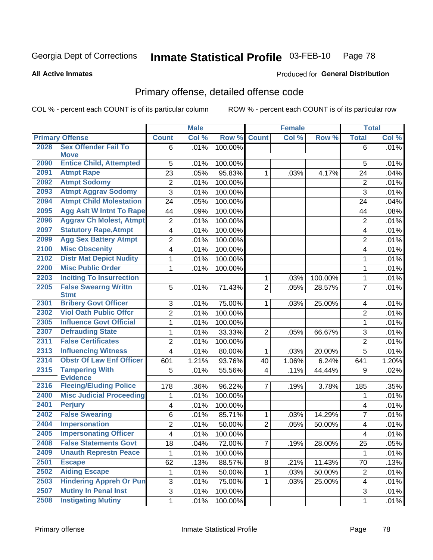#### Inmate Statistical Profile 03-FEB-10 Page 78

**All Active Inmates** 

### Produced for General Distribution

# Primary offense, detailed offense code

COL % - percent each COUNT is of its particular column

|      |                                            | <b>Male</b>               |       | <b>Female</b> |                |       | <b>Total</b> |                         |       |
|------|--------------------------------------------|---------------------------|-------|---------------|----------------|-------|--------------|-------------------------|-------|
|      | <b>Primary Offense</b>                     | <b>Count</b>              | Col % | Row %         | <b>Count</b>   | Col % | Row %        | <b>Total</b>            | Col % |
| 2028 | <b>Sex Offender Fail To</b>                | 6                         | .01%  | 100.00%       |                |       |              | 6                       | .01%  |
|      | <b>Move</b>                                |                           |       |               |                |       |              |                         |       |
| 2090 | <b>Entice Child, Attempted</b>             | 5                         | .01%  | 100.00%       |                |       |              | 5                       | .01%  |
| 2091 | <b>Atmpt Rape</b>                          | 23                        | .05%  | 95.83%        | 1              | .03%  | 4.17%        | 24                      | .04%  |
| 2092 | <b>Atmpt Sodomy</b>                        | $\boldsymbol{2}$          | .01%  | 100.00%       |                |       |              | $\overline{2}$          | .01%  |
| 2093 | <b>Atmpt Aggrav Sodomy</b>                 | $\overline{3}$            | .01%  | 100.00%       |                |       |              | 3                       | .01%  |
| 2094 | <b>Atmpt Child Molestation</b>             | 24                        | .05%  | 100.00%       |                |       |              | 24                      | .04%  |
| 2095 | <b>Agg Aslt W Intnt To Rape</b>            | 44                        | .09%  | 100.00%       |                |       |              | 44                      | .08%  |
| 2096 | <b>Aggrav Ch Molest, Atmpt</b>             | $\overline{2}$            | .01%  | 100.00%       |                |       |              | $\overline{2}$          | .01%  |
| 2097 | <b>Statutory Rape, Atmpt</b>               | $\overline{4}$            | .01%  | 100.00%       |                |       |              | $\overline{\mathbf{4}}$ | .01%  |
| 2099 | <b>Agg Sex Battery Atmpt</b>               | $\overline{2}$            | .01%  | 100.00%       |                |       |              | $\overline{2}$          | .01%  |
| 2100 | <b>Misc Obscenity</b>                      | $\overline{\mathbf{4}}$   | .01%  | 100.00%       |                |       |              | 4                       | .01%  |
| 2102 | <b>Distr Mat Depict Nudity</b>             | $\mathbf{1}$              | .01%  | 100.00%       |                |       |              | $\mathbf{1}$            | .01%  |
| 2200 | <b>Misc Public Order</b>                   | 1                         | .01%  | 100.00%       |                |       |              | 1                       | .01%  |
| 2203 | <b>Inciting To Insurrection</b>            |                           |       |               | 1              | .03%  | 100.00%      | 1                       | .01%  |
| 2205 | <b>False Swearng Writtn</b><br><b>Stmt</b> | 5                         | .01%  | 71.43%        | $\overline{2}$ | .05%  | 28.57%       | $\overline{7}$          | .01%  |
| 2301 | <b>Bribery Govt Officer</b>                | 3                         | .01%  | 75.00%        | 1              | .03%  | 25.00%       | 4                       | .01%  |
| 2302 | <b>Viol Oath Public Offcr</b>              | $\overline{2}$            | .01%  | 100.00%       |                |       |              | $\overline{2}$          | .01%  |
| 2305 | <b>Influence Govt Official</b>             | $\mathbf{1}$              | .01%  | 100.00%       |                |       |              | $\mathbf{1}$            | .01%  |
| 2307 | <b>Defrauding State</b>                    | $\mathbf{1}$              | .01%  | 33.33%        | $\overline{2}$ | .05%  | 66.67%       | 3                       | .01%  |
| 2311 | <b>False Certificates</b>                  | $\boldsymbol{2}$          | .01%  | 100.00%       |                |       |              | $\overline{2}$          | .01%  |
| 2313 | <b>Influencing Witness</b>                 | $\overline{4}$            | .01%  | 80.00%        | 1              | .03%  | 20.00%       | 5                       | .01%  |
| 2314 | <b>Obstr Of Law Enf Officer</b>            | 601                       | 1.21% | 93.76%        | 40             | 1.06% | 6.24%        | 641                     | 1.20% |
| 2315 | <b>Tampering With</b><br><b>Evidence</b>   | 5                         | .01%  | 55.56%        | 4              | .11%  | 44.44%       | 9                       | .02%  |
| 2316 | <b>Fleeing/Eluding Police</b>              | 178                       | .36%  | 96.22%        | $\overline{7}$ | .19%  | 3.78%        | 185                     | .35%  |
| 2400 | <b>Misc Judicial Proceeding</b>            | 1                         | .01%  | 100.00%       |                |       |              | 1                       | .01%  |
| 2401 | <b>Perjury</b>                             | $\overline{\mathcal{A}}$  | .01%  | 100.00%       |                |       |              | 4                       | .01%  |
| 2402 | <b>False Swearing</b>                      | 6                         | .01%  | 85.71%        | 1              | .03%  | 14.29%       | $\overline{7}$          | .01%  |
| 2404 | <b>Impersonation</b>                       | $\overline{2}$            | .01%  | 50.00%        | $\overline{2}$ | .05%  | 50.00%       | $\overline{\mathbf{4}}$ | .01%  |
| 2405 | <b>Impersonating Officer</b>               | $\overline{4}$            | .01%  | 100.00%       |                |       |              | $\overline{\mathbf{4}}$ | .01%  |
| 2408 | <b>False Statements Govt</b>               | 18                        | .04%  | 72.00%        | ſ              | .19%  | 28.00%       | 25                      | .05%  |
| 2409 | <b>Unauth Represtn Peace</b>               | 1                         | .01%  | 100.00%       |                |       |              | 1                       | .01%  |
| 2501 | <b>Escape</b>                              | 62                        | .13%  | 88.57%        | 8              | .21%  | 11.43%       | 70                      | .13%  |
| 2502 | <b>Aiding Escape</b>                       | 1                         | .01%  | 50.00%        | 1              | .03%  | 50.00%       | $\overline{2}$          | .01%  |
| 2503 | <b>Hindering Appreh Or Pun</b>             | $\ensuremath{\mathsf{3}}$ | .01%  | 75.00%        | 1              | .03%  | 25.00%       | 4                       | .01%  |
| 2507 | <b>Mutiny In Penal Inst</b>                | $\overline{3}$            | .01%  | 100.00%       |                |       |              | 3                       | .01%  |
| 2508 | <b>Instigating Mutiny</b>                  | $1\vert$                  | .01%  | 100.00%       |                |       |              | $\mathbf 1$             | .01%  |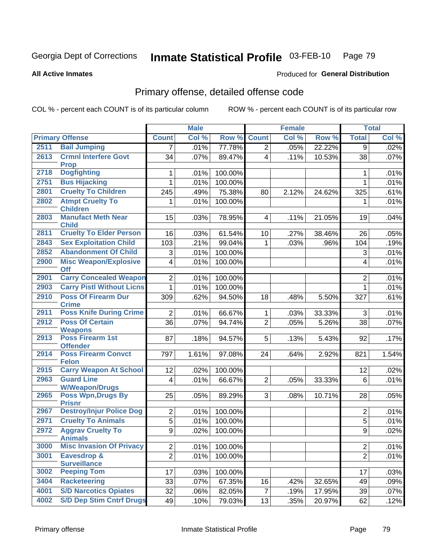#### Inmate Statistical Profile 03-FEB-10 Page 79

**All Active Inmates** 

### **Produced for General Distribution**

# Primary offense, detailed offense code

COL % - percent each COUNT is of its particular column

|      |                                               |                | <b>Male</b> |         |                         | <b>Female</b> |        |                           | <b>Total</b> |
|------|-----------------------------------------------|----------------|-------------|---------|-------------------------|---------------|--------|---------------------------|--------------|
|      | <b>Primary Offense</b>                        | <b>Count</b>   | Col %       | Row %   | <b>Count</b>            | Col %         | Row %  | <b>Total</b>              | Col %        |
| 2511 | <b>Bail Jumping</b>                           | 7              | .01%        | 77.78%  | $\overline{2}$          | .05%          | 22.22% | 9                         | .02%         |
| 2613 | <b>Crmnl Interfere Govt</b><br><b>Prop</b>    | 34             | .07%        | 89.47%  | $\overline{4}$          | .11%          | 10.53% | 38                        | .07%         |
| 2718 | <b>Dogfighting</b>                            | 1              | .01%        | 100.00% |                         |               |        | 1                         | .01%         |
| 2751 | <b>Bus Hijacking</b>                          | 1              | .01%        | 100.00% |                         |               |        | $\mathbf{1}$              | .01%         |
| 2801 | <b>Cruelty To Children</b>                    | 245            | .49%        | 75.38%  | 80                      | 2.12%         | 24.62% | 325                       | .61%         |
| 2802 | <b>Atmpt Cruelty To</b><br><b>Children</b>    | 1              | .01%        | 100.00% |                         |               |        | 1                         | .01%         |
| 2803 | <b>Manufact Meth Near</b><br><b>Child</b>     | 15             | .03%        | 78.95%  | $\overline{\mathbf{4}}$ | .11%          | 21.05% | 19                        | .04%         |
| 2811 | <b>Cruelty To Elder Person</b>                | 16             | .03%        | 61.54%  | 10 <sup>1</sup>         | .27%          | 38.46% | 26                        | .05%         |
| 2843 | <b>Sex Exploitation Child</b>                 | 103            | .21%        | 99.04%  | 1                       | .03%          | .96%   | 104                       | .19%         |
| 2852 | <b>Abandonment Of Child</b>                   | 3              | .01%        | 100.00% |                         |               |        | $\ensuremath{\mathsf{3}}$ | .01%         |
| 2900 | <b>Misc Weapon/Explosive</b><br><b>Off</b>    | 4              | .01%        | 100.00% |                         |               |        | 4                         | .01%         |
| 2901 | <b>Carry Concealed Weapon</b>                 | $\overline{2}$ | .01%        | 100.00% |                         |               |        | $\overline{2}$            | .01%         |
| 2903 | <b>Carry Pistl Without Licns</b>              | 1              | .01%        | 100.00% |                         |               |        | 1                         | .01%         |
| 2910 | <b>Poss Of Firearm Dur</b><br><b>Crime</b>    | 309            | .62%        | 94.50%  | 18                      | .48%          | 5.50%  | 327                       | .61%         |
| 2911 | <b>Poss Knife During Crime</b>                | $\overline{2}$ | .01%        | 66.67%  | $\mathbf{1}$            | .03%          | 33.33% | 3                         | .01%         |
| 2912 | <b>Poss Of Certain</b><br><b>Weapons</b>      | 36             | .07%        | 94.74%  | $\overline{2}$          | .05%          | 5.26%  | 38                        | .07%         |
| 2913 | Poss Firearm 1st<br><b>Offender</b>           | 87             | .18%        | 94.57%  | 5                       | .13%          | 5.43%  | 92                        | .17%         |
| 2914 | <b>Poss Firearm Convct</b><br><b>Felon</b>    | 797            | 1.61%       | 97.08%  | 24                      | .64%          | 2.92%  | 821                       | 1.54%        |
| 2915 | <b>Carry Weapon At School</b>                 | 12             | .02%        | 100.00% |                         |               |        | 12                        | .02%         |
| 2963 | <b>Guard Line</b><br><b>W/Weapon/Drugs</b>    | 4              | .01%        | 66.67%  | $\overline{2}$          | .05%          | 33.33% | 6                         | .01%         |
| 2965 | <b>Poss Wpn, Drugs By</b><br><b>Prisnr</b>    | 25             | .05%        | 89.29%  | 3                       | .08%          | 10.71% | 28                        | .05%         |
| 2967 | <b>Destroy/Injur Police Dog</b>               | $\overline{2}$ | .01%        | 100.00% |                         |               |        | $\overline{2}$            | .01%         |
| 2971 | <b>Cruelty To Animals</b>                     | $\overline{5}$ | .01%        | 100.00% |                         |               |        | $\overline{5}$            | .01%         |
| 2972 | <b>Aggrav Cruelty To</b><br><b>Animals</b>    | 9              | .02%        | 100.00% |                         |               |        | 9                         | .02%         |
| 3000 | <b>Misc Invasion Of Privacy</b>               | $\overline{c}$ | .01%        | 100.00% |                         |               |        | $\overline{2}$            | .01%         |
| 3001 | <b>Eavesdrop &amp;</b><br><b>Surveillance</b> | $\overline{2}$ | .01%        | 100.00% |                         |               |        | $\overline{2}$            | .01%         |
| 3002 | <b>Peeping Tom</b>                            | 17             | .03%        | 100.00% |                         |               |        | 17                        | .03%         |
| 3404 | <b>Racketeering</b>                           | 33             | .07%        | 67.35%  | 16                      | .42%          | 32.65% | 49                        | .09%         |
| 4001 | <b>S/D Narcotics Opiates</b>                  | 32             | .06%        | 82.05%  | $\overline{7}$          | .19%          | 17.95% | 39                        | .07%         |
| 4002 | <b>S/D Dep Stim Cntrf Drugs</b>               | 49             | .10%        | 79.03%  | 13                      | .35%          | 20.97% | 62                        | .12%         |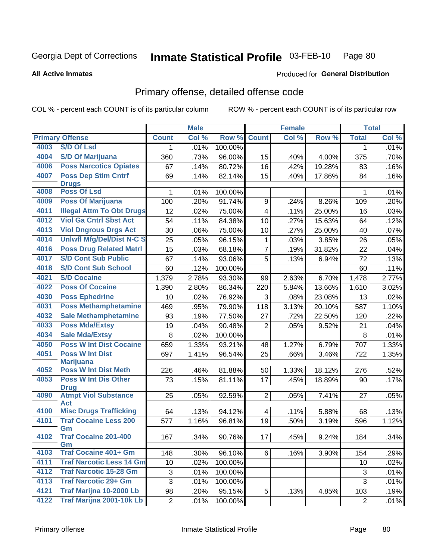**All Active Inmates** 

#### Inmate Statistical Profile 03-FEB-10 Page 80

**Produced for General Distribution** 

# Primary offense, detailed offense code

COL % - percent each COUNT is of its particular column

|      |                                            |                | <b>Male</b> |         |                | <b>Female</b> |        |                | <b>Total</b> |
|------|--------------------------------------------|----------------|-------------|---------|----------------|---------------|--------|----------------|--------------|
|      | <b>Primary Offense</b>                     | <b>Count</b>   | Col %       | Row %   | <b>Count</b>   | Col %         | Row %  | <b>Total</b>   | Col %        |
| 4003 | <b>S/D Of Lsd</b>                          | $\mathbf{1}$   | .01%        | 100.00% |                |               |        | 1              | .01%         |
| 4004 | <b>S/D Of Marijuana</b>                    | 360            | .73%        | 96.00%  | 15             | .40%          | 4.00%  | 375            | .70%         |
| 4006 | <b>Poss Narcotics Opiates</b>              | 67             | .14%        | 80.72%  | 16             | .42%          | 19.28% | 83             | .16%         |
| 4007 | <b>Poss Dep Stim Cntrf</b>                 | 69             | .14%        | 82.14%  | 15             | .40%          | 17.86% | 84             | .16%         |
|      | <b>Drugs</b>                               |                |             |         |                |               |        |                |              |
| 4008 | <b>Poss Of Lsd</b>                         | 1              | .01%        | 100.00% |                |               |        | 1              | .01%         |
| 4009 | <b>Poss Of Marijuana</b>                   | 100            | .20%        | 91.74%  | 9              | .24%          | 8.26%  | 109            | .20%         |
| 4011 | <b>Illegal Attm To Obt Drugs</b>           | 12             | .02%        | 75.00%  | $\overline{4}$ | .11%          | 25.00% | 16             | .03%         |
| 4012 | <b>Viol Ga Cntrl Sbst Act</b>              | 54             | .11%        | 84.38%  | 10             | .27%          | 15.63% | 64             | .12%         |
| 4013 | <b>Viol Dngrous Drgs Act</b>               | 30             | .06%        | 75.00%  | 10             | .27%          | 25.00% | 40             | .07%         |
| 4014 | <b>Uniwfl Mfg/Del/Dist N-C S</b>           | 25             | .05%        | 96.15%  | 1              | .03%          | 3.85%  | 26             | .05%         |
| 4016 | <b>Poss Drug Related Matri</b>             | 15             | .03%        | 68.18%  | $\overline{7}$ | .19%          | 31.82% | 22             | .04%         |
| 4017 | <b>S/D Cont Sub Public</b>                 | 67             | .14%        | 93.06%  | 5              | .13%          | 6.94%  | 72             | .13%         |
| 4018 | <b>S/D Cont Sub School</b>                 | 60             | .12%        | 100.00% |                |               |        | 60             | .11%         |
| 4021 | <b>S/D Cocaine</b>                         | 1,379          | 2.78%       | 93.30%  | 99             | 2.63%         | 6.70%  | 1,478          | 2.77%        |
| 4022 | <b>Poss Of Cocaine</b>                     | 1,390          | 2.80%       | 86.34%  | 220            | 5.84%         | 13.66% | 1,610          | 3.02%        |
| 4030 | <b>Poss Ephedrine</b>                      | 10             | .02%        | 76.92%  | 3              | .08%          | 23.08% | 13             | .02%         |
| 4031 | <b>Poss Methamphetamine</b>                | 469            | .95%        | 79.90%  | 118            | 3.13%         | 20.10% | 587            | 1.10%        |
| 4032 | <b>Sale Methamphetamine</b>                | 93             | .19%        | 77.50%  | 27             | .72%          | 22.50% | 120            | .22%         |
| 4033 | <b>Poss Mda/Extsy</b>                      | 19             | .04%        | 90.48%  | $\overline{2}$ | .05%          | 9.52%  | 21             | .04%         |
| 4034 | <b>Sale Mda/Extsy</b>                      | 8              | .02%        | 100.00% |                |               |        | 8              | .01%         |
| 4050 | <b>Poss W Int Dist Cocaine</b>             | 659            | 1.33%       | 93.21%  | 48             | 1.27%         | 6.79%  | 707            | 1.33%        |
| 4051 | <b>Poss W Int Dist</b>                     | 697            | 1.41%       | 96.54%  | 25             | .66%          | 3.46%  | 722            | 1.35%        |
|      | <b>Marijuana</b>                           |                |             |         |                |               |        |                |              |
| 4052 | <b>Poss W Int Dist Meth</b>                | 226            | .46%        | 81.88%  | 50             | 1.33%         | 18.12% | 276            | .52%         |
| 4053 | <b>Poss W Int Dis Other</b>                | 73             | .15%        | 81.11%  | 17             | .45%          | 18.89% | 90             | .17%         |
| 4090 | <b>Drug</b><br><b>Atmpt Viol Substance</b> | 25             | .05%        | 92.59%  | $\overline{2}$ | .05%          | 7.41%  | 27             | .05%         |
|      | <b>Act</b>                                 |                |             |         |                |               |        |                |              |
| 4100 | <b>Misc Drugs Trafficking</b>              | 64             | .13%        | 94.12%  | $\overline{4}$ | .11%          | 5.88%  | 68             | .13%         |
| 4101 | <b>Traf Cocaine Less 200</b>               | 577            | 1.16%       | 96.81%  | 19             | .50%          | 3.19%  | 596            | 1.12%        |
|      | Gm                                         |                |             |         |                |               |        |                |              |
| 4102 | <b>Traf Cocaine 201-400</b>                | 167            | .34%        | 90.76%  | 17             | .45%          | 9.24%  | 184            | 34%          |
| 4103 | Gm<br><b>Traf Cocaine 401+ Gm</b>          | 148            | $.30\%$     | 96.10%  | 6 <sup>1</sup> | .16%          | 3.90%  | 154            | .29%         |
| 4111 | <b>Traf Narcotic Less 14 Gm</b>            | 10             | .02%        | 100.00% |                |               |        | 10             | .02%         |
| 4112 | <b>Traf Narcotic 15-28 Gm</b>              | 3              | .01%        | 100.00% |                |               |        | $\sqrt{3}$     | .01%         |
| 4113 | <b>Traf Narcotic 29+ Gm</b>                | 3              |             |         |                |               |        | 3              |              |
| 4121 | Traf Marijna 10-2000 Lb                    |                | .01%        | 100.00% |                |               |        |                | .01%         |
| 4122 | <b>Traf Marijna 2001-10k Lb</b>            | 98             | .20%        | 95.15%  | 5              | .13%          | 4.85%  | 103            | .19%         |
|      |                                            | $\overline{2}$ | .01%        | 100.00% |                |               |        | $\overline{2}$ | .01%         |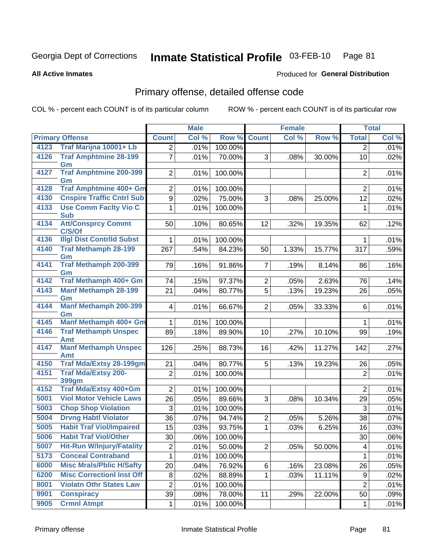#### Inmate Statistical Profile 03-FEB-10 Page 81

**Produced for General Distribution** 

#### **All Active Inmates**

# Primary offense, detailed offense code

COL % - percent each COUNT is of its particular column

|      |                                            |                | <b>Male</b> |         |                | Female |        |                | <b>Total</b> |
|------|--------------------------------------------|----------------|-------------|---------|----------------|--------|--------|----------------|--------------|
|      | <b>Primary Offense</b>                     | <b>Count</b>   | Col %       | Row %   | <b>Count</b>   | Col %  | Row %  | <b>Total</b>   | Col %        |
| 4123 | Traf Marijna 10001+ Lb                     | $\overline{2}$ | .01%        | 100.00% |                |        |        | $\overline{2}$ | .01%         |
| 4126 | <b>Traf Amphtmine 28-199</b><br>Gm         | $\overline{7}$ | .01%        | 70.00%  | 3              | .08%   | 30.00% | 10             | .02%         |
| 4127 | <b>Traf Amphtmine 200-399</b><br>Gm        | $\overline{2}$ | .01%        | 100.00% |                |        |        | $\overline{2}$ | .01%         |
| 4128 | Traf Amphtmine 400+ Gm                     | 2              | .01%        | 100.00% |                |        |        | 2              | .01%         |
| 4130 | <b>Cnspire Traffic Cntrl Sub</b>           | 9              | .02%        | 75.00%  | 3              | .08%   | 25.00% | 12             | .02%         |
| 4133 | <b>Use Comm Facity Vio C</b><br><b>Sub</b> | 1              | .01%        | 100.00% |                |        |        | 1              | .01%         |
| 4134 | <b>Att/Consprcy Commt</b><br>C/S/Of        | 50             | .10%        | 80.65%  | 12             | .32%   | 19.35% | 62             | .12%         |
| 4136 | <b>Illgl Dist Contrild Subst</b>           | 1              | .01%        | 100.00% |                |        |        | 1              | .01%         |
| 4140 | <b>Traf Methamph 28-199</b><br>Gm          | 267            | .54%        | 84.23%  | 50             | 1.33%  | 15.77% | 317            | .59%         |
| 4141 | <b>Traf Methamph 200-399</b><br>Gm         | 79             | .16%        | 91.86%  | $\overline{7}$ | .19%   | 8.14%  | 86             | .16%         |
| 4142 | Traf Methamph 400+ Gm                      | 74             | .15%        | 97.37%  | $\overline{2}$ | .05%   | 2.63%  | 76             | .14%         |
| 4143 | <b>Manf Methamph 28-199</b><br>Gm          | 21             | .04%        | 80.77%  | $\overline{5}$ | .13%   | 19.23% | 26             | .05%         |
| 4144 | <b>Manf Methamph 200-399</b><br>Gm         | 4              | .01%        | 66.67%  | $\overline{2}$ | .05%   | 33.33% | 6              | .01%         |
| 4145 | Manf Methamph 400+ Gm                      | 1              | .01%        | 100.00% |                |        |        | $\mathbf 1$    | .01%         |
| 4146 | <b>Traf Methamph Unspec</b><br><b>Amt</b>  | 89             | .18%        | 89.90%  | 10             | .27%   | 10.10% | 99             | .19%         |
| 4147 | <b>Manf Methamph Unspec</b><br>Amt         | 126            | .25%        | 88.73%  | 16             | .42%   | 11.27% | 142            | .27%         |
| 4150 | <b>Traf Mda/Extsy 28-199gm</b>             | 21             | .04%        | 80.77%  | 5              | .13%   | 19.23% | 26             | .05%         |
| 4151 | <b>Traf Mda/Extsy 200-</b><br><b>399gm</b> | 2              | .01%        | 100.00% |                |        |        | $\overline{2}$ | .01%         |
| 4152 | <b>Traf Mda/Extsy 400+Gm</b>               | $\overline{2}$ | .01%        | 100.00% |                |        |        | $\overline{2}$ | .01%         |
| 5001 | <b>Viol Motor Vehicle Laws</b>             | 26             | .05%        | 89.66%  | 3              | .08%   | 10.34% | 29             | .05%         |
| 5003 | <b>Chop Shop Violation</b>                 | 3              | .01%        | 100.00% |                |        |        | 3              | .01%         |
| 5004 | <b>Drvng Habtl Violator</b>                | 36             | .07%        | 94.74%  | $\overline{2}$ | .05%   | 5.26%  | 38             | .07%         |
| 5005 | <b>Habit Traf Viol/Impaired</b>            | 15             | .03%        | 93.75%  | $\mathbf{1}$   | .03%   | 6.25%  | 16             | .03%         |
| 5006 | <b>Habit Traf Viol/Other</b>               | 30             | .06%        | 100.00% |                |        |        | 30             | .06%         |
| 5007 | <b>Hit-Run W/Injury/Fatality</b>           | $\overline{c}$ | .01%        | 50.00%  | $\overline{2}$ | .05%   | 50.00% | 4              | .01%         |
| 5173 | <b>Conceal Contraband</b>                  | 1              | .01%        | 100.00% |                |        |        | 1              | .01%         |
| 6000 | <b>Misc Mrals/Pblic H/Safty</b>            | 20             | .04%        | 76.92%  | 6              | .16%   | 23.08% | 26             | .05%         |
| 6200 | <b>Misc CorrectionI Inst Off</b>           | 8              | .02%        | 88.89%  | $\mathbf{1}$   | .03%   | 11.11% | 9              | .02%         |
| 8001 | <b>Violatn Othr States Law</b>             | $\overline{c}$ | .01%        | 100.00% |                |        |        | $\overline{2}$ | .01%         |
| 9901 | <b>Conspiracy</b>                          | 39             | .08%        | 78.00%  | 11             | .29%   | 22.00% | 50             | .09%         |
| 9905 | <b>Crmnl Atmpt</b>                         | 1              | .01%        | 100.00% |                |        |        | $\mathbf{1}$   | .01%         |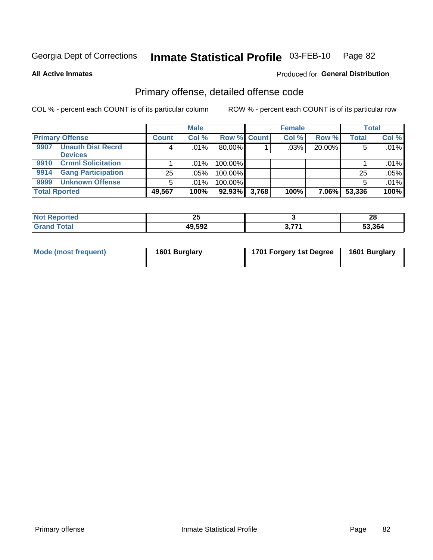#### Inmate Statistical Profile 03-FEB-10 Page 82

### **All Active Inmates**

# **Produced for General Distribution**

# Primary offense, detailed offense code

COL % - percent each COUNT is of its particular column

|                                   |              | <b>Male</b> |             |       | <b>Female</b> |        |              | <b>Total</b> |
|-----------------------------------|--------------|-------------|-------------|-------|---------------|--------|--------------|--------------|
| <b>Primary Offense</b>            | <b>Count</b> | Col %       | Row % Count |       | Col %         | Row %  | <b>Total</b> | Col %        |
| <b>Unauth Dist Recrd</b><br>9907  | 4            | $.01\%$     | 80.00%      |       | .03%          | 20.00% |              | .01%         |
| <b>Devices</b>                    |              |             |             |       |               |        |              |              |
| <b>Crmnl Solicitation</b><br>9910 |              | $.01\%$     | 100.00%     |       |               |        |              | .01%         |
| <b>Gang Participation</b><br>9914 | 25           | .05%        | 100.00%     |       |               |        | 25           | .05%         |
| <b>Unknown Offense</b><br>9999    | 5            | $.01\%$     | 100.00%     |       |               |        |              | .01%         |
| <b>Total Rported</b>              | 49,567       | 100%        | 92.93%      | 3,768 | 100%          | 7.06%  | 53,336       | 100%         |

| -N.   | ኅር           |   | റ      |
|-------|--------------|---|--------|
| rtea  | ∼            |   | 20     |
| _____ | 49,592<br>л. | . | 53.364 |

| Mode (most frequent) | 1601 Burglary | 1701 Forgery 1st Degree | 1601 Burglary |
|----------------------|---------------|-------------------------|---------------|
|----------------------|---------------|-------------------------|---------------|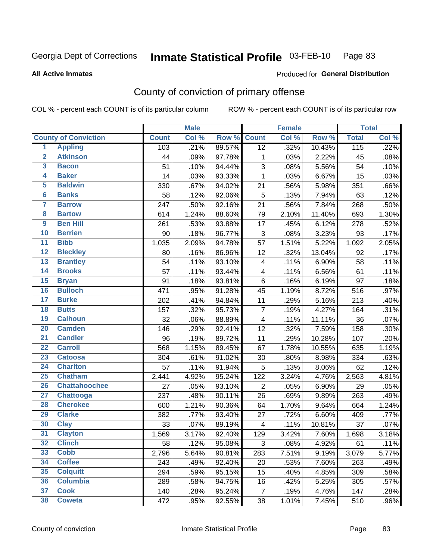#### Inmate Statistical Profile 03-FEB-10 Page 83

Produced for General Distribution

### **All Active Inmates**

# County of conviction of primary offense

COL % - percent each COUNT is of its particular column

|                         |                             |              | <b>Male</b> |        |                         | <b>Female</b> |        |              | <b>Total</b> |
|-------------------------|-----------------------------|--------------|-------------|--------|-------------------------|---------------|--------|--------------|--------------|
|                         | <b>County of Conviction</b> | <b>Count</b> | Col %       | Row %  | <b>Count</b>            | Col %         | Row %  | <b>Total</b> | Col %        |
| 1                       | <b>Appling</b>              | 103          | .21%        | 89.57% | $\overline{12}$         | .32%          | 10.43% | 115          | .22%         |
| $\overline{2}$          | <b>Atkinson</b>             | 44           | .09%        | 97.78% | 1                       | .03%          | 2.22%  | 45           | .08%         |
| 3                       | <b>Bacon</b>                | 51           | .10%        | 94.44% | $\sqrt{3}$              | .08%          | 5.56%  | 54           | .10%         |
| 4                       | <b>Baker</b>                | 14           | .03%        | 93.33% | $\mathbf{1}$            | .03%          | 6.67%  | 15           | .03%         |
| 5                       | <b>Baldwin</b>              | 330          | .67%        | 94.02% | 21                      | .56%          | 5.98%  | 351          | .66%         |
| $6\phantom{a}$          | <b>Banks</b>                | 58           | .12%        | 92.06% | $\overline{5}$          | .13%          | 7.94%  | 63           | .12%         |
| 7                       | <b>Barrow</b>               | 247          | .50%        | 92.16% | 21                      | .56%          | 7.84%  | 268          | .50%         |
| $\overline{\mathbf{8}}$ | <b>Bartow</b>               | 614          | 1.24%       | 88.60% | 79                      | 2.10%         | 11.40% | 693          | 1.30%        |
| $\overline{9}$          | <b>Ben Hill</b>             | 261          | .53%        | 93.88% | 17                      | .45%          | 6.12%  | 278          | .52%         |
| 10                      | <b>Berrien</b>              | 90           | .18%        | 96.77% | $\sqrt{3}$              | .08%          | 3.23%  | 93           | .17%         |
| 11                      | <b>Bibb</b>                 | 1,035        | 2.09%       | 94.78% | 57                      | 1.51%         | 5.22%  | 1,092        | 2.05%        |
| $\overline{12}$         | <b>Bleckley</b>             | 80           | .16%        | 86.96% | 12                      | .32%          | 13.04% | 92           | .17%         |
| $\overline{13}$         | <b>Brantley</b>             | 54           | .11%        | 93.10% | $\overline{\mathbf{4}}$ | .11%          | 6.90%  | 58           | .11%         |
| $\overline{14}$         | <b>Brooks</b>               | 57           | .11%        | 93.44% | $\overline{\mathbf{4}}$ | .11%          | 6.56%  | 61           | .11%         |
| $\overline{15}$         | <b>Bryan</b>                | 91           | .18%        | 93.81% | 6                       | .16%          | 6.19%  | 97           | .18%         |
| 16                      | <b>Bulloch</b>              | 471          | .95%        | 91.28% | 45                      | 1.19%         | 8.72%  | 516          | .97%         |
| $\overline{17}$         | <b>Burke</b>                | 202          | .41%        | 94.84% | 11                      | .29%          | 5.16%  | 213          | .40%         |
| 18                      | <b>Butts</b>                | 157          | .32%        | 95.73% | $\overline{7}$          | .19%          | 4.27%  | 164          | .31%         |
| 19                      | <b>Calhoun</b>              | 32           | .06%        | 88.89% | $\overline{4}$          | .11%          | 11.11% | 36           | .07%         |
| 20                      | <b>Camden</b>               | 146          | .29%        | 92.41% | 12                      | .32%          | 7.59%  | 158          | .30%         |
| $\overline{21}$         | <b>Candler</b>              | 96           | .19%        | 89.72% | 11                      | .29%          | 10.28% | 107          | .20%         |
| $\overline{22}$         | <b>Carroll</b>              | 568          | 1.15%       | 89.45% | 67                      | 1.78%         | 10.55% | 635          | 1.19%        |
| 23                      | <b>Catoosa</b>              | 304          | .61%        | 91.02% | 30                      | .80%          | 8.98%  | 334          | .63%         |
| $\overline{24}$         | <b>Charlton</b>             | 57           | .11%        | 91.94% | $\sqrt{5}$              | .13%          | 8.06%  | 62           | .12%         |
| $\overline{25}$         | <b>Chatham</b>              | 2,441        | 4.92%       | 95.24% | 122                     | 3.24%         | 4.76%  | 2,563        | 4.81%        |
| 26                      | <b>Chattahoochee</b>        | 27           | .05%        | 93.10% | $\mathbf 2$             | .05%          | 6.90%  | 29           | .05%         |
| 27                      | <b>Chattooga</b>            | 237          | .48%        | 90.11% | 26                      | .69%          | 9.89%  | 263          | .49%         |
| 28                      | <b>Cherokee</b>             | 600          | 1.21%       | 90.36% | 64                      | 1.70%         | 9.64%  | 664          | 1.24%        |
| 29                      | <b>Clarke</b>               | 382          | .77%        | 93.40% | 27                      | .72%          | 6.60%  | 409          | .77%         |
| 30                      | <b>Clay</b>                 | 33           | .07%        | 89.19% | $\overline{4}$          | .11%          | 10.81% | 37           | .07%         |
| 31                      | <b>Clayton</b>              | 1,569        | 3.17%       | 92.40% | 129                     | 3.42%         | 7.60%  | 1,698        | 3.18%        |
| 32                      | <b>Clinch</b>               | 58           | .12%        | 95.08% | 3                       | .08%          | 4.92%  | 61           | .11%         |
| 33                      | <b>Cobb</b>                 | 2,796        | 5.64%       | 90.81% | 283                     | 7.51%         | 9.19%  | 3,079        | 5.77%        |
| 34                      | <b>Coffee</b>               | 243          | .49%        | 92.40% | 20                      | .53%          | 7.60%  | 263          | .49%         |
| 35                      | <b>Colquitt</b>             | 294          | .59%        | 95.15% | 15                      | .40%          | 4.85%  | 309          | .58%         |
| 36                      | <b>Columbia</b>             | 289          | .58%        | 94.75% | 16                      | .42%          | 5.25%  | 305          | .57%         |
| 37                      | <b>Cook</b>                 | 140          | .28%        | 95.24% | $\overline{7}$          | .19%          | 4.76%  | 147          | .28%         |
| 38                      | <b>Coweta</b>               | 472          | .95%        | 92.55% | 38                      | 1.01%         | 7.45%  | 510          | .96%         |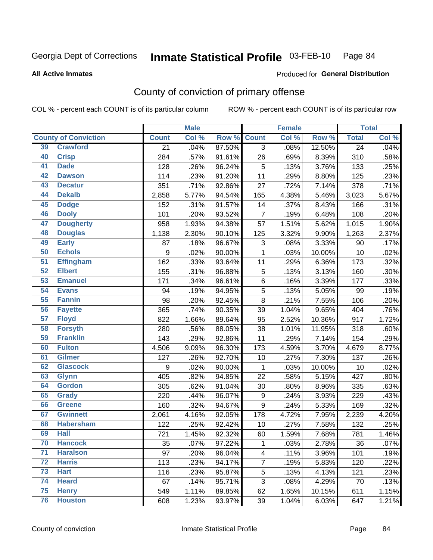#### Inmate Statistical Profile 03-FEB-10 Page 84

#### **All Active Inmates**

# **Produced for General Distribution**

# County of conviction of primary offense

COL % - percent each COUNT is of its particular column

|    |                             |                 | <b>Male</b> |        |                           | <b>Female</b> |        |                 | <b>Total</b> |
|----|-----------------------------|-----------------|-------------|--------|---------------------------|---------------|--------|-----------------|--------------|
|    | <b>County of Conviction</b> | <b>Count</b>    | Col %       | Row %  | <b>Count</b>              | Col %         | Row %  | <b>Total</b>    | Col %        |
| 39 | <b>Crawford</b>             | $\overline{21}$ | .04%        | 87.50% | 3                         | .08%          | 12.50% | $\overline{24}$ | .04%         |
| 40 | <b>Crisp</b>                | 284             | .57%        | 91.61% | 26                        | .69%          | 8.39%  | 310             | .58%         |
| 41 | <b>Dade</b>                 | 128             | .26%        | 96.24% | 5                         | .13%          | 3.76%  | 133             | .25%         |
| 42 | <b>Dawson</b>               | 114             | .23%        | 91.20% | 11                        | .29%          | 8.80%  | 125             | .23%         |
| 43 | <b>Decatur</b>              | 351             | .71%        | 92.86% | 27                        | .72%          | 7.14%  | 378             | .71%         |
| 44 | <b>Dekalb</b>               | 2,858           | 5.77%       | 94.54% | 165                       | 4.38%         | 5.46%  | 3,023           | 5.67%        |
| 45 | <b>Dodge</b>                | 152             | .31%        | 91.57% | 14                        | .37%          | 8.43%  | 166             | .31%         |
| 46 | <b>Dooly</b>                | 101             | .20%        | 93.52% | $\overline{7}$            | .19%          | 6.48%  | 108             | .20%         |
| 47 | <b>Dougherty</b>            | 958             | 1.93%       | 94.38% | 57                        | 1.51%         | 5.62%  | 1,015           | 1.90%        |
| 48 | <b>Douglas</b>              | 1,138           | 2.30%       | 90.10% | 125                       | 3.32%         | 9.90%  | 1,263           | 2.37%        |
| 49 | <b>Early</b>                | 87              | .18%        | 96.67% | $\ensuremath{\mathsf{3}}$ | .08%          | 3.33%  | 90              | .17%         |
| 50 | <b>Echols</b>               | 9               | .02%        | 90.00% | 1                         | .03%          | 10.00% | 10              | .02%         |
| 51 | <b>Effingham</b>            | 162             | .33%        | 93.64% | 11                        | .29%          | 6.36%  | 173             | .32%         |
| 52 | <b>Elbert</b>               | 155             | .31%        | 96.88% | $\mathbf 5$               | .13%          | 3.13%  | 160             | .30%         |
| 53 | <b>Emanuel</b>              | 171             | .34%        | 96.61% | 6                         | .16%          | 3.39%  | 177             | .33%         |
| 54 | <b>Evans</b>                | 94              | .19%        | 94.95% | 5                         | .13%          | 5.05%  | 99              | .19%         |
| 55 | <b>Fannin</b>               | 98              | .20%        | 92.45% | 8                         | .21%          | 7.55%  | 106             | .20%         |
| 56 | <b>Fayette</b>              | 365             | .74%        | 90.35% | 39                        | 1.04%         | 9.65%  | 404             | .76%         |
| 57 | <b>Floyd</b>                | 822             | 1.66%       | 89.64% | 95                        | 2.52%         | 10.36% | 917             | 1.72%        |
| 58 | <b>Forsyth</b>              | 280             | .56%        | 88.05% | 38                        | 1.01%         | 11.95% | 318             | .60%         |
| 59 | <b>Franklin</b>             | 143             | .29%        | 92.86% | 11                        | .29%          | 7.14%  | 154             | .29%         |
| 60 | <b>Fulton</b>               | 4,506           | 9.09%       | 96.30% | 173                       | 4.59%         | 3.70%  | 4,679           | 8.77%        |
| 61 | Gilmer                      | 127             | .26%        | 92.70% | 10                        | .27%          | 7.30%  | 137             | .26%         |
| 62 | <b>Glascock</b>             | 9               | .02%        | 90.00% | $\mathbf{1}$              | .03%          | 10.00% | 10              | .02%         |
| 63 | <b>Glynn</b>                | 405             | .82%        | 94.85% | 22                        | .58%          | 5.15%  | 427             | .80%         |
| 64 | <b>Gordon</b>               | 305             | .62%        | 91.04% | 30                        | .80%          | 8.96%  | 335             | .63%         |
| 65 | <b>Grady</b>                | 220             | .44%        | 96.07% | 9                         | .24%          | 3.93%  | 229             | .43%         |
| 66 | <b>Greene</b>               | 160             | .32%        | 94.67% | 9                         | .24%          | 5.33%  | 169             | .32%         |
| 67 | <b>Gwinnett</b>             | 2,061           | 4.16%       | 92.05% | 178                       | 4.72%         | 7.95%  | 2,239           | 4.20%        |
| 68 | <b>Habersham</b>            | 122             | .25%        | 92.42% | 10                        | .27%          | 7.58%  | 132             | .25%         |
| 69 | <b>Hall</b>                 | 721             | 1.45%       | 92.32% | 60                        | 1.59%         | 7.68%  | 781             | 1.46%        |
| 70 | <b>Hancock</b>              | 35              | .07%        | 97.22% | 1                         | .03%          | 2.78%  | 36              | .07%         |
| 71 | <b>Haralson</b>             | 97              | .20%        | 96.04% | $\overline{\mathbf{4}}$   | .11%          | 3.96%  | 101             | .19%         |
| 72 | <b>Harris</b>               | 113             | .23%        | 94.17% | $\overline{7}$            | .19%          | 5.83%  | 120             | .22%         |
| 73 | <b>Hart</b>                 | 116             | .23%        | 95.87% | 5                         | .13%          | 4.13%  | 121             | .23%         |
| 74 | <b>Heard</b>                | 67              | .14%        | 95.71% | 3                         | .08%          | 4.29%  | 70              | .13%         |
| 75 | <b>Henry</b>                | 549             | 1.11%       | 89.85% | 62                        | 1.65%         | 10.15% | 611             | 1.15%        |
| 76 | <b>Houston</b>              | 608             | 1.23%       | 93.97% | 39                        | 1.04%         | 6.03%  | 647             | 1.21%        |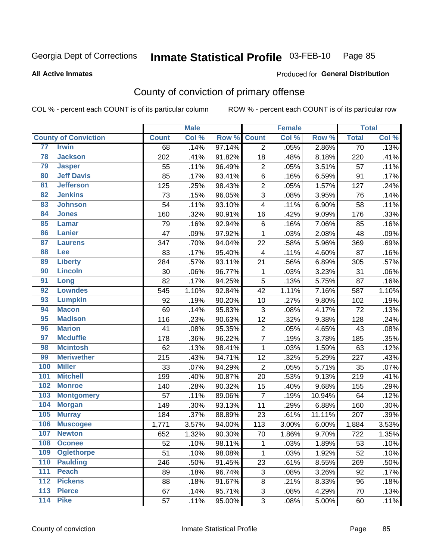# Inmate Statistical Profile 03-FEB-10 Page 85

**All Active Inmates** 

### Produced for General Distribution

# County of conviction of primary offense

COL % - percent each COUNT is of its particular column

|                                     |              | <b>Male</b> |        |                         | <b>Female</b> |        |                 | <b>Total</b> |
|-------------------------------------|--------------|-------------|--------|-------------------------|---------------|--------|-----------------|--------------|
| <b>County of Conviction</b>         | <b>Count</b> | Col %       | Row %  | <b>Count</b>            | Col %         | Row %  | <b>Total</b>    | Col %        |
| 77<br><b>Irwin</b>                  | 68           | .14%        | 97.14% | $\overline{2}$          | .05%          | 2.86%  | $\overline{70}$ | .13%         |
| 78<br><b>Jackson</b>                | 202          | .41%        | 91.82% | 18                      | .48%          | 8.18%  | 220             | .41%         |
| 79<br><b>Jasper</b>                 | 55           | .11%        | 96.49% | $\overline{2}$          | .05%          | 3.51%  | 57              | .11%         |
| <b>Jeff Davis</b><br>80             | 85           | .17%        | 93.41% | 6                       | .16%          | 6.59%  | 91              | .17%         |
| $\overline{81}$<br><b>Jefferson</b> | 125          | .25%        | 98.43% | $\overline{c}$          | .05%          | 1.57%  | 127             | .24%         |
| <b>Jenkins</b><br>82                | 73           | .15%        | 96.05% | $\overline{3}$          | .08%          | 3.95%  | 76              | .14%         |
| 83<br><b>Johnson</b>                | 54           | .11%        | 93.10% | 4                       | .11%          | 6.90%  | 58              | .11%         |
| 84<br><b>Jones</b>                  | 160          | .32%        | 90.91% | 16                      | .42%          | 9.09%  | 176             | .33%         |
| 85<br><b>Lamar</b>                  | 79           | .16%        | 92.94% | 6                       | .16%          | 7.06%  | 85              | .16%         |
| 86<br><b>Lanier</b>                 | 47           | .09%        | 97.92% | 1                       | .03%          | 2.08%  | 48              | .09%         |
| 87<br><b>Laurens</b>                | 347          | .70%        | 94.04% | 22                      | .58%          | 5.96%  | 369             | .69%         |
| 88<br><b>Lee</b>                    | 83           | .17%        | 95.40% | $\overline{\mathbf{4}}$ | .11%          | 4.60%  | 87              | .16%         |
| 89<br><b>Liberty</b>                | 284          | .57%        | 93.11% | 21                      | .56%          | 6.89%  | 305             | .57%         |
| 90<br><b>Lincoln</b>                | 30           | .06%        | 96.77% | $\mathbf 1$             | .03%          | 3.23%  | 31              | .06%         |
| 91<br>Long                          | 82           | .17%        | 94.25% | 5                       | .13%          | 5.75%  | 87              | .16%         |
| <b>Lowndes</b><br>92                | 545          | 1.10%       | 92.84% | 42                      | 1.11%         | 7.16%  | 587             | 1.10%        |
| 93<br><b>Lumpkin</b>                | 92           | .19%        | 90.20% | 10                      | .27%          | 9.80%  | 102             | .19%         |
| 94<br><b>Macon</b>                  | 69           | .14%        | 95.83% | 3                       | .08%          | 4.17%  | 72              | .13%         |
| 95<br><b>Madison</b>                | 116          | .23%        | 90.63% | 12                      | .32%          | 9.38%  | 128             | .24%         |
| <b>Marion</b><br>96                 | 41           | .08%        | 95.35% | $\overline{2}$          | .05%          | 4.65%  | 43              | .08%         |
| 97<br><b>Mcduffie</b>               | 178          | .36%        | 96.22% | $\overline{7}$          | .19%          | 3.78%  | 185             | .35%         |
| <b>Mcintosh</b><br>98               | 62           | .13%        | 98.41% | $\mathbf{1}$            | .03%          | 1.59%  | 63              | .12%         |
| 99<br><b>Meriwether</b>             | 215          | .43%        | 94.71% | 12                      | .32%          | 5.29%  | 227             | .43%         |
| 100<br><b>Miller</b>                | 33           | .07%        | 94.29% | $\overline{2}$          | .05%          | 5.71%  | 35              | .07%         |
| 101<br><b>Mitchell</b>              | 199          | .40%        | 90.87% | 20                      | .53%          | 9.13%  | 219             | .41%         |
| 102<br><b>Monroe</b>                | 140          | .28%        | 90.32% | 15                      | .40%          | 9.68%  | 155             | .29%         |
| 103<br><b>Montgomery</b>            | 57           | .11%        | 89.06% | $\overline{7}$          | .19%          | 10.94% | 64              | .12%         |
| 104<br><b>Morgan</b>                | 149          | .30%        | 93.13% | 11                      | .29%          | 6.88%  | 160             | .30%         |
| 105<br><b>Murray</b>                | 184          | .37%        | 88.89% | 23                      | .61%          | 11.11% | 207             | .39%         |
| 106<br><b>Muscogee</b>              | 1,771        | 3.57%       | 94.00% | $\overline{1}13$        | 3.00%         | 6.00%  | 1,884           | 3.53%        |
| 107<br><b>Newton</b>                | 652          | 1.32%       | 90.30% | 70                      | 1.86%         | 9.70%  | 722             | 1.35%        |
| 108<br><b>Oconee</b>                | 52           | .10%        | 98.11% | $\mathbf{1}$            | .03%          | 1.89%  | 53              | .10%         |
| 109<br><b>Oglethorpe</b>            | 51           | .10%        | 98.08% | $\mathbf{1}$            | .03%          | 1.92%  | 52              | .10%         |
| <b>Paulding</b><br>110              | 246          | .50%        | 91.45% | 23                      | .61%          | 8.55%  | 269             | .50%         |
| <b>Peach</b><br>111                 | 89           | .18%        | 96.74% | 3                       | .08%          | 3.26%  | 92              | .17%         |
| <b>Pickens</b><br>112               | 88           | .18%        | 91.67% | 8                       | .21%          | 8.33%  | 96              | .18%         |
| 113<br><b>Pierce</b>                | 67           | .14%        | 95.71% | 3                       | .08%          | 4.29%  | 70              | .13%         |
| $\overline{114}$<br><b>Pike</b>     | 57           | .11%        | 95.00% | 3                       | .08%          | 5.00%  | 60              | .11%         |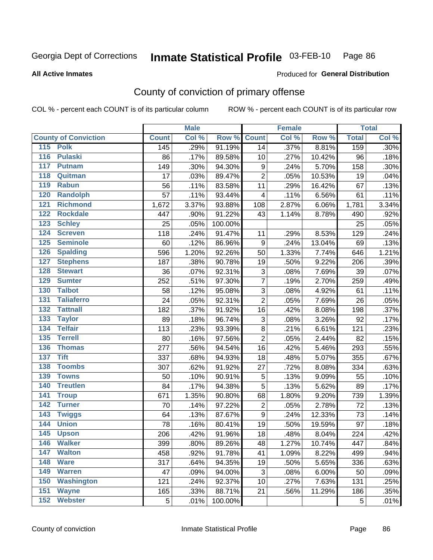#### Inmate Statistical Profile 03-FEB-10 Page 86

**All Active Inmates** 

### Produced for General Distribution

# County of conviction of primary offense

COL % - percent each COUNT is of its particular column

|                                    |              | <b>Male</b> |         |                  | <b>Female</b> |        |              | <b>Total</b>               |
|------------------------------------|--------------|-------------|---------|------------------|---------------|--------|--------------|----------------------------|
| <b>County of Conviction</b>        | <b>Count</b> | Col %       | Row %   | <b>Count</b>     | Col %         | Row %  | <b>Total</b> | $\overline{\text{Col }\%}$ |
| 115<br><b>Polk</b>                 | 145          | .29%        | 91.19%  | 14               | .37%          | 8.81%  | 159          | .30%                       |
| $\overline{116}$<br><b>Pulaski</b> | 86           | .17%        | 89.58%  | 10               | .27%          | 10.42% | 96           | .18%                       |
| 117<br><b>Putnam</b>               | 149          | .30%        | 94.30%  | 9                | .24%          | 5.70%  | 158          | .30%                       |
| 118<br>Quitman                     | 17           | .03%        | 89.47%  | $\overline{2}$   | .05%          | 10.53% | 19           | .04%                       |
| 119<br><b>Rabun</b>                | 56           | .11%        | 83.58%  | 11               | .29%          | 16.42% | 67           | .13%                       |
| 120<br><b>Randolph</b>             | 57           | .11%        | 93.44%  | 4                | .11%          | 6.56%  | 61           | .11%                       |
| 121<br><b>Richmond</b>             | 1,672        | 3.37%       | 93.88%  | 108              | 2.87%         | 6.06%  | 1,781        | 3.34%                      |
| 122<br><b>Rockdale</b>             | 447          | .90%        | 91.22%  | 43               | 1.14%         | 8.78%  | 490          | .92%                       |
| 123<br><b>Schley</b>               | 25           | .05%        | 100.00% |                  |               |        | 25           | .05%                       |
| $124$<br><b>Screven</b>            | 118          | .24%        | 91.47%  | 11               | .29%          | 8.53%  | 129          | .24%                       |
| 125<br><b>Seminole</b>             | 60           | .12%        | 86.96%  | 9                | .24%          | 13.04% | 69           | .13%                       |
| <b>Spalding</b><br>126             | 596          | 1.20%       | 92.26%  | 50               | 1.33%         | 7.74%  | 646          | 1.21%                      |
| 127<br><b>Stephens</b>             | 187          | .38%        | 90.78%  | 19               | .50%          | 9.22%  | 206          | .39%                       |
| 128<br><b>Stewart</b>              | 36           | .07%        | 92.31%  | 3                | .08%          | 7.69%  | 39           | .07%                       |
| <b>Sumter</b><br>129               | 252          | .51%        | 97.30%  | $\overline{7}$   | .19%          | 2.70%  | 259          | .49%                       |
| <b>Talbot</b><br>130               | 58           | .12%        | 95.08%  | 3                | .08%          | 4.92%  | 61           | .11%                       |
| $131$<br><b>Taliaferro</b>         | 24           | .05%        | 92.31%  | $\overline{2}$   | .05%          | 7.69%  | 26           | .05%                       |
| 132<br><b>Tattnall</b>             | 182          | .37%        | 91.92%  | 16               | .42%          | 8.08%  | 198          | .37%                       |
| 133<br><b>Taylor</b>               | 89           | .18%        | 96.74%  | 3                | .08%          | 3.26%  | 92           | .17%                       |
| <b>Telfair</b><br>134              | 113          | .23%        | 93.39%  | 8                | .21%          | 6.61%  | 121          | .23%                       |
| 135<br><b>Terrell</b>              | 80           | .16%        | 97.56%  | $\overline{2}$   | .05%          | 2.44%  | 82           | .15%                       |
| 136<br><b>Thomas</b>               | 277          | .56%        | 94.54%  | 16               | .42%          | 5.46%  | 293          | .55%                       |
| 137<br><b>Tift</b>                 | 337          | .68%        | 94.93%  | 18               | .48%          | 5.07%  | 355          | .67%                       |
| <b>Toombs</b><br>138               | 307          | .62%        | 91.92%  | 27               | .72%          | 8.08%  | 334          | .63%                       |
| 139<br><b>Towns</b>                | 50           | .10%        | 90.91%  | $\mathbf 5$      | .13%          | 9.09%  | 55           | .10%                       |
| 140<br><b>Treutlen</b>             | 84           | .17%        | 94.38%  | 5                | .13%          | 5.62%  | 89           | .17%                       |
| 141<br><b>Troup</b>                | 671          | 1.35%       | 90.80%  | 68               | 1.80%         | 9.20%  | 739          | 1.39%                      |
| 142<br><b>Turner</b>               | 70           | .14%        | 97.22%  | $\boldsymbol{2}$ | .05%          | 2.78%  | 72           | .13%                       |
| 143<br><b>Twiggs</b>               | 64           | .13%        | 87.67%  | 9                | .24%          | 12.33% | 73           | .14%                       |
| 144<br><b>Union</b>                | 78           | .16%        | 80.41%  | 19               | .50%          | 19.59% | 97           | .18%                       |
| 145<br><b>Upson</b>                | 206          | .42%        | 91.96%  | 18               | .48%          | 8.04%  | 224          | .42%                       |
| 146<br><b>Walker</b>               | 399          | .80%        | 89.26%  | 48               | 1.27%         | 10.74% | 447          | .84%                       |
| 147<br><b>Walton</b>               | 458          | .92%        | 91.78%  | 41               | 1.09%         | 8.22%  | 499          | .94%                       |
| 148<br><b>Ware</b>                 | 317          | .64%        | 94.35%  | 19               | .50%          | 5.65%  | 336          | .63%                       |
| <b>Warren</b><br>149               | 47           | .09%        | 94.00%  | 3                | .08%          | 6.00%  | 50           | .09%                       |
| 150<br><b>Washington</b>           | 121          | .24%        | 92.37%  | 10               | .27%          | 7.63%  | 131          | .25%                       |
| 151<br><b>Wayne</b>                | 165          | .33%        | 88.71%  | 21               | .56%          | 11.29% | 186          | .35%                       |
| 152<br><b>Webster</b>              | 5            | .01%        | 100.00% |                  |               |        | 5            | .01%                       |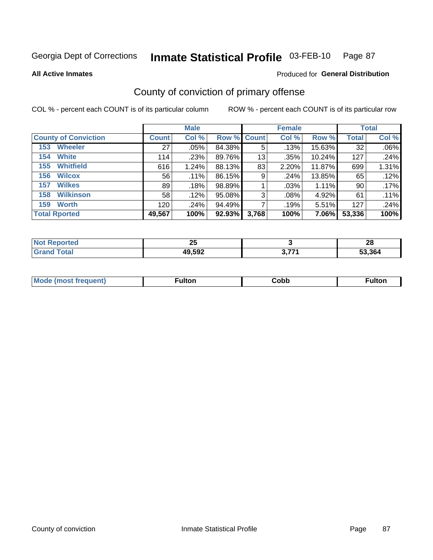#### Inmate Statistical Profile 03-FEB-10 Page 87

### **All Active Inmates**

### Produced for General Distribution

# County of conviction of primary offense

COL % - percent each COUNT is of its particular column

|                             |              | <b>Male</b> |                    |       | <b>Female</b> |        |              | <b>Total</b> |
|-----------------------------|--------------|-------------|--------------------|-------|---------------|--------|--------------|--------------|
| <b>County of Conviction</b> | <b>Count</b> | Col %       | <b>Row % Count</b> |       | Col %         | Row %  | <b>Total</b> | Col %        |
| <b>Wheeler</b><br>153       | 27           | $.05\%$     | 84.38%             | 5     | .13%          | 15.63% | 32           | .06%         |
| <b>White</b><br>154         | 114          | .23%        | 89.76%             | 13    | .35%          | 10.24% | 127          | .24%         |
| <b>Whitfield</b><br>155     | 616          | 1.24%       | 88.13%             | 83    | 2.20%         | 11.87% | 699          | 1.31%        |
| <b>Wilcox</b><br>156        | 56           | .11%        | 86.15%             | 9     | .24%          | 13.85% | 65           | .12%         |
| <b>Wilkes</b><br>157        | 89           | .18%        | 98.89%             |       | .03%          | 1.11%  | 90           | .17%         |
| <b>Wilkinson</b><br>158     | 58           | .12%        | 95.08%             | 3     | .08%          | 4.92%  | 61           | .11%         |
| <b>Worth</b><br>159         | 120          | .24%        | 94.49%             |       | .19%          | 5.51%  | 127          | .24%         |
| <b>Total Rported</b>        | 49,567       | 100%        | 92.93%             | 3,768 | 100%          | 7.06%  | 53,336       | 100%         |

| ola (etol    | ሳይ     |     | ഹ      |
|--------------|--------|-----|--------|
| NOT I        | ΔJ     |     | zo     |
| <b>Total</b> | 49,592 | 277 | 53.364 |

| <b>Mould</b><br>frequent)<br>10 UNOST T | ∙ulton | ا¢ob | Fulto⊾ |
|-----------------------------------------|--------|------|--------|
|                                         |        |      |        |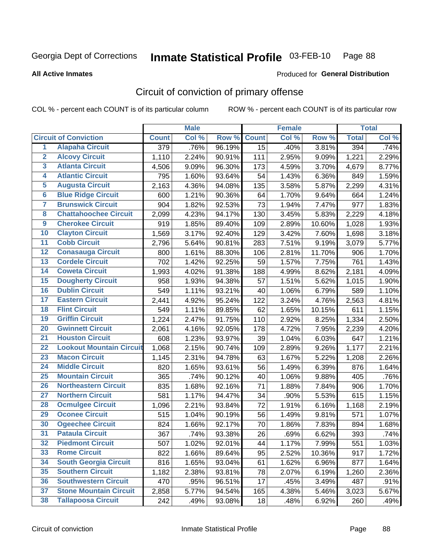#### Inmate Statistical Profile 03-FEB-10 Page 88

#### **All Active Inmates**

## **Produced for General Distribution**

# Circuit of conviction of primary offense

COL % - percent each COUNT is of its particular column

|                         |                                 |              | <b>Male</b> |        |              | <b>Female</b> |        |              | <b>Total</b> |
|-------------------------|---------------------------------|--------------|-------------|--------|--------------|---------------|--------|--------------|--------------|
|                         | <b>Circuit of Conviction</b>    | <b>Count</b> | Col %       | Row %  | <b>Count</b> | Col %         | Row %  | <b>Total</b> | Col %        |
| 1                       | <b>Alapaha Circuit</b>          | 379          | .76%        | 96.19% | 15           | .40%          | 3.81%  | 394          | .74%         |
| $\overline{2}$          | <b>Alcovy Circuit</b>           | 1,110        | 2.24%       | 90.91% | 111          | 2.95%         | 9.09%  | 1,221        | 2.29%        |
| $\overline{\mathbf{3}}$ | <b>Atlanta Circuit</b>          | 4,506        | 9.09%       | 96.30% | 173          | 4.59%         | 3.70%  | 4,679        | 8.77%        |
| $\overline{\mathbf{4}}$ | <b>Atlantic Circuit</b>         | 795          | 1.60%       | 93.64% | 54           | 1.43%         | 6.36%  | 849          | 1.59%        |
| $\overline{5}$          | <b>Augusta Circuit</b>          | 2,163        | 4.36%       | 94.08% | 135          | 3.58%         | 5.87%  | 2,299        | 4.31%        |
| $\overline{6}$          | <b>Blue Ridge Circuit</b>       | 600          | 1.21%       | 90.36% | 64           | 1.70%         | 9.64%  | 664          | 1.24%        |
| 7                       | <b>Brunswick Circuit</b>        | 904          | 1.82%       | 92.53% | 73           | 1.94%         | 7.47%  | 977          | 1.83%        |
| 8                       | <b>Chattahoochee Circuit</b>    | 2,099        | 4.23%       | 94.17% | 130          | 3.45%         | 5.83%  | 2,229        | 4.18%        |
| $\overline{9}$          | <b>Cherokee Circuit</b>         | 919          | 1.85%       | 89.40% | 109          | 2.89%         | 10.60% | 1,028        | 1.93%        |
| 10                      | <b>Clayton Circuit</b>          | 1,569        | 3.17%       | 92.40% | 129          | 3.42%         | 7.60%  | 1,698        | 3.18%        |
| $\overline{11}$         | <b>Cobb Circuit</b>             | 2,796        | 5.64%       | 90.81% | 283          | 7.51%         | 9.19%  | 3,079        | 5.77%        |
| $\overline{12}$         | <b>Conasauga Circuit</b>        | 800          | 1.61%       | 88.30% | 106          | 2.81%         | 11.70% | 906          | 1.70%        |
| $\overline{13}$         | <b>Cordele Circuit</b>          | 702          | 1.42%       | 92.25% | 59           | 1.57%         | 7.75%  | 761          | 1.43%        |
| $\overline{14}$         | <b>Coweta Circuit</b>           | 1,993        | 4.02%       | 91.38% | 188          | 4.99%         | 8.62%  | 2,181        | 4.09%        |
| 15                      | <b>Dougherty Circuit</b>        | 958          | 1.93%       | 94.38% | 57           | 1.51%         | 5.62%  | 1,015        | 1.90%        |
| 16                      | <b>Dublin Circuit</b>           | 549          | 1.11%       | 93.21% | 40           | 1.06%         | 6.79%  | 589          | 1.10%        |
| 17                      | <b>Eastern Circuit</b>          | 2,441        | 4.92%       | 95.24% | 122          | 3.24%         | 4.76%  | 2,563        | 4.81%        |
| 18                      | <b>Flint Circuit</b>            | 549          | 1.11%       | 89.85% | 62           | 1.65%         | 10.15% | 611          | 1.15%        |
| 19                      | <b>Griffin Circuit</b>          | 1,224        | 2.47%       | 91.75% | 110          | 2.92%         | 8.25%  | 1,334        | 2.50%        |
| 20                      | <b>Gwinnett Circuit</b>         | 2,061        | 4.16%       | 92.05% | 178          | 4.72%         | 7.95%  | 2,239        | 4.20%        |
| $\overline{21}$         | <b>Houston Circuit</b>          | 608          | 1.23%       | 93.97% | 39           | 1.04%         | 6.03%  | 647          | 1.21%        |
| $\overline{22}$         | <b>Lookout Mountain Circuit</b> | 1,068        | 2.15%       | 90.74% | 109          | 2.89%         | 9.26%  | 1,177        | 2.21%        |
| 23                      | <b>Macon Circuit</b>            | 1,145        | 2.31%       | 94.78% | 63           | 1.67%         | 5.22%  | 1,208        | 2.26%        |
| $\overline{24}$         | <b>Middle Circuit</b>           | 820          | 1.65%       | 93.61% | 56           | 1.49%         | 6.39%  | 876          | 1.64%        |
| $\overline{25}$         | <b>Mountain Circuit</b>         | 365          | .74%        | 90.12% | 40           | 1.06%         | 9.88%  | 405          | .76%         |
| 26                      | <b>Northeastern Circuit</b>     | 835          | 1.68%       | 92.16% | 71           | 1.88%         | 7.84%  | 906          | 1.70%        |
| $\overline{27}$         | <b>Northern Circuit</b>         | 581          | 1.17%       | 94.47% | 34           | .90%          | 5.53%  | 615          | 1.15%        |
| 28                      | <b>Ocmulgee Circuit</b>         | 1,096        | 2.21%       | 93.84% | 72           | 1.91%         | 6.16%  | 1,168        | 2.19%        |
| 29                      | <b>Oconee Circuit</b>           | 515          | 1.04%       | 90.19% | 56           | 1.49%         | 9.81%  | 571          | 1.07%        |
| 30                      | <b>Ogeechee Circuit</b>         | 824          | 1.66%       | 92.17% | 70           | 1.86%         | 7.83%  | 894          | 1.68%        |
| $\overline{31}$         | <b>Pataula Circuit</b>          | 367          | .74%        | 93.38% | 26           | .69%          | 6.62%  | 393          | .74%         |
| 32                      | <b>Piedmont Circuit</b>         | 507          | 1.02%       | 92.01% | 44           | 1.17%         | 7.99%  | 551          | 1.03%        |
| 33                      | <b>Rome Circuit</b>             | 822          | 1.66%       | 89.64% | 95           | 2.52%         | 10.36% | 917          | 1.72%        |
| 34                      | <b>South Georgia Circuit</b>    | 816          | 1.65%       | 93.04% | 61           | 1.62%         | 6.96%  | 877          | 1.64%        |
| 35                      | <b>Southern Circuit</b>         | 1,182        | 2.38%       | 93.81% | 78           | 2.07%         | 6.19%  | 1,260        | 2.36%        |
| 36                      | <b>Southwestern Circuit</b>     | 470          | .95%        | 96.51% | 17           | .45%          | 3.49%  | 487          | .91%         |
| 37                      | <b>Stone Mountain Circuit</b>   | 2,858        | 5.77%       | 94.54% | 165          | 4.38%         | 5.46%  | 3,023        | 5.67%        |
| 38                      | <b>Tallapoosa Circuit</b>       | 242          | .49%        | 93.08% | 18           | .48%          | 6.92%  | 260          | .49%         |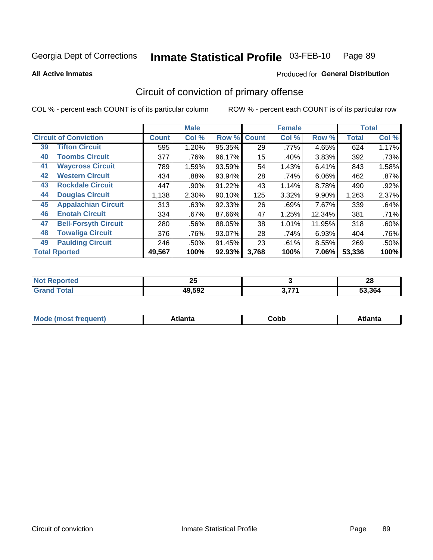#### Inmate Statistical Profile 03-FEB-10 Page 89

**All Active Inmates** 

### Produced for General Distribution

# Circuit of conviction of primary offense

COL % - percent each COUNT is of its particular column

|    |                              |              | <b>Male</b> |        |              | <b>Female</b> |          |              | <b>Total</b> |
|----|------------------------------|--------------|-------------|--------|--------------|---------------|----------|--------------|--------------|
|    | <b>Circuit of Conviction</b> | <b>Count</b> | Col %       | Row %  | <b>Count</b> | Col %         | Row %    | <b>Total</b> | Col %        |
| 39 | <b>Tifton Circuit</b>        | 595          | 1.20%       | 95.35% | 29           | .77%          | 4.65%    | 624          | 1.17%        |
| 40 | <b>Toombs Circuit</b>        | 377          | .76%        | 96.17% | 15           | .40%          | 3.83%    | 392          | .73%         |
| 41 | <b>Waycross Circuit</b>      | 789          | 1.59%       | 93.59% | 54           | 1.43%         | 6.41%    | 843          | 1.58%        |
| 42 | <b>Western Circuit</b>       | 434          | .88%        | 93.94% | 28           | .74%          | 6.06%    | 462          | .87%         |
| 43 | <b>Rockdale Circuit</b>      | 447          | .90%        | 91.22% | 43           | 1.14%         | 8.78%    | 490          | $.92\%$      |
| 44 | <b>Douglas Circuit</b>       | 1,138        | 2.30%       | 90.10% | 125          | 3.32%         | $9.90\%$ | 1,263        | 2.37%        |
| 45 | <b>Appalachian Circuit</b>   | 313          | .63%        | 92.33% | 26           | .69%          | 7.67%    | 339          | .64%         |
| 46 | <b>Enotah Circuit</b>        | 334          | .67%        | 87.66% | 47           | 1.25%         | 12.34%   | 381          | .71%         |
| 47 | <b>Bell-Forsyth Circuit</b>  | 280          | .56%        | 88.05% | 38           | 1.01%         | 11.95%   | 318          | .60%         |
| 48 | <b>Towaliga Circuit</b>      | 376          | .76%        | 93.07% | 28           | .74%          | 6.93%    | 404          | .76%         |
| 49 | <b>Paulding Circuit</b>      | 246          | .50%        | 91.45% | 23           | .61%          | 8.55%    | 269          | .50%         |
|    | <b>Total Rported</b>         | 49,567       | 100%        | 92.93% | 3,768        | 100%          | 7.06%    | 53,336       | 100%         |

| tet | $\mathbf{r}$<br>ZJ |     | n.<br>ZU |
|-----|--------------------|-----|----------|
|     | 49,592             | 277 | 53.364   |

| M<br>- - -<br>.<br>.<br>∪opp<br>нс |
|------------------------------------|
|------------------------------------|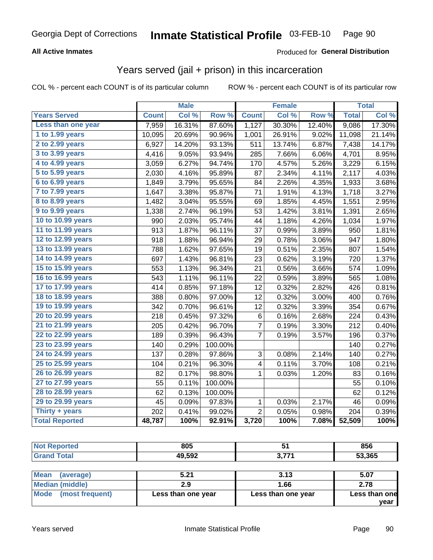#### Inmate Statistical Profile 03-FEB-10 Page 90

### **All Active Inmates**

### **Produced for General Distribution**

## Years served (jail + prison) in this incarceration

COL % - percent each COUNT is of its particular column

|                       |              | <b>Male</b> |         |                | <b>Female</b> |        |              | <b>Total</b> |
|-----------------------|--------------|-------------|---------|----------------|---------------|--------|--------------|--------------|
| <b>Years Served</b>   | <b>Count</b> | Col %       | Row %   | <b>Count</b>   | Col %         | Row %  | <b>Total</b> | Col %        |
| Less than one year    | 7,959        | 16.31%      | 87.60%  | 1,127          | 30.30%        | 12.40% | 9,086        | 17.30%       |
| 1 to 1.99 years       | 10,095       | 20.69%      | 90.96%  | 1,001          | 26.91%        | 9.02%  | 11,098       | 21.14%       |
| 2 to 2.99 years       | 6,927        | 14.20%      | 93.13%  | 511            | 13.74%        | 6.87%  | 7,438        | 14.17%       |
| 3 to 3.99 years       | 4,416        | 9.05%       | 93.94%  | 285            | 7.66%         | 6.06%  | 4,701        | 8.95%        |
| 4 to 4.99 years       | 3,059        | 6.27%       | 94.74%  | 170            | 4.57%         | 5.26%  | 3,229        | 6.15%        |
| 5 to 5.99 years       | 2,030        | 4.16%       | 95.89%  | 87             | 2.34%         | 4.11%  | 2,117        | 4.03%        |
| 6 to 6.99 years       | 1,849        | 3.79%       | 95.65%  | 84             | 2.26%         | 4.35%  | 1,933        | 3.68%        |
| 7 to 7.99 years       | 1,647        | 3.38%       | 95.87%  | 71             | 1.91%         | 4.13%  | 1,718        | 3.27%        |
| 8 to 8.99 years       | 1,482        | 3.04%       | 95.55%  | 69             | 1.85%         | 4.45%  | 1,551        | 2.95%        |
| 9 to 9.99 years       | 1,338        | 2.74%       | 96.19%  | 53             | 1.42%         | 3.81%  | 1,391        | 2.65%        |
| 10 to 10.99 years     | 990          | 2.03%       | 95.74%  | 44             | 1.18%         | 4.26%  | 1,034        | 1.97%        |
| 11 to 11.99 years     | 913          | 1.87%       | 96.11%  | 37             | 0.99%         | 3.89%  | 950          | 1.81%        |
| 12 to 12.99 years     | 918          | 1.88%       | 96.94%  | 29             | 0.78%         | 3.06%  | 947          | 1.80%        |
| 13 to 13.99 years     | 788          | 1.62%       | 97.65%  | 19             | 0.51%         | 2.35%  | 807          | 1.54%        |
| 14 to 14.99 years     | 697          | 1.43%       | 96.81%  | 23             | 0.62%         | 3.19%  | 720          | 1.37%        |
| 15 to 15.99 years     | 553          | 1.13%       | 96.34%  | 21             | 0.56%         | 3.66%  | 574          | 1.09%        |
| 16 to 16.99 years     | 543          | 1.11%       | 96.11%  | 22             | 0.59%         | 3.89%  | 565          | 1.08%        |
| 17 to 17.99 years     | 414          | 0.85%       | 97.18%  | 12             | 0.32%         | 2.82%  | 426          | 0.81%        |
| 18 to 18.99 years     | 388          | 0.80%       | 97.00%  | 12             | 0.32%         | 3.00%  | 400          | 0.76%        |
| 19 to 19.99 years     | 342          | 0.70%       | 96.61%  | 12             | 0.32%         | 3.39%  | 354          | 0.67%        |
| 20 to 20.99 years     | 218          | 0.45%       | 97.32%  | 6              | 0.16%         | 2.68%  | 224          | 0.43%        |
| 21 to 21.99 years     | 205          | 0.42%       | 96.70%  | 7              | 0.19%         | 3.30%  | 212          | 0.40%        |
| 22 to 22.99 years     | 189          | 0.39%       | 96.43%  | $\overline{7}$ | 0.19%         | 3.57%  | 196          | 0.37%        |
| 23 to 23.99 years     | 140          | 0.29%       | 100.00% |                |               |        | 140          | 0.27%        |
| 24 to 24.99 years     | 137          | 0.28%       | 97.86%  | 3              | 0.08%         | 2.14%  | 140          | 0.27%        |
| 25 to 25.99 years     | 104          | 0.21%       | 96.30%  | $\overline{4}$ | 0.11%         | 3.70%  | 108          | 0.21%        |
| 26 to 26.99 years     | 82           | 0.17%       | 98.80%  | $\mathbf{1}$   | 0.03%         | 1.20%  | 83           | 0.16%        |
| 27 to 27.99 years     | 55           | 0.11%       | 100.00% |                |               |        | 55           | 0.10%        |
| 28 to 28.99 years     | 62           | 0.13%       | 100.00% |                |               |        | 62           | 0.12%        |
| 29 to 29.99 years     | 45           | 0.09%       | 97.83%  | $\mathbf{1}$   | 0.03%         | 2.17%  | 46           | 0.09%        |
| Thirty + years        | 202          | 0.41%       | 99.02%  | $\overline{2}$ | 0.05%         | 0.98%  | 204          | 0.39%        |
| <b>Total Reported</b> | 48,787       | 100%        | 92.91%  | 3,720          | 100%          | 7.08%  | 52,509       | 100%         |

| rred<br>NO | 805    |            | 856    |
|------------|--------|------------|--------|
|            | 49,592 | 2774<br>v. | 53,365 |

| <b>Mean</b><br>(average) | 5.21               | 3.13               | 5.07          |
|--------------------------|--------------------|--------------------|---------------|
| Median (middle)          | 2.9                | 1.66               | 2.78          |
| Mode (most frequent)     | Less than one year | Less than one year | Less than one |
|                          |                    |                    | vear          |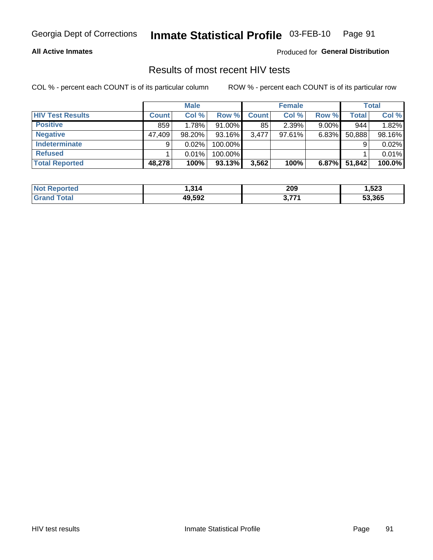# Inmate Statistical Profile 03-FEB-10 Page 91

### **All Active Inmates**

Produced for General Distribution

## Results of most recent HIV tests

COL % - percent each COUNT is of its particular column

|                         |              | <b>Male</b> |           |              | <b>Female</b> |          |        | <b>Total</b> |
|-------------------------|--------------|-------------|-----------|--------------|---------------|----------|--------|--------------|
| <b>HIV Test Results</b> | <b>Count</b> | Col %       | Row %I    | <b>Count</b> | Col %         | Row %    | Total  | Col %        |
| <b>Positive</b>         | 859          | 1.78%       | $91.00\%$ | 85           | 2.39%         | $9.00\%$ | 944    | 1.82%        |
| <b>Negative</b>         | 47,409       | $98.20\%$   | $93.16\%$ | 3.477        | $97.61\%$     | $6.83\%$ | 50,888 | 98.16%       |
| Indeterminate           | 9            | 0.02%       | 100.00%   |              |               |          |        | 0.02%        |
| <b>Refused</b>          |              | 0.01%       | 100.00%   |              |               |          |        | 0.01%        |
| <b>Total Reported</b>   | 48,278       | 100%        | 93.13%    | 3,562        | 100%          | 6.87%    | 51,842 | 100.0%       |

| <b>Not</b><br>Reported | 314    | 209  | 1,523  |
|------------------------|--------|------|--------|
| Total<br><b>Grand</b>  | 49,592 | 2771 | 53.365 |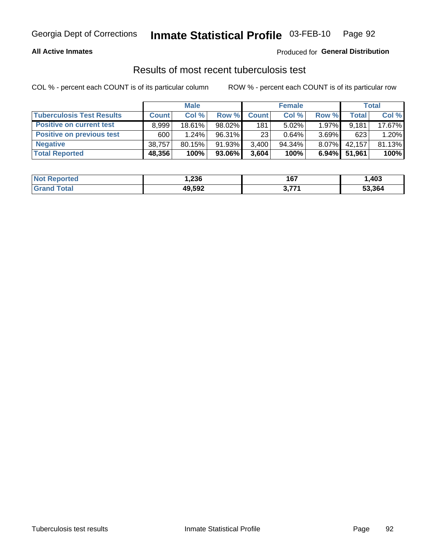#### Inmate Statistical Profile 03-FEB-10 Page 92

### **All Active Inmates**

### Produced for General Distribution

### Results of most recent tuberculosis test

COL % - percent each COUNT is of its particular column

|                                  |              | <b>Male</b> |           |              | <b>Female</b> |          |              | Total  |
|----------------------------------|--------------|-------------|-----------|--------------|---------------|----------|--------------|--------|
| <b>Tuberculosis Test Results</b> | <b>Count</b> | Col%        | Row %I    | <b>Count</b> | Col %         | Row %    | <b>Total</b> | Col %  |
| <b>Positive on current test</b>  | 8.999        | 18.61%      | 98.02%    | 181          | 5.02%         | $1.97\%$ | 9.181        | 17.67% |
| <b>Positive on previous test</b> | 600          | 1.24%       | $96.31\%$ | 23           | 0.64%         | $3.69\%$ | 623          | 1.20%  |
| <b>Negative</b>                  | 38,757       | $80.15\%$   | 91.93%    | 3,400        | $94.34\%$     | 8.07%    | 42,157       | 81.13% |
| <b>Total Reported</b>            | 48,356       | 100%        | 93.06%    | 3,604        | 100%          | $6.94\%$ | 51.961       | 100%   |

| <b>Not Reported</b> | 236. ا | 167   | ,403   |
|---------------------|--------|-------|--------|
| Total               | 49,592 | ゚ フフィ | 53,364 |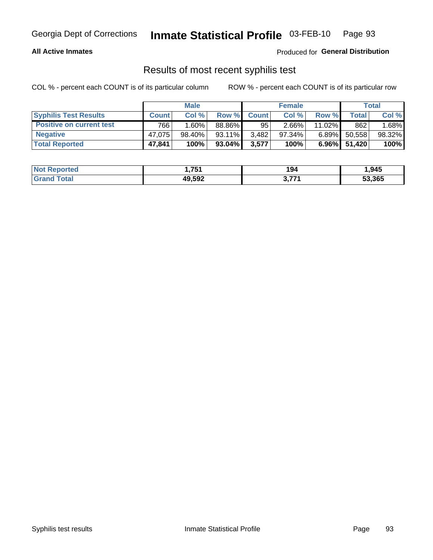# Georgia Dept of Corrections **Inmate Statistical Profile** 03-FEB-10 Page 93

### **All Active Inmates**

Produced for **General Distribution**

## Results of most recent syphilis test

COL % - percent each COUNT is of its particular column ROW % - percent each COUNT is of its particular row

|                                 | <b>Male</b>  |           |           | <b>Female</b> |           |           | Total  |        |
|---------------------------------|--------------|-----------|-----------|---------------|-----------|-----------|--------|--------|
| <b>Syphilis Test Results</b>    | <b>Count</b> | Col%      | Row %     | <b>Count</b>  | Col %     | Row %     | Total  | Col %  |
| <b>Positive on current test</b> | 766          | 1.60%     | 88.86%    | 95            | $2.66\%$  | $11.02\%$ | 862    | 1.68%  |
| <b>Negative</b>                 | 47.075       | $98.40\%$ | $93.11\%$ | 3,482         | $97.34\%$ | $6.89\%$  | 50,558 | 98.32% |
| <b>Total Reported</b>           | 47,841       | 100%      | $93.04\%$ | 3,577         | 100%      | $6.96\%$  | 51,420 | 100%   |

| <b>Not Reported</b> | 751<br>1. I J I | 194 | 1,945  |
|---------------------|-----------------|-----|--------|
| <b>Grand Total</b>  | 49,592          | 771 | 53,365 |